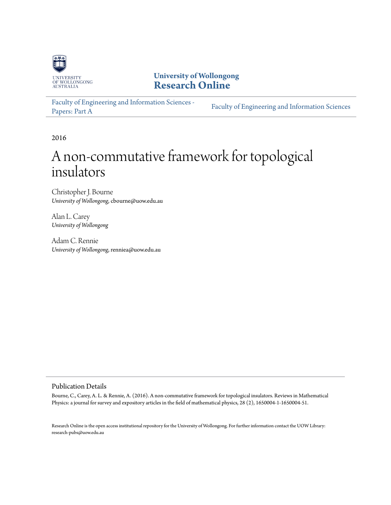

**University of Wollongong [Research Online](http://ro.uow.edu.au)**

[Faculty of Engineering and Information Sciences -](http://ro.uow.edu.au/eispapers) Paculty of Engineering and *Information Sciences*<br>[Papers: Part A](http://ro.uow.edu.au/eispapers)

2016

# A non-commutative framework for topological insulators

Christopher J. Bourne *University of Wollongong*, cbourne@uow.edu.au

Alan L. Carey *University of Wollongong*

Adam C. Rennie *University of Wollongong*, renniea@uow.edu.au

# Publication Details

Bourne, C., Carey, A. L. & Rennie, A. (2016). A non-commutative framework for topological insulators. Reviews in Mathematical Physics: a journal for survey and expository articles in the field of mathematical physics, 28 (2), 1650004-1-1650004-51.

Research Online is the open access institutional repository for the University of Wollongong. For further information contact the UOW Library: research-pubs@uow.edu.au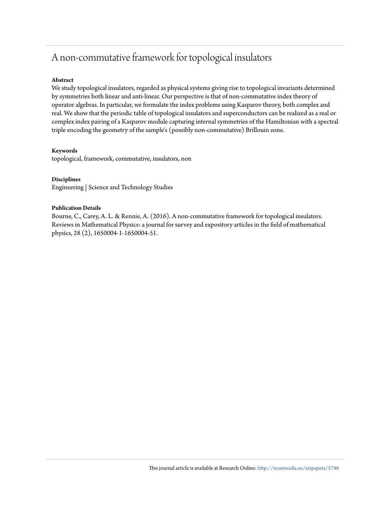# A non-commutative framework for topological insulators

# **Abstract**

We study topological insulators, regarded as physical systems giving rise to topological invariants determined by symmetries both linear and anti-linear. Our perspective is that of non-commutative index theory of operator algebras. In particular, we formulate the index problems using Kasparov theory, both complex and real. We show that the periodic table of topological insulators and superconductors can be realized as a real or complex index pairing of a Kasparov module capturing internal symmetries of the Hamiltonian with a spectral triple encoding the geometry of the sample's (possibly non-commutative) Brillouin zone.

## **Keywords**

topological, framework, commutative, insulators, non

# **Disciplines**

Engineering | Science and Technology Studies

## **Publication Details**

Bourne, C., Carey, A. L. & Rennie, A. (2016). A non-commutative framework for topological insulators. Reviews in Mathematical Physics: a journal for survey and expository articles in the field of mathematical physics, 28 (2), 1650004-1-1650004-51.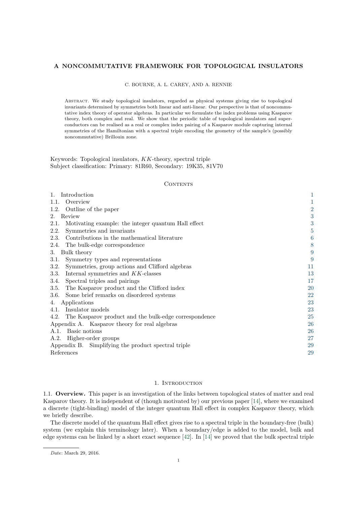#### A NONCOMMUTATIVE FRAMEWORK FOR TOPOLOGICAL INSULATORS

C. BOURNE, A. L. CAREY, AND A. RENNIE

Abstract. We study topological insulators, regarded as physical systems giving rise to topological invariants determined by symmetries both linear and anti-linear. Our perspective is that of noncommutative index theory of operator algebras. In particular we formulate the index problems using Kasparov theory, both complex and real. We show that the periodic table of topological insulators and superconductors can be realised as a real or complex index pairing of a Kasparov module capturing internal symmetries of the Hamiltonian with a spectral triple encoding the geometry of the sample's (possibly noncommutative) Brillouin zone.

Keywords: Topological insulators, KK-theory, spectral triple Subject classification: Primary: 81R60, Secondary: 19K35, 81V70

#### **CONTENTS**

| Introduction<br>1.                                            | 1              |
|---------------------------------------------------------------|----------------|
| Overview<br>1.1.                                              | 1              |
| Outline of the paper<br>1.2.                                  | $\overline{2}$ |
| Review<br>$2_{-}$                                             | 3              |
| Motivating example: the integer quantum Hall effect<br>2.1.   | $\sqrt{3}$     |
| Symmetries and invariants<br>2.2.                             | $\overline{5}$ |
| Contributions in the mathematical literature<br>2.3.          | 6              |
| The bulk-edge correspondence<br>2.4.                          | 8              |
| Bulk theory<br>3.                                             | 9              |
| Symmetry types and representations<br>3.1.                    | 9              |
| Symmetries, group actions and Clifford algebras<br>3.2.       | 11             |
| 3.3.<br>Internal symmetries and KK-classes                    | 13             |
| Spectral triples and pairings<br>3.4.                         | 17             |
| The Kasparov product and the Clifford index<br>3.5.           | <b>20</b>      |
| Some brief remarks on disordered systems<br>3.6.              | 22             |
| Applications<br>4.                                            | 23             |
| Insulator models<br>4.1.                                      | 23             |
| The Kasparov product and the bulk-edge correspondence<br>4.2. | <b>25</b>      |
| Appendix A. Kasparov theory for real algebras                 | 26             |
| Basic notions<br>A.1.                                         | <b>26</b>      |
| Higher-order groups<br>A.2.                                   | 27             |
| Appendix B. Simplifying the product spectral triple           | 29             |
| References                                                    | 29             |

#### 1. INTRODUCTION

<span id="page-2-1"></span><span id="page-2-0"></span>1.1. Overview. This paper is an investigation of the links between topological states of matter and real Kasparov theory. It is independent of (though motivated by) our previous paper [\[14\]](#page-30-2), where we examined a discrete (tight-binding) model of the integer quantum Hall effect in complex Kasparov theory, which we briefly describe.

The discrete model of the quantum Hall effect gives rise to a spectral triple in the boundary-free (bulk) system (we explain this terminology later). When a boundary/edge is added to the model, bulk and edge systems can be linked by a short exact sequence  $[42]$ . In  $[14]$  we proved that the bulk spectral triple

Date: March 29, 2016.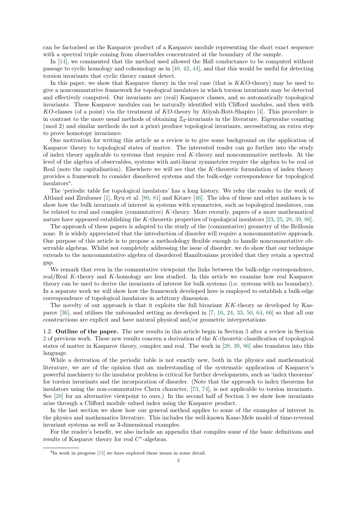can be factorised as the Kasparov product of a Kasparov module representing the short exact sequence with a spectral triple coming from observables concentrated at the boundary of the sample.

In [\[14\]](#page-30-2), we commented that the method used allowed the Hall conductance to be computed without passage to cyclic homology and cohomology as in [\[40,](#page-31-1) [42,](#page-31-0) [44\]](#page-31-2), and that this would be useful for detecting torsion invariants that cyclic theory cannot detect.

In this paper, we show that Kasparov theory in the real case (that is KKO-theory) may be used to give a noncommutative framework for topological insulators in which torsion invariants may be detected and effectively computed. Our invariants are (real) Kasparov classes, and so automatically topological invariants. These Kasparov modules can be naturally identified with Clifford modules, and then with KO-classes (of a point) via the treatment of KO-theory by Atiyah-Bott-Shapiro [\[4\]](#page-30-3). This procedure is in contrast to the more usual methods of obtaining  $\mathbb{Z}_2$ -invariants in the literature. Eigenvalue counting (mod 2) and similar methods do not a priori produce topological invariants, necessitating an extra step to prove homotopy invariance.

One motivation for writing this article as a review is to give some background on the application of Kasparov theory to topological states of matter. The interested reader can go further into the study of index theory applicable to systems that require real K-theory and noncommuative methods. At the level of the algebra of observables, systems with anti-linear symmetries require the algebra to be real or Real (note the capitalisation). Elsewhere we will see that the K-theoretic formulation of index theory provides a framework to consider disordered systems and the bulk-edge correspondence for topological insul[a](#page-3-1)tors<sup>a</sup>.

The 'periodic table for topological insulators' has a long history. We refer the reader to the work of Altland and Zirnbauer [\[1\]](#page-30-4), Ryu et al. [\[80,](#page-32-0) [81\]](#page-32-1) and Kitaev [\[46\]](#page-31-3). The idea of these and other authors is to show how the bulk invariants of interest in systems with symmetries, such as topological insulators, can be related to real and complex (commutative)  $K$ -theory. More recently, papers of a more mathematical nature have appeared establishing the K-theoretic properties of topological insulators [\[23,](#page-31-4) [25,](#page-31-5) [28,](#page-31-6) [39,](#page-31-7) [86\]](#page-32-2).

The approach of these papers is adapted to the study of the (commutative) geometry of the Brillouin zone. It is widely appreciated that the introduction of disorder will require a noncommutative approach. One purpose of this article is to propose a methodology flexible enough to handle noncommutative observable algebras. Whilst not completely addressing the issue of disorder, we do show that our technique extends to the noncommutative algebra of disordered Hamiltonians provided that they retain a spectral gap.

We remark that even in the commutative viewpoint the links between the bulk-edge correspondence, real/Real K-theory and K-homology are less studied. In this article we examine how real Kasparov theory can be used to derive the invariants of interest for bulk systems (i.e. systems with no boundary). In a separate work we will show how the framework developed here is employed to establish a bulk-edge correspondence of topological insulators in arbitrary dimension.

The novelty of our approach is that it exploits the full bivariant KK-theory as developed by Kasparov [\[36\]](#page-31-8), and utilises the unbounded setting as developed in [\[7,](#page-30-5) [16,](#page-30-6) [24,](#page-31-9) [33,](#page-31-10) [50,](#page-31-11) [64,](#page-32-3) [66\]](#page-32-4) so that all our constructions are explicit and have natural physical and/or geometric interpretations.

<span id="page-3-0"></span>1.2. Outline of the paper. The new results in this article begin in Section [3](#page-10-0) after a review in Section [2](#page-4-0) of previous work. These new results concern a derivation of the K-theoretic classification of topological states of matter in Kasparov theory, complex and real. The work in [\[28,](#page-31-6) [39,](#page-31-7) [86\]](#page-32-2) also translates into this language.

While a derivation of the periodic table is not exactly new, both in the physics and mathematical literature, we are of the opinion that an understanding of the systematic application of Kasparov's powerful machinery to the insulator problem is critical for further developments, such as 'index theorems' for torsion invariants and the incorporation of disorder. (Note that the approach to index theorems for insulators using the non-commutative Chern character, [\[73,](#page-32-5) [74\]](#page-32-6), is not applicable to torsion invariants. See [\[28\]](#page-31-6) for an alternative viewpoint to ours.) In the second half of Section [3](#page-10-0) we show how invariants arise through a Clifford module valued index using the Kasparov product.

In the last section we show how our general method applies to some of the examples of interest in the physics and mathematics literature. This includes the well-known Kane-Mele model of time-reversal invariant systems as well as 3-dimensional examples.

For the reader's benefit, we also include an appendix that compiles some of the basic definitions and results of Kasparov theory for real  $C^*$ -algebras.

<span id="page-3-1"></span><sup>&</sup>lt;sup>a</sup>In work in progress [\[15\]](#page-30-7) we have explored these issues in some detail.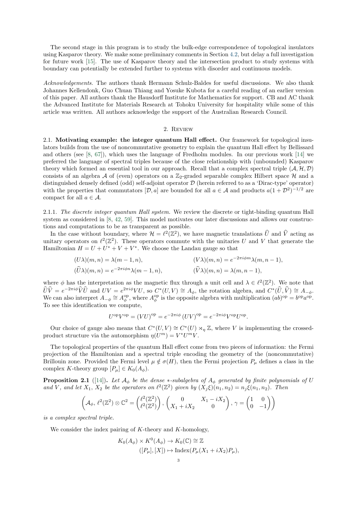The second stage in this program is to study the bulk-edge correspondence of topological insulators using Kasparov theory. We make some preliminary comments in Section [4.2,](#page-26-0) but delay a full investigation for future work [\[15\]](#page-30-7). The use of Kasparov theory and the intersection product to study systems with boundary can potentially be extended further to systems with disorder and continuous models.

Acknowledgements. The authors thank Hermann Schulz-Baldes for useful discussions. We also thank Johannes Kellendonk, Guo Chuan Thiang and Yosuke Kubota for a careful reading of an earlier version of this paper. All authors thank the Hausdorff Institute for Mathematics for support. CB and AC thank the Advanced Institute for Materials Research at Tohoku University for hospitality while some of this article was written. All authors acknowledge the support of the Australian Research Council.

#### 2. Review

<span id="page-4-1"></span><span id="page-4-0"></span>2.1. Motivating example: the integer quantum Hall effect. Our framework for topological insulators builds from the use of noncommutative geometry to explain the quantum Hall effect by Bellissard and others (see [\[8,](#page-30-8) [67\]](#page-32-7)), which uses the language of Fredholm modules. In our previous work [\[14\]](#page-30-2) we preferred the language of spectral triples because of the close relationship with (unbounded) Kasparov theory which formed an essential tool in our approach. Recall that a complex spectral triple  $(A, H, D)$ consists of an algebra A of (even) operators on a  $\mathbb{Z}_2$ -graded separable complex Hilbert space H and a distinguished densely defined (odd) self-adjoint operator D (herein referred to as a 'Dirac-type' operator) with the properties that commutators  $[D, a]$  are bounded for all  $a \in \mathcal{A}$  and products  $a(1+\mathcal{D}^2)^{-1/2}$  are compact for all  $a \in \mathcal{A}$ .

2.1.1. The discrete integer quantum Hall system. We review the discrete or tight-binding quantum Hall system as considered in [\[8,](#page-30-8) [42,](#page-31-0) [59\]](#page-32-8). This model motivates our later discussions and allows our constructions and computations to be as transparent as possible.

In the case without boundary, where  $\mathcal{H} = \ell^2(\mathbb{Z}^2)$ , we have magnetic translations  $\widehat{U}$  and  $\widehat{V}$  acting as unitary operators on  $\ell^2(\mathbb{Z}^2)$ . These operators commute with the unitaries U and V that generate the Hamiltonian  $H = U + U^* + V + V^*$ . We choose the Landau gauge so that

$$
(U\lambda)(m,n) = \lambda(m-1,n), \qquad (V\lambda)(m,n) = e^{-2\pi i\phi m}\lambda(m,n-1),
$$
  

$$
(\widehat{U}\lambda)(m,n) = e^{-2\pi i\phi n}\lambda(m-1,n), \qquad (\widehat{V}\lambda)(m,n) = \lambda(m,n-1),
$$

where  $\phi$  has the interpretation as the magnetic flux through a unit cell and  $\lambda \in \ell^2(\mathbb{Z}^2)$ . We note that  $\widehat{U}\widehat{V} = e^{-2\pi i\phi}\widehat{V}\widehat{U}$  and  $UV = e^{2\pi i\phi}VU$ , so  $C^*(U, V) \cong A_{\phi}$ , the rotation algebra, and  $C^*(\widehat{U}, \widehat{V}) \cong A_{-\phi}$ . We can also interpret  $A_{-\phi} \cong A_{\phi}^{\text{op}}$ , where  $A_{\phi}^{\text{op}}$  is the opposite algebra with multiplication  $(ab)^{\text{op}} = b^{\text{op}} a^{\text{op}}$ . To see this identification we compute,

$$
U^{\text{op}}V^{\text{op}} = (VU)^{\text{op}} = e^{-2\pi i\phi} (UV)^{\text{op}} = e^{-2\pi i\phi} V^{\text{op}} U^{\text{op}}.
$$

Our choice of gauge also means that  $C^*(U, V) \cong C^*(U) \rtimes_{\eta} \mathbb{Z}$ , where V is implementing the crossedproduct structure via the automorphism  $\eta(U^m) = V^*U^mV$ .

The topological properties of the quantum Hall effect come from two pieces of information: the Fermi projection of the Hamiltonian and a spectral triple encoding the geometry of the (noncommutative) Brillouin zone. Provided the Fermi level  $\mu \notin \sigma(H)$ , then the Fermi projection  $P_{\mu}$  defines a class in the complex K-theory group  $[P_\mu] \in K_0(A_\phi)$ .

<span id="page-4-2"></span>**Proposition 2.1** ([\[14\]](#page-30-2)). Let  $A_{\phi}$  be the dense \*-subalgebra of  $A_{\phi}$  generated by finite polynomials of U and V, and let  $X_1, X_2$  be the operators on  $\ell^2(\mathbb{Z}^2)$  given by  $(X_j \xi)(n_1, n_2) = n_j \xi(n_1, n_2)$ . Then

$$
\left(\mathcal{A}_{\phi}, \,\ell^2(\mathbb{Z}^2) \otimes \mathbb{C}^2 = \begin{pmatrix} \ell^2(\mathbb{Z}^2) \\ \ell^2(\mathbb{Z}^2) \end{pmatrix}, \begin{pmatrix} 0 & X_1 - iX_2 \\ X_1 + iX_2 & 0 \end{pmatrix}, \gamma = \begin{pmatrix} 1 & 0 \\ 0 & -1 \end{pmatrix} \right)
$$

is a complex spectral triple.

We consider the index pairing of  $K$ -theory and  $K$ -homology,

$$
K_0(A_{\phi}) \times K^0(A_{\phi}) \to K_0(\mathbb{C}) \cong \mathbb{Z}
$$
  

$$
([P_{\mu}], [X]) \mapsto \text{Index}(P_{\mu}(X_1 + iX_2)P_{\mu}),
$$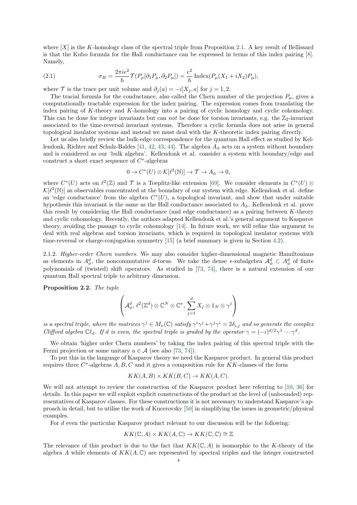where  $[X]$  is the K-homology class of the spectral triple from Proposition [2.1.](#page-4-2) A key result of Bellissard is that the Kubo formula for the Hall conductance can be expressed in terms of this index pairing [\[8\]](#page-30-8). Namely,

<span id="page-5-0"></span>(2.1) 
$$
\sigma_H = \frac{2\pi i e^2}{h} \mathcal{T}(P_\mu[\partial_1 P_\mu, \partial_2 P_\mu]) = \frac{e^2}{h} \operatorname{Index}(P_\mu(X_1 + iX_2)P_\mu),
$$

where T is the trace per unit volume and  $\partial_i(a) = -i[X_j, a]$  for  $j = 1, 2$ .

The tracial formula for the conductance, also called the Chern number of the projection  $P_{\mu}$ , gives a computationally tractable expression for the index pairing. The expression comes from translating the index pairing of K-theory and K-homology into a pairing of cyclic homology and cyclic cohomology. This can be done for integer invariants but can *not* be done for torsion invariants, e.g. the  $\mathbb{Z}_2$ -invariant associated to the time-reversal invariant systems. Therefore a cyclic formula does not arise in general topological insulator systems and instead we must deal with the K-theoretic index pairing directly.

Let us also briefly review the bulk-edge correspondence for the quantum Hall effect as studied by Kel-lendonk, Richter and Schulz-Baldes [\[41,](#page-31-12) [42,](#page-31-0) [43,](#page-31-13) [44\]](#page-31-2). The algebra  $A_{\phi}$  acts on a system without boundary and is considered as our 'bulk algebra'. Kellendonk et al. consider a system with boundary/edge and construct a short exact sequence of  $C^*$ -algebras

$$
0 \to C^*(U) \otimes \mathcal{K}[\ell^2(\mathbb{N})] \to \mathcal{T} \to A_{\phi} \to 0,
$$

where  $C^*(U)$  acts on  $\ell^2(\mathbb{Z})$  and  $\mathcal T$  is a Toeplitz-like extension [\[69\]](#page-32-9). We consider elements in  $C^*(U)$   $\otimes$  $\mathcal{K}[\ell^2(\mathbb{N})]$  as observables concentrated at the boundary of our system with edge. Kellendonk et al. define an 'edge conductance' from the algebra  $C<sup>*</sup>(U)$ , a topological invariant, and show that under suitable hypothesis this invariant is the same as the Hall conductance associated to  $A_{\phi}$ . Kellendonk et al. prove this result by considering the Hall conductance (and edge conductance) as a pairing between  $K$ -theory and cyclic cohomology. Recently, the authors adapted Kellendonk et al.'s general argument to Kasparov theory, avoiding the passage to cyclic cohomology [\[14\]](#page-30-2). In future work, we will refine this argument to deal with real algebras and torsion invariants, which is required in topological insulator systems with time-reversal or charge-conjugation symmetry [\[15\]](#page-30-7) (a brief summary is given in Section [4.2\)](#page-26-0).

2.1.2. Higher-order Chern numbers. We may also consider higher-dimensional magnetic Hamiltonians as elements in  $A_{\phi}^d$ , the noncommutative d-torus. We take the dense ∗-subalgebra  $\mathcal{A}_{\phi}^d \subset A_{\phi}^d$  of finite polynomials of (twisted) shift operators. As studied in [\[73,](#page-32-5) [74\]](#page-32-6), there is a natural extension of our quantum Hall spectral triple to arbitrary dimension.

Proposition 2.2. The tuple

$$
\left(\mathcal{A}_{\phi}^d, \, \ell^2(\mathbb{Z}^d) \otimes \mathbb{C}^N \otimes \mathbb{C}^{\nu}, \, \sum_{j=1}^d X_j \otimes 1_N \otimes \gamma^j\right)
$$

is a spectral triple, where the matrices  $\gamma^j \in M_\nu(\mathbb{C})$  satisfy  $\gamma^i \gamma^j + \gamma^j \gamma^i = 2\delta_{i,j}$  and so generate the complex Clifford algebra  $\mathbb{C}\ell_d$ . If d is even, the spectral triple is graded by the operator  $\gamma = (-i)^{d/2}\gamma^1 \cdots \gamma^d$ .

We obtain 'higher order Chern numbers' by taking the index pairing of this spectral triple with the Fermi projection or some unitary  $u \in \mathcal{A}$  (see also [\[73,](#page-32-5) [74\]](#page-32-6)).

To put this in the language of Kasparov theory we need the Kasparov product. In general this product requires three  $C^*$ -algebras  $A, B, C$  and it gives a composition rule for  $KK$ -classes of the form

$$
KK(A, B) \times KK(B, C) \to KK(A, C).
$$

We will not attempt to review the construction of the Kasparov product here referring to [\[10,](#page-30-9) [36\]](#page-31-8) for details. In this paper we will exploit explicit constructions of the product at the level of (unbounded) representatives of Kasparov classes. For these constructions it is not necessary to understand Kasparov's approach in detail, but to utilise the work of Kucerovsky [\[50\]](#page-31-11) in simplifying the issues in geometric/physical examples.

For d even the particular Kasparov product relevant to our discussion will be the following:

$$
KK(\mathbb{C}, A) \times KK(A, \mathbb{C}) \to KK(\mathbb{C}, \mathbb{C}) \cong \mathbb{Z}
$$

The relevance of this product is due to the fact that  $KK(\mathbb{C}, A)$  is isomorphic to the K-theory of the algebra A while elements of  $KK(A, \mathbb{C})$  are represented by spectral triples and the integer constructed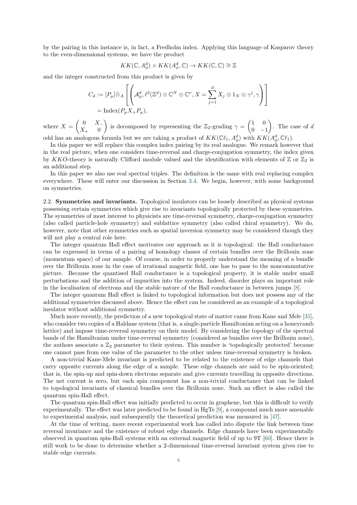by the pairing in this instance is, in fact, a Fredholm index. Applying this language of Kasparov theory to the even-dimensional systems, we have the product

$$
KK(\mathbb{C}, A^d_{\phi}) \times KK(A^d_{\phi}, \mathbb{C}) \to KK(\mathbb{C}, \mathbb{C}) \cong \mathbb{Z}
$$

and the integer constructed from this product is given by

$$
C_d := [P_\mu] \hat{\otimes}_A \left[ \left( \mathcal{A}_\phi^d, \ell^2(\mathbb{Z}^d) \otimes \mathbb{C}^N \otimes \mathbb{C}^\nu, X = \sum_{j=1}^d X_j \otimes 1_N \otimes \gamma^j, \gamma \right) \right]
$$
  
= Index $(P_\mu X_+ P_\mu)$ ,

where  $X = \begin{pmatrix} 0 & X_{-1} \\ Y & 0 \end{pmatrix}$  $X_{+}$  0 is decomposed by representing the  $\mathbb{Z}_2$ -grading  $\gamma = \begin{pmatrix} 1 & 0 \\ 0 & 1 \end{pmatrix}$  $0 -1$ ). The case of  $d$ odd has an analogous formula but we are taking a product of  $KK(\mathbb{C}\ell_1, A_\phi^d)$  with  $KK(A_\phi^d, \mathbb{C}\ell_1)$ .

In this paper we will replace this complex index pairing by its real analogue. We remark however that in the real picture, when one considers time-reversal and charge-conjugation symmetry, the index given by KKO-theory is naturally Clifford module valued and the identification with elements of  $\mathbb{Z}$  or  $\mathbb{Z}_2$  is an additional step.

In this paper we also use real spectral triples. The definition is the same with real replacing complex everywhere. These will enter our discussion in Section [3.4.](#page-18-0) We begin, however, with some background on symmetries.

<span id="page-6-0"></span>2.2. Symmetries and invariants. Topological insulators can be loosely described as physical systems possessing certain symmetries which give rise to invariants topologically protected by these symmetries. The symmetries of most interest to physicists are time-reversal symmetry, charge-conjugation symmetry (also called particle-hole symmetry) and sublattice symmetry (also called chiral symmetry). We do, however, note that other symmetries such as spatial inversion symmetry may be considered though they will not play a central role here.

The integer quantum Hall effect motivates our approach as it is topological: the Hall conductance can be expressed in terms of a pairing of homology classes of certain bundles over the Brillouin zone (momentum space) of our sample. Of course, in order to properly understand the meaning of a bundle over the Brillouin zone in the case of irrational magnetic field, one has to pass to the noncommutative picture. Because the quantised Hall conductance is a topological property, it is stable under small perturbations and the addition of impurities into the system. Indeed, disorder plays an important role in the localisation of electrons and the stable nature of the Hall conductance in between jumps [\[8\]](#page-30-8).

The integer quantum Hall effect is linked to topological information but does not possess any of the additional symmetries discussed above. Hence the effect can be considered as an example of a topological insulator without additional symmetry.

Much more recently, the prediction of a new topological state of matter came from Kane and Mele [\[35\]](#page-31-14), who consider two copies of a Haldane system (that is, a single-particle Hamiltonian acting on a honeycomb lattice) and impose time-reversal symmetry on their model. By considering the topology of the spectral bands of the Hamiltonian under time-reversal symmetry (considered as bundles over the Brillouin zone), the authors associate a  $\mathbb{Z}_2$  parameter to their system. This number is 'topologically protected' because one cannot pass from one value of the parameter to the other unless time-reversal symmetry is broken.

A non-trivial Kane-Mele invariant is predicted to be related to the existence of edge channels that carry opposite currents along the edge of a sample. These edge channels are said to be spin-oriented; that is, the spin-up and spin-down electrons separate and give currents travelling in opposite directions. The net current is zero, but each spin component has a non-trivial conductance that can be linked to topological invariants of classical bundles over the Brillouin zone. Such an effect is also called the quantum spin-Hall effect.

The quantum spin-Hall effect was initially predicted to occur in graphene, but this is difficult to verify experimentally. The effect was later predicted to be found in HgTe [\[9\]](#page-30-10), a compound much more amenable to experimental analysis, and subsequently the theoretical prediction was measured in [\[47\]](#page-31-15).

At the time of writing, more recent experimental work has called into dispute the link between time reversal invariance and the existence of robust edge channels. Edge channels have been experimentally observed in quantum spin-Hall systems with an external magnetic field of up to 9T [\[60\]](#page-32-10). Hence there is still work to be done to determine whether a 2-dimensional time-reversal invariant system gives rise to stable edge currents.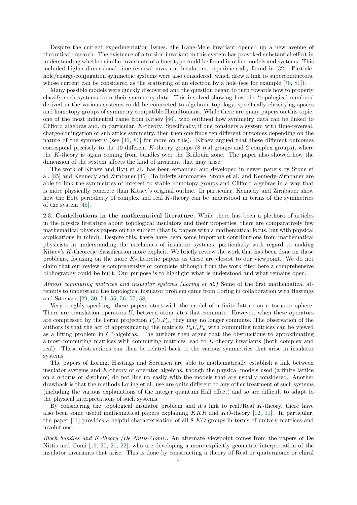Despite the current experimentation issues, the Kane-Mele invariant opened up a new avenue of theoretical research. The existence of a torsion invariant in this system has provoked substantial effort in understanding whether similar invariants of a finer type could be found in other models and systems. This included higher-dimensional time-reversal invariant insulators, experimentally found in [\[32\]](#page-31-16). Particlehole/charge-conjugation symmetric systems were also considered, which drew a link to superconductors, whose current can be considered as the scattering of an electron by a hole (see for example [\[76,](#page-32-11) [81\]](#page-32-1)).

Many possible models were quickly discovered and the question began to turn towards how to properly classify such systems from their symmetry data. This involved showing how the 'topological numbers' derived in the various systems could be connected to algebraic topology, specifically classifying spaces and homotopy groups of symmetry compatible Hamiltonians. While there are many papers on this topic, one of the most influential came from Kitaev [\[46\]](#page-31-3), who outlined how symmetry data can be linked to Clifford algebras and, in particular, K-theory. Specifically, if one considers a system with time-reversal, charge-conjugation or sublattice symmetry, then then one finds ten different outcomes depending on the nature of the symmetry (see [\[46,](#page-31-3) [80\]](#page-32-0) for more on this). Kitaev argued that these different outcomes correspond precisely to the 10 different  $K$ -theory groups (8 real groups and 2 complex groups), where the K-theory is again coming from bundles over the Brillouin zone. The paper also showed how the dimension of the system affects the kind of invariant that may arise.

The work of Kitaev and Ryu et al. has been expanded and developed in newer papers by Stone et al. [\[85\]](#page-32-12) and Kennedy and Zirnbauer [\[45\]](#page-31-17). To briefly summarise, Stone et al. and Kennedy-Zirnbauer are able to link the symmetries of interest to stable homotopy groups and Clifford algebras in a way that is more physically concrete than Kitaev's original outline. In particular, Kennedy and Zirnbauer show how the Bott periodicity of complex and real K-theory can be understood in terms of the symmetries of the system [\[45\]](#page-31-17).

<span id="page-7-0"></span>2.3. Contributions in the mathematical literature. While there has been a plethora of articles in the physics literature about topological insulators and their properties, there are comparatively few mathematical physics papers on the subject (that is, papers with a mathematical focus, but with physical applications in mind). Despite this, there have been some important contributions from mathematical physicists in understanding the mechanics of insulator systems, particularly with regard to making Kitaev's  $K$ -theoretic classification more explicit. We briefly review the work that has been done on these problems, focusing on the more K-theoretic papers as these are closest to our viewpoint. We do not claim that our review is comprehensive or complete although from the work cited here a comprehensive bibliography could be built. Our purpose is to highlight what is understood and what remains open.

Almost commuting matrices and insulator systems (Loring et al.) Some of the first mathematical attempts to understand the topological insulator problem came from Loring in collaboration with Hastings and Sørensen [\[29,](#page-31-18) [30,](#page-31-19) [54,](#page-31-20) [55,](#page-31-21) [56,](#page-31-22) [57,](#page-31-23) [58\]](#page-31-24).

Very roughly speaking, these papers start with the model of a finite lattice on a torus or sphere. There are translation operators  $U_i$  between atom sites that commute. However, when these operators are compressed by the Fermi projection  $P_{\mu}U_iP_{\mu}$ , they may no longer commute. The observation of the authors is that the act of approximating the matrices  $P_\mu U_i P_\mu$  with commuting matrices can be viewed as a lifting problem in  $C^*$ -algebras. The authors then argue that the obstructions to approximating almost-commuting matrices with commuting matrices lead to K-theory invariants (both complex and real). These obstructions can then be related back to the various symmetries that arise in insulator systems.

The papers of Loring, Hastings and Sørensen are able to mathematically establish a link between insulator systems and K-theory of operator algebras, though the physical models used (a finite lattice on a d-torus or d-sphere) do not line up easily with the models that are usually considered. Another drawback is that the methods Loring et al. use are quite different to any other treatment of such systems (including the various explanations of the integer quantum Hall effect) and so are difficult to adapt to the physical interpretations of such systems.

By considering the topological insulator problem and it's link to real/Real K-theory, there have also been some useful mathematical papers explaining  $KKR$  and  $KO$ -theory [\[12,](#page-30-11) [11\]](#page-30-12). In particular, the paper [\[11\]](#page-30-12) provides a helpful characterisation of all 8 KO-groups in terms of unitary matrices and involutions.

Bloch bundles and K-theory (De Nittis-Gomi). An alternate viewpoint comes from the papers of De Nittis and Gomi [\[19,](#page-30-13) [20,](#page-31-25) [21,](#page-31-26) [22\]](#page-31-27), who are developing a more explicitly geometric interpretation of the insulator invariants that arise. This is done by constructing a theory of Real or quaternionic or chiral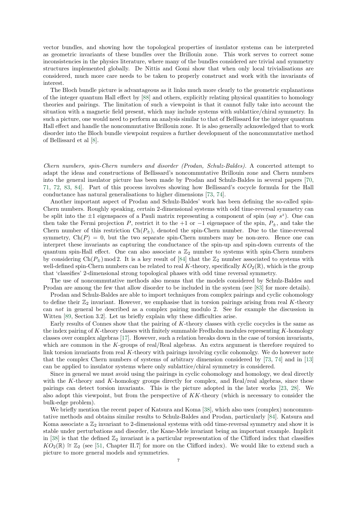vector bundles, and showing how the topological properties of insulator systems can be interpreted as geometric invariants of these bundles over the Brillouin zone. This work serves to correct some inconsistencies in the physics literature, where many of the bundles considered are trivial and symmetry structures implemented globally. De Nittis and Gomi show that when only local trivialisations are considered, much more care needs to be taken to properly construct and work with the invariants of interest.

The Bloch bundle picture is advantageous as it links much more clearly to the geometric explanations of the integer quantum Hall effect by [\[88\]](#page-32-13) and others, explicitly relating physical quantities to homology theories and pairings. The limitation of such a viewpoint is that it cannot fully take into account the situation with a magnetic field present, which may include systems with sublattice/chiral symmetry. In such a picture, one would need to perform an analysis similar to that of Bellissard for the integer quantum Hall effect and handle the noncommutative Brillouin zone. It is also generally acknowledged that to work disorder into the Bloch bundle viewpoint requires a further development of the noncommutative method of Bellissard et al [\[8\]](#page-30-8).

Chern numbers, spin-Chern numbers and disorder (Prodan, Schulz-Baldes). A concerted attempt to adapt the ideas and constructions of Bellissard's noncommutative Brillouin zone and Chern numbers into the general insulator picture has been made by Prodan and Schulz-Baldes in several papers [\[70,](#page-32-14) [71,](#page-32-15) [72,](#page-32-16) [83,](#page-32-17) [84\]](#page-32-18). Part of this process involves showing how Bellissard's cocycle formula for the Hall conductance has natural generalisations to higher dimensions [\[73,](#page-32-5) [74\]](#page-32-6).

Another important aspect of Prodan and Schulz-Baldes' work has been defining the so-called spin-Chern numbers. Roughly speaking, certain 2-dimensional systems with odd time-reversal symmetry can be split into the  $\pm 1$  eigenspaces of a Pauli matrix representing a component of spin (say  $s^z$ ). One can then take the Fermi projection P, restrict it to the +1 or  $-1$  eigenspace of the spin,  $P_{\pm}$ , and take the Chern number of this restriction  $Ch(P_{\pm})$ , denoted the spin-Chern number. Due to the time-reversal symmetry,  $Ch(P) = 0$ , but the two separate spin-Chern numbers may be non-zero. Hence one can interpret these invariants as capturing the conductance of the spin-up and spin-down currents of the quantum spin-Hall effect. One can also associate a  $\mathbb{Z}_2$  number to systems with spin-Chern numbers by considering  $Ch(P_{\pm}) \mod 2$ . It is a key result of [\[84\]](#page-32-18) that the  $\mathbb{Z}_2$  number associated to systems with well-defined spin-Chern numbers can be related to real K-theory, specifically  $KO_2(\mathbb{R})$ , which is the group that 'classifies' 2-dimensional strong topological phases with odd time reversal symmetry.

The use of noncommutative methods also means that the models considered by Schulz-Baldes and Prodan are among the few that allow disorder to be included in the system (see [\[83\]](#page-32-17) for more details).

Prodan and Schulz-Baldes are able to import techniques from complex pairings and cyclic cohomology to define their  $\mathbb{Z}_2$  invariant. However, we emphasise that in torsion pairings arising from real K-theory can not in general be described as a complex pairing modulo 2. See for example the discussion in Witten [\[89,](#page-32-19) Section 3.2]. Let us briefly explain why these difficulties arise.

Early results of Connes show that the pairing of  $K$ -theory classes with cyclic cocycles is the same as the index pairing of K-theory classes with finitely summable Fredholm modules representing K-homology classes over complex algebras [\[17\]](#page-30-14). However, such a relation breaks down in the case of torsion invariants, which are common in the K-groups of real/Real algebras. An extra argument is therefore required to link torsion invariants from real K-theory with pairings involving cyclic cohomolgy. We do however note that the complex Chern numbers of systems of arbitrary dimension considered by [\[73,](#page-32-5) [74\]](#page-32-6) and in [\[13\]](#page-30-15) can be applied to insulator systems where only sublattice/chiral symmetry is considered.

Since in general we must avoid using the pairings in cyclic cohomology and homology, we deal directly with the K-theory and K-homology groups directly for complex, and Real/real algebras, since these pairings can detect torsion invariants. This is the picture adopted in the later works [\[23,](#page-31-4) [28\]](#page-31-6). We also adopt this viewpoint, but from the perspective of KK-theory (which is necessary to consider the bulk-edge problem).

We briefly mention the recent paper of Katsura and Koma [\[38\]](#page-31-28), which also uses (complex) noncommutative methods and obtains similar results to Schulz-Baldes and Prodan, particularly [\[84\]](#page-32-18). Katsura and Koma associate a  $\mathbb{Z}_2$  invariant to 2-dimensional systems with odd time-reversal symmetry and show it is stable under perturbations and disorder, the Kane-Mele invariant being an important example. Implicit in [\[38\]](#page-31-28) is that the defined  $\mathbb{Z}_2$  invariant is a particular representation of the Clifford index that classifies  $KO_2(\mathbb{R}) \cong \mathbb{Z}_2$  (see [\[51,](#page-31-29) Chapter II.7] for more on the Clifford index). We would like to extend such a picture to more general models and symmetries.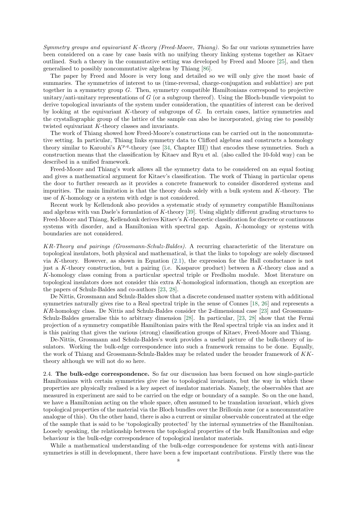Symmetry groups and equivariant K-theory (Freed-Moore, Thiang). So far our various symmetries have been considered on a case by case basis with no unifying theory linking systems together as Kitaev outlined. Such a theory in the commutative setting was developed by Freed and Moore [\[25\]](#page-31-5), and then generalised to possibly noncommutative algebras by Thiang [\[86\]](#page-32-2).

The paper by Freed and Moore is very long and detailed so we will only give the most basic of summaries. The symmetries of interest to us (time-reversal, charge-conjugation and sublattice) are put together in a symmetry group G. Then, symmetry compatible Hamiltonians correspond to projective unitary/anti-unitary representations of  $G$  (or a subgroup thereof). Using the Bloch-bundle viewpoint to derive topological invariants of the system under consideration, the quantities of interest can be derived by looking at the equivariant K-theory of subgroups of G. In certain cases, lattice symmetries and the crystallographic group of the lattice of the sample can also be incorporated, giving rise to possibly twisted equivariant K-theory classes and invariants.

The work of Thiang showed how Freed-Moore's constructions can be carried out in the noncommutative setting. In particular, Thiang links symmetry data to Clifford algebras and constructs a homology theory similar to Karoubi's  $K^{p,q}$ -theory (see [\[34,](#page-31-30) Chapter III]) that encodes these symmetries. Such a construction means that the classification by Kitaev and Ryu et al. (also called the 10-fold way) can be described in a unified framework.

Freed-Moore and Thiang's work allows all the symmetry data to be considered on an equal footing and gives a mathematical argument for Kitaev's classification. The work of Thiang in particular opens the door to further research as it provides a concrete framework to consider disordered systems and impurities. The main limitation is that the theory deals solely with a bulk system and K-theory. The use of K-homology or a system with edge is not considered.

Recent work by Kellendonk also provides a systematic study of symmetry compatible Hamiltonians and algebras with van Daele's formulation of  $K$ -theory [\[39\]](#page-31-7). Using slightly different grading structures to Freed-Moore and Thiang, Kellendonk derives Kitaev's K-theoretic classification for discrete or continuous systems with disorder, and a Hamiltonian with spectral gap. Again, K-homology or systems with boundaries are not considered.

KR-Theory and pairings (Grossmann-Schulz-Baldes). A recurring characteristic of the literature on topological insulators, both physical and mathematical, is that the links to topology are solely discussed via K-theory. However, as shown in Equation [\(2.1\)](#page-5-0), the expression for the Hall conductance is not just a K-theory construction, but a pairing (i.e. Kasparov product) between a K-theory class and a K-homology class coming from a particular spectral triple or Fredholm module. Most literature on topological insulators does not consider this extra K-homological information, though an exception are the papers of Schulz-Baldes and co-authors [\[23,](#page-31-4) [28\]](#page-31-6).

De Nittis, Grossmann and Schulz-Baldes show that a discrete condensed matter system with additional symmetries naturally gives rise to a Real spectral triple in the sense of Connes [\[18,](#page-30-16) [26\]](#page-31-31) and represents a KR-homology class. De Nittis and Schulz-Baldes consider the 2-dimensional case [\[23\]](#page-31-4) and Grossmann-Schulz-Baldes generalise this to arbitrary dimension [\[28\]](#page-31-6). In particular, [\[23,](#page-31-4) [28\]](#page-31-6) show that the Fermi projection of a symmetry compatible Hamiltonian pairs with the Real spectral triple via an index and it is this pairing that gives the various (strong) classification groups of Kitaev, Freed-Moore and Thiang.

De-Nittis, Grossmann and Schulz-Baldes's work provides a useful picture of the bulk-theory of insulators. Working the bulk-edge correspondence into such a framework remains to be done. Equally, the work of Thiang and Grossmann-Schulz-Baldes may be related under the broader framework of KKtheory although we will not do so here.

<span id="page-9-0"></span>2.4. The bulk-edge correspondence. So far our discussion has been focused on how single-particle Hamiltonians with certain symmetries give rise to topological invariants, but the way in which these properties are physically realised is a key aspect of insulator materials. Namely, the observables that are measured in experiment are said to be carried on the edge or boundary of a sample. So on the one hand, we have a Hamiltonian acting on the whole space, often assumed to be translation invariant, which gives topological properties of the material via the Bloch bundles over the Brillouin zone (or a noncommutative analogue of this). On the other hand, there is also a current or similar observable concentrated at the edge of the sample that is said to be 'topologically protected' by the internal symmetries of the Hamiltonian. Loosely speaking, the relationship between the topological properties of the bulk Hamiltonian and edge behaviour is the bulk-edge correspondence of topological insulator materials.

While a mathematical understanding of the bulk-edge correspondence for systems with anti-linear symmetries is still in development, there have been a few important contributions. Firstly there was the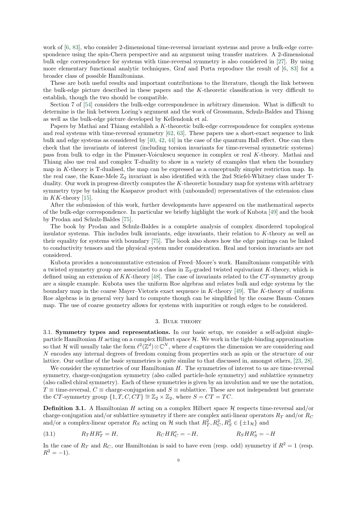work of [\[6,](#page-30-17) [83\]](#page-32-17), who consider 2-dimensional time-reversal invariant systems and prove a bulk-edge correspondence using the spin-Chern perspective and an argument using transfer matrices. A 2-dimensional bulk edge correspondence for systems with time-reversal symmetry is also considered in [\[27\]](#page-31-32). By using more elementary functional analytic techniques, Graf and Porta reproduce the result of [\[6,](#page-30-17) [83\]](#page-32-17) for a broader class of possible Hamiltonians.

These are both useful results and important contributions to the literature, though the link between the bulk-edge picture described in these papers and the K-theoretic classification is very difficult to establish, though the two should be compatible.

Section 7 of [\[54\]](#page-31-20) considers the bulk-edge correspondence in arbitrary dimension. What is difficult to determine is the link between Loring's argument and the work of Grossmann, Schulz-Baldes and Thiang as well as the bulk-edge picture developed by Kellendonk et al.

Papers by Mathai and Thiang establish a K-theoretic bulk-edge correspondence for complex systems and real systems with time-reversal symmetry [\[62,](#page-32-20) [63\]](#page-32-21). These papers use a short-exact sequence to link bulk and edge systems as considered by [\[40,](#page-31-1) [42,](#page-31-0) [44\]](#page-31-2) in the case of the quantum Hall effect. One can then check that the invariants of interest (including torsion invariants for time-reversal symmetric systems) pass from bulk to edge in the Pimsner-Voiculescu sequence in complex or real K-theory. Mathai and Thiang also use real and complex T-duality to show in a variety of examples that when the boundary map in K-theory is T-dualised, the map can be expressed as a conceptually simpler restriction map. In the real case, the Kane-Mele  $\mathbb{Z}_2$  invariant is also identified with the 2nd Stiefel-Whitney class under Tduality. Our work in progress directly computes the K-theoretic boundary map for systems with arbitrary symmetry type by taking the Kasparov product with (unbounded) representatives of the extension class in  $KK$ -theory [\[15\]](#page-30-7).

After the submission of this work, further developments have appeared on the mathematical aspects of the bulk-edge correspondence. In particular we briefly highlight the work of Kubota [\[49\]](#page-31-33) and the book by Prodan and Schulz-Baldes [\[75\]](#page-32-22).

The book by Prodan and Schulz-Baldes is a complete analysis of complex disordered topological insulator systems. This includes bulk invariants, edge invariants, their relation to K-theory as well as their equality for systems with boundary [\[75\]](#page-32-22). The book also shows how the edge pairings can be linked to conductivity tensors and the physical system under consideration. Real and torsion invariants are not considered.

Kubota provides a noncommutative extension of Freed–Moore's work. Hamiltonians compatible with a twisted symmetry group are associated to a class in  $\mathbb{Z}_2$ -graded twisted equivariant K-theory, which is defined using an extension of  $KK$ -theory [\[48\]](#page-31-34). The case of invariants related to the  $CT$ -symmetry group are a simple example. Kubota uses the uniform Roe algebras and relates bulk and edge systems by the boundary map in the coarse Mayer–Vietoris exact sequence in K-theory [\[49\]](#page-31-33). The K-theory of uniform Roe algebras is in general very hard to compute though can be simplified by the coarse Baum–Connes map. The use of coarse geometry allows for systems with impurities or rough edges to be considered.

#### 3. Bulk theory

<span id="page-10-1"></span><span id="page-10-0"></span>3.1. Symmetry types and representations. In our basic setup, we consider a self-adjoint singleparticle Hamiltonian  $H$  acting on a complex Hilbert space  $H$ . We work in the tight-binding approximation so that H will usually take the form  $\ell^2(\mathbb{Z}^d) \otimes \mathbb{C}^N$ , where d captures the dimension we are considering and N encodes any internal degrees of freedom coming from properties such as spin or the structure of our lattice. Our outline of the basic symmetries is quite similar to that discussed in, amongst others, [\[23,](#page-31-4) [28\]](#page-31-6).

We consider the symmetries of our Hamiltonian H. The symmetries of interest to us are time-reversal symmetry, charge-conjugation symmetry (also called particle-hole symmetry) and sublattice symmetry (also called chiral symmetry). Each of these symmetries is given by an involution and we use the notation, T = time-reversal,  $C \equiv$  charge-conjugation and  $S \equiv$  sublattice. These are not independent but generate the CT-symmetry group  $\{1, T, C, CT\} \cong \mathbb{Z}_2 \times \mathbb{Z}_2$ , where  $S = CT = TC$ .

<span id="page-10-2"></span>**Definition 3.1.** A Hamiltonian H acting on a complex Hilbert space  $H$  respects time-reversal and/or charge-conjugation and/or sublattice symmetry if there are complex anti-linear operators  $R_T$  and/or  $R_C$ and/or a complex-linear operator  $R_S$  acting on  $\mathcal H$  such that  $R_T^2, R_C^2, R_S^2 \in \{\pm 1_H\}$  and

<span id="page-10-3"></span>(3.1) 
$$
R_T H R_T^* = H
$$
,  $R_C H R_C^* = -H$ ,  $R_S H R_S^* = -H$ 

In the case of  $R_T$  and  $R_C$ , our Hamiltonian is said to have even (resp. odd) symmetry if  $R^2 = 1$  (resp.  $R^2 = -1$ ).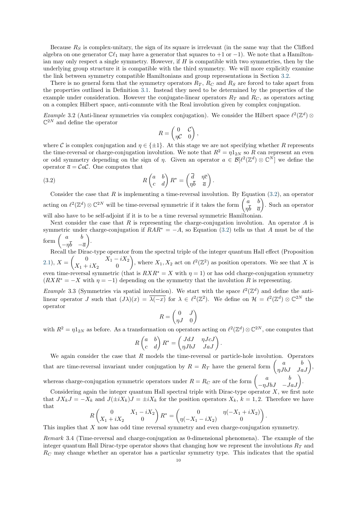Because  $R<sub>S</sub>$  is complex-unitary, the sign of its square is irrelevant (in the same way that the Clifford algebra on one generator  $\mathbb{C}\ell_1$  may have a generator that squares to +1 or −1). We note that a Hamiltonian may only respect a single symmetry. However, if  $H$  is compatible with two symmetries, then by the underlying group structure it is compatible with the third symmetry. We will more explicitly examine the link between symmetry compatible Hamiltonians and group representations in Section [3.2.](#page-12-0)

There is no general form that the symmetry operators  $R_T$ ,  $R_C$  and  $R_S$  are forced to take apart from the properties outlined in Definition [3.1.](#page-10-2) Instead they need to be determined by the properties of the example under consideration. However the conjugate-linear operators  $R<sub>T</sub>$  and  $R<sub>C</sub>$ , as operators acting on a complex Hilbert space, anti-commute with the Real involution given by complex conjugation.

*Example* 3.2 (Anti-linear symmetries via complex conjugation). We consider the Hilbert space  $\ell^2(\mathbb{Z}^d)$  ⊗  $\mathbb{C}^{2N}$  and define the operator

<span id="page-11-0"></span>
$$
R = \begin{pmatrix} 0 & \mathcal{C} \\ \eta \mathcal{C} & 0 \end{pmatrix},
$$

where C is complex conjugation and  $\eta \in \{\pm 1\}$ . At this stage we are not specifying whether R represents the time-reversal or charge-conjugation involution. We note that  $R^2 = \eta \overline{1}_{2N}$  so R can represent an even or odd symmetry depending on the sign of  $\eta$ . Given an operator  $a \in \mathcal{B}[\ell^2(\mathbb{Z}^d) \otimes \mathbb{C}^N]$  we define the operator  $\bar{a} = \mathcal{C}a\mathcal{C}$ . One computes that

(3.2) 
$$
R\begin{pmatrix} a & b \\ c & d \end{pmatrix} R^* = \begin{pmatrix} \overline{d} & \eta \overline{c} \\ \eta \overline{b} & \overline{a} \end{pmatrix}.
$$

Consider the case that R is implementing a time-reversal involution. By Equation  $(3.2)$ , an operator acting on  $\ell^2(\mathbb{Z}^d) \otimes \mathbb{C}^{2N}$  will be time-reversal symmetric if it takes the form  $\begin{pmatrix} a & b \\ -\overline{b} & \overline{c} \end{pmatrix}$  $\eta b \quad \overline{a}$  . Such an operator will also have to be self-adjoint if it is to be a time reversal symmetric Hamiltonian.

Next consider the case that  $R$  is representing the charge-conjugation involution. An operator  $A$  is symmetric under charge-conjugation if  $RAR^* = -A$ , so Equation [\(3.2\)](#page-11-0) tells us that A must be of the form  $\begin{pmatrix} a & b \\ -\overline{b} & \overline{b} \end{pmatrix}$  $-\eta b$   $-\overline{a}$  $\big).$ 

Recall the Dirac-type operator from the spectral triple of the integer quantum Hall effect (Proposition [2.1\)](#page-4-2),  $X = \begin{pmatrix} 0 & X_1 - iX_2 \\ v & i & Y \end{pmatrix}$  $X_1 + iX_2 = 0$ ), where  $X_1, X_2$  act on  $\ell^2(\mathbb{Z}^2)$  as position operators. We see that X is even time-reversal symmetric (that is  $RXR^* = X$  with  $\eta = 1$ ) or has odd charge-conjugation symmetry  $(RXR^* = -X$  with  $\eta = -1$ ) depending on the symmetry that the involution R is representing.

*Example* 3.3 (Symmetries via spatial involution). We start with the space  $\ell^2(\mathbb{Z}^d)$  and define the antilinear operator J such that  $(J\lambda)(x) = \overline{\lambda(-x)}$  for  $\lambda \in \ell^2(\mathbb{Z}^2)$ . We define on  $\mathcal{H} = \ell^2(\mathbb{Z}^d) \otimes \mathbb{C}^{2N}$  the operator

$$
R = \begin{pmatrix} 0 & J \\ \eta J & 0 \end{pmatrix}
$$

with  $R^2 = \eta 1_{2N}$  as before. As a transformation on operators acting on  $\ell^2(\mathbb{Z}^d) \otimes \mathbb{C}^{2N}$ , one computes that

$$
R\begin{pmatrix} a & b \\ c & d \end{pmatrix} R^* = \begin{pmatrix} JdJ & \eta JcJ \\ \eta JbJ & JaJ \end{pmatrix}.
$$

We again consider the case that  $R$  models the time-reversal or particle-hole involution. Operators that are time-reversal invariant under conjugation by  $R = R_T$  have the general form  $\begin{pmatrix} a & b \\ \eta JbJ & JaJ \end{pmatrix}$ , whereas charge-conjugation symmetric operators under  $R = R_C$  are of the form  $\begin{pmatrix} a & b \\ -\eta J bJ & -J aJ \end{pmatrix}$ .

Considering again the integer quantum Hall spectral triple with Dirac-type operator  $X$ , we first note that  $JX_kJ = -X_k$  and  $J(\pm iX_k)J = \pm iX_k$  for the position operators  $X_k$ ,  $k = 1, 2$ . Therefore we have that

$$
R\begin{pmatrix} 0 & X_1 - iX_2 \ X_1 + iX_2 & 0 \end{pmatrix} R^* = \begin{pmatrix} 0 & \eta(-X_1 + iX_2) \\ \eta(-X_1 - iX_2) & 0 \end{pmatrix}.
$$

This implies that X now has odd time reversal symmetry and even charge-conjugation symmetry.

Remark 3.4 (Time-reversal and charge-conjugation as 0-dimensional phenomena). The example of the integer quantum Hall Dirac-type operator shows that changing how we represent the involutions  $R_T$  and  $R<sub>C</sub>$  may change whether an operator has a particular symmetry type. This indicates that the spatial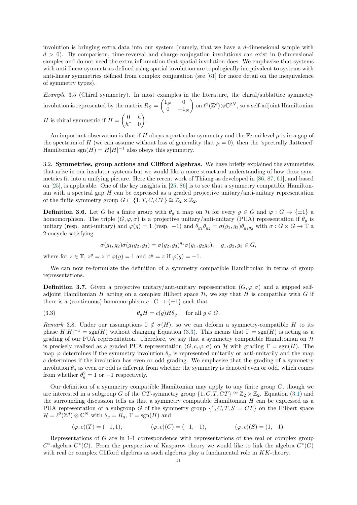involution is bringing extra data into our system (namely, that we have a  $d$ -dimensional sample with  $d > 0$ . By comparison, time-reversal and charge-conjugation involutions can exist in 0-dimensional samples and do not need the extra information that spatial involution does. We emphasise that systems with anti-linear symmetries defined using spatial involution are topologically inequivalent to systems with anti-linear symmetries defined from complex conjugation (see [\[61\]](#page-32-23) for more detail on the inequivalence of symmetry types).

Example 3.5 (Chiral symmetry). In most examples in the literature, the chiral/sublattice symmetry involution is represented by the matrix  $R_S = \begin{pmatrix} 1_N & 0 \\ 0 & 1 \end{pmatrix}$  $0 \t -1_N$ on  $\ell^2(\mathbb{Z}^d) \otimes \mathbb{C}^{2N}$ , so a self-adjoint Hamiltonian H is chiral symmetric if  $H = \begin{pmatrix} 0 & h \\ h & h \end{pmatrix}$  $h^*$  0  $\big).$ 

An important observation is that if H obeys a particular symmetry and the Fermi level  $\mu$  is in a gap of the spectrum of H (we can assume without loss of generality that  $\mu = 0$ ), then the 'spectrally flattened' Hamiltonian sgn $(H) = H|H|^{-1}$  also obeys this symmetry.

<span id="page-12-0"></span>3.2. Symmetries, group actions and Clifford algebras. We have briefly explained the symmetries that arise in our insulator systems but we would like a more structural understanding of how these symmetries fit into a unifying picture. Here the recent work of Thiang as developed in [\[86,](#page-32-2) [87,](#page-32-24) [61\]](#page-32-23), and based on [\[25\]](#page-31-5), is applicable. One of the key insights in [\[25,](#page-31-5) [86\]](#page-32-2) is to see that a symmetry compatible Hamiltonian with a spectral gap  $H$  can be expressed as a graded projective unitary/anti-unitary representation of the finite symmetry group  $G \subset \{1, T, C, CT\} \cong \mathbb{Z}_2 \times \mathbb{Z}_2$ .

**Definition 3.6.** Let G be a finite group with  $\theta_g$  a map on H for every  $g \in G$  and  $\varphi : G \to \{\pm 1\}$  a homomorphism. The triple  $(G, \varphi, \sigma)$  is a projective unitary/anti-unitary (PUA) representation if  $\theta_g$  is unitary (resp. anti-unitary) and  $\varphi(g) = 1$  (resp. -1) and  $\theta_{g_1} \theta_{g_2} = \sigma(g_1, g_2) \theta_{g_1 g_2}$  with  $\sigma : G \times G \to \mathbb{T}$  a 2-cocycle satisfying

<span id="page-12-1"></span>
$$
\sigma(g_1, g_2)\sigma(g_1g_2, g_3) = \sigma(g_2, g_3)^{g_1}\sigma(g_1, g_2g_3), \quad g_1, g_2, g_3 \in G,
$$

where for  $z \in \mathbb{T}$ ,  $z^g = z$  if  $\varphi(g) = 1$  and  $z^g = \overline{z}$  if  $\varphi(g) = -1$ .

We can now re-formulate the definition of a symmetry compatible Hamiltonian in terms of group representations.

<span id="page-12-2"></span>**Definition 3.7.** Given a projective unitary/anti-unitary representation  $(G, \varphi, \sigma)$  and a gapped selfadjoint Hamiltonian H acting on a complex Hilbert space  $\mathcal{H}$ , we say that H is compatible with G if there is a (continuous) homomorphism  $c: G \to {\pm 1}$  such that

(3.3) 
$$
\theta_g H = c(g) H \theta_g \quad \text{for all } g \in G.
$$

Remark 3.8. Under our assumptions  $0 \notin \sigma(H)$ , so we can deform a symmetry-compatible H to its phase  $H|H|^{-1} = sgn(H)$  without changing Equation [\(3.3\)](#page-12-1). This means that  $\Gamma = sgn(H)$  is acting as a grading of our PUA representation. Therefore, we say that a symmetry compatible Hamiltonian on  $\mathcal{H}$ is precisely realised as a graded PUA representation  $(G, c, \varphi, \sigma)$  on H with grading  $\Gamma = \text{sgn}(H)$ . The map  $\varphi$  determines if the symmetry involution  $\theta_g$  is represented unitarily or anti-unitarily and the map c determines if the involution has even or odd grading. We emphasise that the grading of a symmetry involution  $\theta_q$  as even or odd is different from whether the symmetry is denoted even or odd, which comes from whether  $\theta_g^2 = 1$  or  $-1$  respectively.

Our definition of a symmetry compatible Hamiltonian may apply to any finite group  $G$ , though we are interested in a subgroup G of the CT-symmetry group  $\{1, C, T, CT\} \cong \mathbb{Z}_2 \times \mathbb{Z}_2$ . Equation [\(3.1\)](#page-10-3) and the surrounding discussion tells us that a symmetry compatible Hamiltonian H can be expressed as a PUA representation of a subgroup G of the symmetry group  $\{1, C, T, S = CT\}$  on the Hilbert space  $\mathcal{H} = \ell^2(\mathbb{Z}^d) \otimes \mathbb{C}^N$  with  $\theta_g = R_g$ ,  $\Gamma = \text{sgn}(H)$  and

$$
(\varphi, c)(T) = (-1, 1), \qquad (\varphi, c)(C) = (-1, -1), \qquad (\varphi, c)(S) = (1, -1).
$$

Representations of G are in 1-1 correspondence with representations of the real or complex group  $C^*$ -algebra  $C^*(G)$ . From the perspective of Kasparov theory we would like to link the algebra  $C^*(G)$ with real or complex Clifford algebras as such algebras play a fundamental role in KK-theory.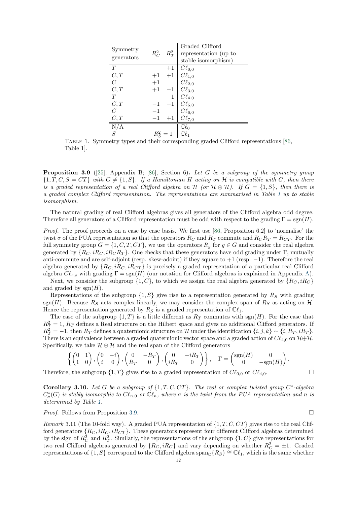| Symmetry                   | $R_C^2$ | $R_T^2$ | Graded Clifford<br>representation (up to                                                                                                         |
|----------------------------|---------|---------|--------------------------------------------------------------------------------------------------------------------------------------------------|
| generators                 |         |         | stable isomorphism)                                                                                                                              |
| T                          |         | $+1$    | $C\ell_{0,0}$                                                                                                                                    |
| C, T                       | $+1$    |         |                                                                                                                                                  |
| $\overline{C}$             | $+1$    |         |                                                                                                                                                  |
| C, T                       | $+1$    |         |                                                                                                                                                  |
| T                          |         |         |                                                                                                                                                  |
| C, T                       |         |         |                                                                                                                                                  |
| $\overline{C}$             |         |         |                                                                                                                                                  |
| C,T                        |         |         | +1 $C\ell_{1,0}$<br>+1 $C\ell_{1,0}$<br>$C\ell_{2,0}$<br>-1 $C\ell_{3,0}$<br>$C\ell_{4,0}$<br>$C\ell_{5,0}$<br>$C\ell_{6,0}$<br>+1 $C\ell_{7,0}$ |
| $\frac{\overline{N/A}}{S}$ |         |         | $\mathbb{C}\ell_0$                                                                                                                               |
|                            |         |         |                                                                                                                                                  |

<span id="page-13-0"></span>Table 1. Symmetry types and their corresponding graded Clifford representations [\[86,](#page-32-2) Table 1].

<span id="page-13-1"></span>**Proposition 3.9** ([\[25\]](#page-31-5), Appendix B; [\[86\]](#page-32-2), Section 6). Let G be a subgroup of the symmetry group  $\{1, T, C, S = CT\}$  with  $G \neq \{1, S\}$ . If a Hamiltonian H acting on H is compatible with G, then there is a graded representation of a real Clifford algebra on H (or  $\mathcal{H} \oplus \mathcal{H}$ ). If  $G = \{1, S\}$ , then there is a graded complex Clifford representation. The representations are summarised in Table [1](#page-13-0) up to stable isomorphism.

The natural grading of real Clifford algebras gives all generators of the Clifford algebra odd degree. Therefore all generators of a Clifford representation must be odd with respect to the grading  $\Gamma = \text{sgn}(H)$ .

Proof. The proof proceeds on a case by case basis. We first use [\[86,](#page-32-2) Proposition 6.2] to 'normalise' the twist  $\sigma$  of the PUA representation so that the operators  $R_C$  and  $R_T$  commute and  $R_C R_T = R_{CT}$ . For the full symmetry group  $G = \{1, C, T, CT\}$ , we use the operators  $R_g$  for  $g \in G$  and consider the real algebra generated by  $\{R_C, iR_C, iR_C R_T\}$ . One checks that these generators have odd grading under Γ, mutually anti-commute and are self-adjoint (resp. skew-adoint) if they square to +1 (resp. −1). Therefore the real algebra generated by  $\{R_C, iR_C, iR_{CT}\}\$ is precisely a graded representation of a particular real Clifford algebra  $C\ell_{r,s}$  with grading  $\Gamma = \text{sgn}(H)$  (our notation for Clifford algebras is explained in Appendix [A\)](#page-27-0).

Next, we consider the subgroup  $\{1, C\}$ , to which we assign the real algebra generated by  $\{R_C, iR_C\}$ and graded by  $sgn(H)$ .

Representations of the subgroup  $\{1, S\}$  give rise to a representation generated by  $R_S$  with grading sgn(H). Because  $R_S$  acts complex-linearly, we may consider the complex span of  $R_S$  as acting on H. Hence the representation generated by  $R_S$  is a graded representation of  $\mathbb{C}\ell_1$ .

The case of the subgroup  $\{1, T\}$  is a little different as  $R_T$  commutes with sgn(H). For the case that  $R_T^2 = 1$ ,  $R_T$  defines a Real structure on the Hilbert space and gives no additional Clifford generators. If  $R_T^2 = -1$ , then  $R_T$  defines a quaternionic structure on H under the identification  $\{i, j, k\} \sim \{i, R_T, iR_T\}$ . There is an equivalence between a graded quaternionic vector space and a graded action of  $Cl_{4,0}$  on  $H\oplus H$ . Specifically, we take  $\mathcal{H} \oplus \mathcal{H}$  and the real span of the Clifford generators

$$
\left\{ \begin{pmatrix} 0 & 1 \\ 1 & 0 \end{pmatrix}, \begin{pmatrix} 0 & -i \\ i & 0 \end{pmatrix}, \begin{pmatrix} 0 & -R_T \\ R_T & 0 \end{pmatrix}, \begin{pmatrix} 0 & -iR_T \\ iR_T & 0 \end{pmatrix} \right\}, \quad \Gamma = \begin{pmatrix} \text{sgn}(H) & 0 \\ 0 & -\text{sgn}(H) \end{pmatrix}.
$$

Therefore, the subgroup  $\{1, T\}$  gives rise to a graded representation of  $C\ell_{0,0}$  or  $C\ell_{4,0}$ .

Corollary 3.10. Let G be a subgroup of  $\{1, T, C, CT\}$ . The real or complex twisted group  $C^*$ -algebra  $C^*_\sigma(G)$  is stably isomorphic to  $Cl_{n,0}$  or  $\mathbb{C}\ell_n$ , where  $\sigma$  is the twist from the PUA representation and n is determined by Table [1.](#page-13-0)

*Proof.* Follows from Proposition [3.9.](#page-13-1)

Remark 3.11 (The 10-fold way). A graded PUA representation of  $\{1, T, C, CT\}$  gives rise to the real Clifford generators  $\{R_C, iR_C, iR_{CT}\}$ . These generators represent four different Clifford algebras determined by the sign of  $R_C^2$  and  $R_T^2$ . Similarly, the representations of the subgroup  $\{1, C\}$  give representations for two real Clifford algebras generated by  $\{R_C, iR_C\}$  and vary depending on whether  $R_C^2 = \pm 1$ . Graded representations of  $\{1, S\}$  correspond to the Clifford algebra span<sub>C</sub> $\{R_S\} \cong \mathbb{C}\ell_1$ , which is the same whether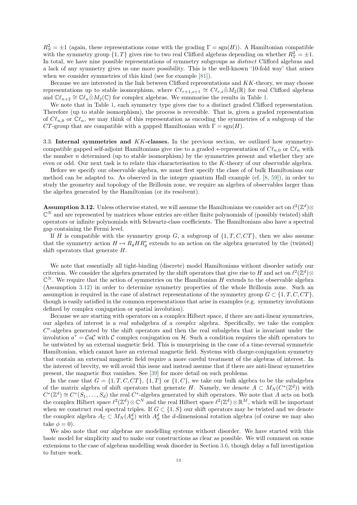$R_S^2 = \pm 1$  (again, these representations come with the grading  $\Gamma = \text{sgn}(H)$ ). A Hamiltonian compatible with the symmetry group  $\{1, T\}$  gives rise to two real Clifford algebras depending on whether  $R_T^2 = \pm 1$ . In total, we have nine possible representations of symmetry subgroups as distinct Clifford algebras and a lack of any symmetry gives us one more possibility. This is the well-known '10-fold way' that arises when we consider symmetries of this kind (see for example [\[81\]](#page-32-1)).

Because we are interested in the link between Clifford representations and KK-theory, we may choose representations up to stable isomorphism, where  $C\ell_{r+1,s+1} \cong C\ell_{r,s} \hat{\otimes} M_2(\mathbb{R})$  for real Clifford algebras and  $\mathbb{C}\ell_{n+2} \cong \mathbb{C}\ell_n \hat{\otimes} M_2(\mathbb{C})$  for complex algebras. We summarise the results in Table [1.](#page-13-0)

We note that in Table [1,](#page-13-0) each symmetry type gives rise to a distinct graded Clifford representation. Therefore (up to stable isomorphism), the process is reversible. That is, given a graded representation of  $C\ell_{n,0}$  or  $\mathbb{C}\ell_n$ , we may think of this representation as encoding the symmetries of a subgroup of the CT-group that are compatible with a gapped Hamiltonian with  $\Gamma = \text{sgn}(H)$ .

<span id="page-14-0"></span>3.3. Internal symmetries and KK-classes. In the previous section, we outlined how symmetrycompatible gapped self-adjoint Hamiltonians give rise to a graded ∗-representation of  $C\ell_{n,0}$  or  $\mathbb{C}\ell_n$  with the number  $n$  determined (up to stable isomorphism) by the symmetries present and whether they are even or odd. Our next task is to relate this characterisation to the K-theory of our observable algebra.

Before we specify our observable algebra, we must first specify the class of of bulk Hamiltonians our method can be adapted to. As observed in the integer quantum Hall example (cf. [\[8,](#page-30-8) [59\]](#page-32-8)), in order to study the geometry and topology of the Brillouin zone, we require an algebra of observables larger than the algebra generated by the Hamiltonian (or its resolvent).

<span id="page-14-1"></span>**Assumption 3.12.** Unless otherwise stated, we will assume the Hamiltonians we consider act on  $\ell^2(\mathbb{Z}^d)$  $\mathbb{C}^N$  and are represented by matrices whose entries are either finite polynomials of (possibly twisted) shift operators or infinite polynomials with Schwartz-class coefficients. The Hamiltonians also have a spectral gap containing the Fermi level.

If H is compatible with the symmetry group  $G$ , a subgroup of  $\{1, T, C, CT\}$ , then we also assume that the symmetry action  $H \mapsto R_g H R_g^*$  extends to an action on the algebra generated by the (twisted) shift operators that generate H.

We note that essentially all tight-binding (discrete) model Hamiltonians without disorder satisfy our criterion. We consider the algebra generated by the shift operators that give rise to H and act on  $\ell^2(\mathbb{Z}^d)$  $\mathbb{C}^N$ . We require that the action of symmetries on the Hamiltonian H extends to the observable algebra (Assumption [3.12\)](#page-14-1) in order to determine symmetry properties of the whole Brillouin zone. Such an assumption is required in the case of abstract representations of the symmetry group  $G \subset \{1, T, C, CT\}$ , though is easily satisfied in the common representations that arise in examples (e.g. symmetry involutions defined by complex conjugation or spatial involution).

Because we are starting with operators on a complex Hilbert space, if there are anti-linear symmetries, our algebra of interest is a real subalgebra of a complex algebra. Specifically, we take the complex  $C^*$ -algebra generated by the shift operators and then the real subalgebra that is invariant under the involution  $a^{\tau} = \mathcal{C} a \mathcal{C}$  with  $\mathcal{C}$  complex conjugation on H. Such a condition requires the shift operators to be untwisted by an external magnetic field. This is unsurprising in the case of a time-reversal symmetric Hamiltonian, which cannot have an external magnetic field. Systems with charge-conjugation symmetry that contain an external magnetic field require a more careful treatment of the algebras of interest. In the interest of brevity, we will avoid this issue and instead assume that if there are anti-linear symmetries present, the magnetic flux vanishes. See [\[39\]](#page-31-7) for more detail on such problems.

In the case that  $G = \{1, T, C, CT\}$ ,  $\{1, T\}$  or  $\{1, C\}$ , we take our bulk algebra to be the subalgebra of the matrix algebra of shift operators that generate H. Namely, we denote  $A \subset M_N(C^*(\mathbb{Z}^d))$  with  $C^*(\mathbb{Z}^d) \cong C^*(S_1,\ldots,S_d)$  the real  $C^*$ -algebra generated by shift operators. We note that A acts on both the complex Hilbert space  $\ell^2(\mathbb{Z}^d)\otimes \mathbb{C}^N$  and the real Hilbert space  $\ell^2(\mathbb{Z}^d)\otimes \mathbb{R}^M$ , which will be important when we construct real spectral triples. If  $G \subset \{1, S\}$  our shift operators may be twisted and we denote the complex algebra  $A_{\mathbb{C}} \subset M_N(A^d_{\phi})$  with  $A^d_{\phi}$  the d-dimensional rotation algebra (of course we may also take  $\phi = 0$ ).

We also note that our algebras are modelling systems without disorder. We have started with this basic model for simplicity and to make our constructions as clear as possible. We will comment on some extensions to the case of algebras modelling weak disorder in Section [3.6,](#page-23-0) though delay a full investigation to future work.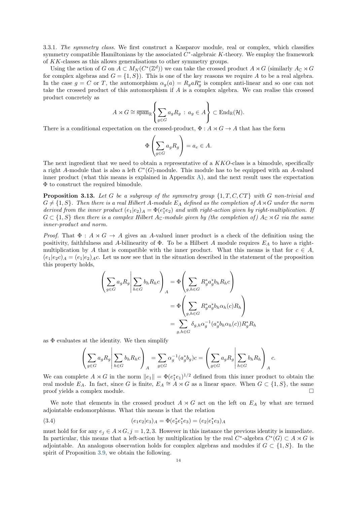3.3.1. The symmetry class. We first construct a Kasparov module, real or complex, which classifies symmetry compatible Hamiltonians by the associated  $C^*$ -algebraic K-theory. We employ the framework of KK-classes as this allows generalisations to other symmetry groups.

Using the action of G on  $A \subset M_N(C^*(\mathbb{Z}^d))$  we can take the crossed product  $A \rtimes G$  (similarly  $A_{\mathbb{C}} \rtimes G$ for complex algebras and  $G = \{1, S\}$ . This is one of the key reasons we require A to be a real algebra. In the case  $g = C$  or T, the automorphism  $\alpha_g(a) = R_g a R_g^*$  is complex anti-linear and so one can not take the crossed product of this automorphism if A is a complex algebra. We can realise this crossed product concretely as

$$
A \rtimes G \cong \overline{\text{span}}_{\mathbb{R}} \left\{ \sum_{g \in G} a_g R_g : a_g \in A \right\} \subset \text{End}_{\mathbb{R}}(\mathcal{H}).
$$

There is a conditional expectation on the crossed-product,  $\Phi: A \rtimes G \to A$  that has the form

$$
\Phi\left(\sum_{g\in G} a_g R_g\right) = a_e \in A.
$$

The next ingredient that we need to obtain a representative of a KKO-class is a bimodule, specifically a right A-module that is also a left  $C<sup>*</sup>(G)$ -module. This module has to be equipped with an A-valued inner product (what this means is explained in Appendix [A\)](#page-27-0), and the next result uses the expectation Φ to construct the required bimodule.

**Proposition 3.13.** Let G be a subgroup of the symmetry group  $\{1, T, C, CT\}$  with G non-trivial and  $G \neq \{1, S\}$ . Then there is a real Hilbert A-module  $E_A$  defined as the completion of  $A \rtimes G$  under the norm derived from the inner product  $(e_1|e_2)_A = \Phi(e_1^*e_2)$  and with right-action given by right-multiplication. If  $G \subset \{1, S\}$  then there is a complex Hilbert  $A_{\mathbb{C}}$ -module given by (the completion of)  $A_{\mathbb{C}} \rtimes G$  via the same inner-product and norm.

*Proof.* That  $\Phi : A \rtimes G \to A$  gives an A-valued inner product is a check of the definition using the positivity, faithfulness and A-bilinearity of  $\Phi$ . To be a Hilbert A module requires  $E_A$  to have a rightmultiplication by A that is compatible with the inner product. What this means is that for  $c \in A$ ,  $(e_1|e_2c)_A = (e_1|e_2)_{AC}$ . Let us now see that in the situation described in the statement of the proposition this property holds,

$$
\left(\sum_{g \in G} a_g R_g \middle| \sum_{h \in G} b_h R_h c \right)_A = \Phi \left(\sum_{g,h \in G} R_g^* a_g^* b_h R_h c \right)
$$

$$
= \Phi \left(\sum_{g,h \in G} R_g^* a_g^* b_h \alpha_h (c) R_h \right)
$$

$$
= \sum_{g,h \in G} \delta_{g,h} \alpha_g^{-1} (a_g^* b_h \alpha_h (c)) R_g^* R_h
$$

as  $\Phi$  evaluates at the identity. We then simplify

<span id="page-15-0"></span>
$$
\left(\sum_{g\in G} a_g R_g \middle| \sum_{h\in G} b_h R_h c \right)_A = \sum_{g\in G} \alpha_g^{-1}(a_g^* b_g) c = \left(\sum_{g\in G} a_g R_g \middle| \sum_{h\in G} b_h R_h \right)_A c.
$$

We can complete  $A \rtimes G$  in the norm  $||e_1|| = \Phi(e_1^*e_1)^{1/2}$  defined from this inner product to obtain the real module  $E_A$ . In fact, since G is finite,  $E_A \cong A \rtimes G$  as a linear space. When  $G \subset \{1, S\}$ , the same proof yields a complex module.

We note that elements in the crossed product  $A \rtimes G$  act on the left on  $E_A$  by what are termed adjointable endomorphisms. What this means is that the relation

(3.4) 
$$
(e_1e_2|e_3)_A = \Phi(e_2^*e_1^*e_3) = (e_2|e_1^*e_3)_A
$$

must hold for for any  $e_j \in A \rtimes G, j = 1, 2, 3$ . However in this instance the previous identity is immediate. In particular, this means that a left-action by multiplication by the real  $C^*$ -algebra  $C^*(G) \subset A \rtimes G$  is adjointable. An analogous observation holds for complex algebras and modules if  $G \subset \{1, S\}$ . In the spirit of Proposition [3.9,](#page-13-1) we obtain the following.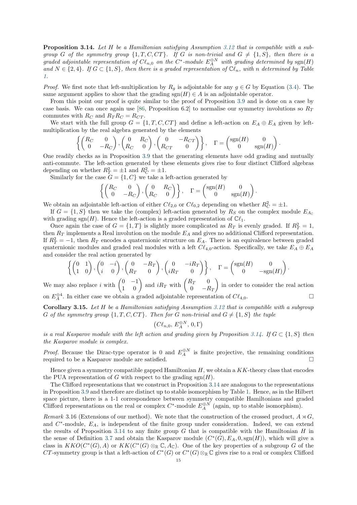<span id="page-16-0"></span>Proposition 3.14. Let H be a Hamiltonian satisfying Assumption [3.12](#page-14-1) that is compatible with a subgroup G of the symmetry group  $\{1, T, C, CT\}$ . If G is non-trivial and  $G \neq \{1, S\}$ , then there is a graded adjointable representation of  $C\ell_{n,0}$  on the  $C^*$ -module  $E_A^{\oplus N}$  with grading determined by  $sgn(H)$ and  $N \in \{2,4\}$ . If  $G \subset \{1, S\}$ , then there is a graded representation of  $\mathbb{C}\ell_n$ , with n determined by Table [1.](#page-13-0)

*Proof.* We first note that left-multiplication by  $R_g$  is adjointable for any  $g \in G$  by Equation [\(3.4\)](#page-15-0). The same argument applies to show that the grading  $sgn(H) \in A$  is an adjointable operator.

From this point our proof is quite similar to the proof of Proposition [3.9](#page-13-1) and is done on a case by case basis. We can once again use [\[86,](#page-32-2) Proposition 6.2] to normalise our symmetry involutions so  $R_T$ commutes with  $R_C$  and  $R_T R_C = R_{CT}$ .

We start with the full group  $G = \{1, T, C, CT\}$  and define a left-action on  $E_A \oplus E_A$  given by leftmultiplication by the real algebra generated by the elements

$$
\left\{ \begin{pmatrix} R_C & 0 \\ 0 & -R_C \end{pmatrix}, \begin{pmatrix} 0 & R_C \\ R_C & 0 \end{pmatrix}, \begin{pmatrix} 0 & -R_{CT} \\ R_{CT} & 0 \end{pmatrix} \right\}, \quad \Gamma = \begin{pmatrix} \text{sgn}(H) & 0 \\ 0 & \text{sgn}(H) \end{pmatrix}.
$$

One readily checks as in Proposition [3.9](#page-13-1) that the generating elements have odd grading and mutually anti-commute. The left-action generated by these elements gives rise to four distinct Clifford algebras depending on whether  $R_T^2 = \pm 1$  and  $R_C^2 = \pm 1$ .

Similarly for the case  $G = \{1, C\}$  we take a left-action generated by

$$
\left\{ \begin{pmatrix} R_C & 0 \\ 0 & -R_C \end{pmatrix}, \begin{pmatrix} 0 & R_C \\ R_C & 0 \end{pmatrix} \right\}, \quad \Gamma = \begin{pmatrix} \text{sgn}(H) & 0 \\ 0 & \text{sgn}(H) \end{pmatrix}.
$$

We obtain an adjointable left-action of either  $C\ell_{2,0}$  or  $C\ell_{0,2}$  depending on whether  $R_C^2 = \pm 1$ .

If  $G = \{1, S\}$  then we take the (complex) left-action generated by  $R_S$  on the complex module  $E_{A_C}$ with grading  $sgn(H)$ . Hence the left-action is a graded representation of  $\mathbb{C}\ell_1$ .

Once again the case of  $G = \{1, T\}$  is slightly more complicated as  $R_T$  is evenly graded. If  $R_T^2 = 1$ , then  $R_T$  implements a Real involution on the module  $E_A$  and gives no additional Clifford representation. If  $R_T^2 = -1$ , then  $R_T$  encodes a quaternionic structure on  $E_A$ . There is an equivalence between graded quaternionic modules and graded real modules with a left  $C\ell_{4,0}$ -action. Specifically, we take  $E_A \oplus E_A$ and consider the real action generated by

$$
\left\{ \begin{pmatrix} 0 & 1 \\ 1 & 0 \end{pmatrix}, \begin{pmatrix} 0 & -i \\ i & 0 \end{pmatrix}, \begin{pmatrix} 0 & -R_T \\ R_T & 0 \end{pmatrix}, \begin{pmatrix} 0 & -iR_T \\ iR_T & 0 \end{pmatrix} \right\}, \quad \Gamma = \begin{pmatrix} \text{sgn}(H) & 0 \\ 0 & -\text{sgn}(H) \end{pmatrix}.
$$

We may also replace i with  $\begin{pmatrix} 0 & -1 \\ 1 & 0 \end{pmatrix}$  and  $iR_T$  with  $\begin{pmatrix} R_T & 0 \\ 0 & -R_T \end{pmatrix}$ 0  $-R_T$  in order to consider the real action on  $E_A^{\oplus 4}$ . In either case we obtain a graded adjointable representation of  $C\ell_{4,0}$ .

<span id="page-16-1"></span>Corollary 3.15. Let H be a Hamiltonian satisfying Assumption [3.12](#page-14-1) that is compatible with a subgroup G of the symmetry group  $\{1, T, C, CT\}$ . Then for G non-trivial and  $G \neq \{1, S\}$  the tuple

$$
\left( C\ell_{n,0},\, E^{\oplus N}_A,\, 0,\Gamma \right)
$$

is a real Kasparov module with the left action and grading given by Proposition [3.14.](#page-16-0) If  $G \subset \{1, S\}$  then the Kasparov module is complex.

*Proof.* Because the Dirac-type operator is 0 and  $E_A^{\oplus N}$  is finite projective, the remaining conditions required to be a Kasparov module are satisfied.

Hence given a symmetry compatible gapped Hamiltonian  $H$ , we obtain a  $KK$ -theory class that encodes the PUA representation of G with respect to the grading  $sgn(H)$ .

The Clifford representations that we construct in Proposition [3.14](#page-16-0) are analogous to the representations in Proposition [3.9](#page-13-1) and therefore are distinct up to stable isomorphism by Table [1.](#page-13-0) Hence, as in the Hilbert space picture, there is a 1-1 correspondence between symmetry compatible Hamiltonians and graded Clifford representations on the real or complex  $C^*$ -module  $E_A^{\oplus N}$  (again, up to stable isomorphism).

Remark 3.16 (Extensions of our method). We note that the construction of the crossed product,  $A \rtimes G$ , and  $C^*$ -module,  $E_A$ , is independent of the finite group under consideration. Indeed, we can extend the results of Proposition [3.14](#page-16-0) to any finite group  $G$  that is compatible with the Hamiltonian  $H$  in the sense of Definition [3.7](#page-12-2) and obtain the Kasparov module  $(C^*(G), E_A, 0, \text{sgn}(H))$ , which will give a class in  $KKO(C^*(G), A)$  or  $KK(C^*(G) \otimes_{\mathbb{R}} \mathbb{C}, A_{\mathbb{C}})$ . One of the key properties of a subgroup G of the CT-symmetry group is that a left-action of  $C^*(G)$  or  $C^*(G) \otimes_{\mathbb{R}} \mathbb{C}$  gives rise to a real or complex Clifford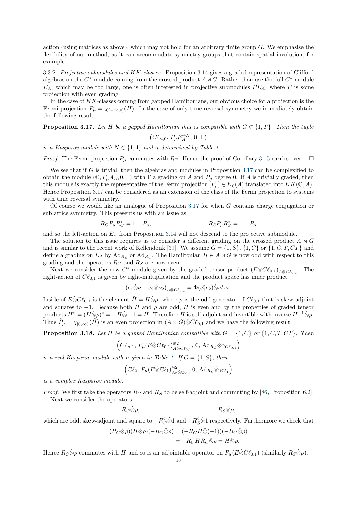action (using matrices as above), which may not hold for an arbitrary finite group  $G$ . We emphasise the flexibility of our method, as it can accommodate symmetry groups that contain spatial involution, for example.

3.3.2. Projective submodules and KK-classes. Proposition [3.14](#page-16-0) gives a graded representation of Clifford algebras on the  $C^*$ -module coming from the crossed product  $A \rtimes G$ . Rather than use the full  $C^*$ -module  $E_A$ , which may be too large, one is often interested in projective submodules  $PE_A$ , where P is some projection with even grading.

In the case of KK-classes coming from gapped Hamiltonians, our obvious choice for a projection is the Fermi projection  $P_{\mu} = \chi_{(-\infty,0]}(H)$ . In the case of only time-reversal symmetry we immediately obtain the following result.

<span id="page-17-0"></span>**Proposition 3.17.** Let H be a gapped Hamiltonian that is compatible with  $G \subset \{1, T\}$ . Then the tuple

$$
(C\ell_{n,0},\,P_{\mu}E_{A}^{\oplus N},\,0,\,\Gamma)
$$

is a Kasparov module with  $N \in \{1,4\}$  $N \in \{1,4\}$  $N \in \{1,4\}$  and n determined by Table 1

*Proof.* The Fermi projection  $P_\mu$  commutes with  $R_T$ . Hence the proof of Corollary [3.15](#page-16-1) carries over.  $\Box$ 

We see that if  $G$  is trivial, then the algebras and modules in Proposition [3.17](#page-17-0) can be complexified to obtain the module  $(\mathbb{C}, P_{\mu}A_A, 0, \Gamma)$  with  $\Gamma$  a grading on A and  $P_{\mu}$  degree 0. If A is trivially graded, then this module is exactly the representative of the Fermi projection  $[P_\mu] \in K_0(A)$  translated into  $KK(\mathbb{C}, A)$ . Hence Proposition [3.17](#page-17-0) can be considered as an extension of the class of the Fermi projection to systems with time reversal symmetry.

Of course we would like an analogue of Proposition [3.17](#page-17-0) for when G contains charge conjugation or sublattice symmetry. This presents us with an issue as

$$
R_C P_\mu R_C^* = 1 - P_\mu, \qquad R_S P_\mu R_S^* = 1 - P_\mu
$$

and so the left-action on  $E_A$  from Proposition [3.14](#page-16-0) will not descend to the projective submodule.

The solution to this issue requires us to consider a different grading on the crossed product  $A \rtimes G$ and is similar to the recent work of Kellendonk [\[39\]](#page-31-7). We assume  $G = \{1, S\}$ ,  $\{1, C\}$  or  $\{1, C, T, CT\}$  and define a grading on  $E_A$  by  $Ad_{R_S}$  or  $Ad_{R_C}$ . The Hamiltonian  $H \in A \rtimes G$  is now odd with respect to this grading and the operators  $R_C$  and  $R_S$  are now even.

Next we consider the new C<sup>\*</sup>-module given by the graded tensor product  $(E \hat{\otimes} C\ell_{0,1})_{A \hat{\otimes} C\ell_{0,1}}$ . The right-action of  $C\ell_{0,1}$  is given by right-multiplication and the product space has inner product

$$
(e_1 \hat{\otimes} \nu_1 \mid e_2 \hat{\otimes} \nu_2)_{A \hat{\otimes} C \ell_{0,1}} = \Phi(e_1^* e_2) \hat{\otimes} \nu_1^* \nu_2.
$$

Inside of  $E\hat{\otimes}C\ell_{0,1}$  is the element  $\tilde{H} = H\hat{\otimes}\rho$ , where  $\rho$  is the odd generator of  $C\ell_{0,1}$  that is skew-adjoint and squares to  $-1$ . Because both H and  $\rho$  are odd,  $\tilde{H}$  is even and by the properties of graded tensor products  $\tilde{H}^* = (H \hat{\otimes} \rho)^* = -H \hat{\otimes} -1 = \tilde{H}$ . Therefore  $\tilde{H}$  is self-adjoint and invertible with inverse  $H^{-1} \hat{\otimes} \rho$ . Thus  $\tilde{P}_{\mu} = \chi_{[0,\infty)}(\tilde{H})$  is an even projection in  $(A \rtimes G) \hat{\otimes} C \ell_{0,1}$  and we have the following result.

<span id="page-17-1"></span>**Proposition 3.18.** Let H be a gapped Hamiltonian compatible with  $G = \{1, C\}$  or  $\{1, C, T, CT\}$ . Then

$$
\left( C\ell_{n,1},\, \tilde{P}_{\mu}(E\hat{\otimes} C\ell_{0,1})^{\oplus 2}_{A\hat{\otimes} C\ell_{0,1}},\, 0,\, \mathrm{Ad}_{R_C}\hat{\otimes} \gamma_{C\ell_{0,1}}\right)
$$

is a real Kasparov module with n given in Table [1.](#page-13-0) If  $G = \{1, S\}$ , then

$$
\left(\mathbb{C}\ell_2,\,\tilde{P}_{\mu}(E\hat{\otimes}\mathbb{C}\ell_1)_{A_{\mathbb{C}}\hat{\otimes}\mathbb{C}\ell_1}^{\oplus2},\,0,\,\mathrm{Ad}_{R_S}\hat{\otimes}\gamma_{\mathbb{C}\ell_1}\right)
$$

is a complex Kasparov module.

*Proof.* We first take the operators  $R_C$  and  $R_S$  to be self-adjoint and commuting by [\[86,](#page-32-2) Proposition 6.2]. Next we consider the operators

 $R_{\mathcal{S}}\hat{\otimes}\rho,$   $R_{\mathcal{S}}\hat{\otimes}\rho,$ 

which are odd, skew-adjoint and square to  $-R_C^2 \hat{\otimes} 1$  and  $-R_S^2 \hat{\otimes} 1$  respectively. Furthermore we check that

$$
(R_C \hat{\otimes} \rho)(H \hat{\otimes} \rho)(-R_C \hat{\otimes} \rho) = (-R_C H \hat{\otimes} (-1))(-R_C \hat{\otimes} \rho)
$$
  
= -R\_C H R\_C \hat{\otimes} \rho = H \hat{\otimes} \rho.

Hence  $R_C \hat{\otimes} \rho$  commutes with  $\tilde{H}$  and so is an adjointable operator on  $\tilde{P}_{\mu}(E \hat{\otimes} C\ell_{0,1})$  (similarly  $R_S \hat{\otimes} \rho$ ).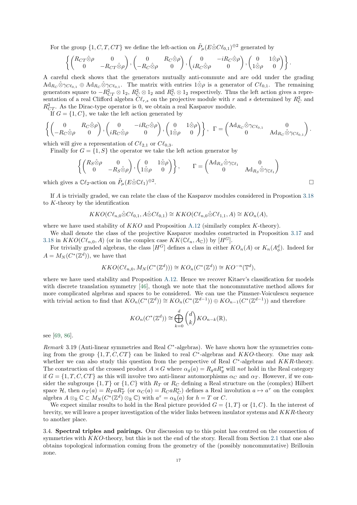For the group  $\{1, C, T, CT\}$  we define the left-action on  $\tilde{P}_{\mu}(E \hat{\otimes} C\ell_{0,1})^{\oplus 2}$  generated by

$$
\left\{\begin{pmatrix} R_{CT}\hat{\otimes}\rho & 0 \\ 0 & -R_{CT}\hat{\otimes}\rho \end{pmatrix}, \begin{pmatrix} 0 & R_C\hat{\otimes}\rho \\ -R_C\hat{\otimes}\rho & 0 \end{pmatrix}, \begin{pmatrix} 0 & -iR_C\hat{\otimes}\rho \\ iR_C\hat{\otimes}\rho & 0 \end{pmatrix}, \begin{pmatrix} 0 & 1\hat{\otimes}\rho \\ 1\hat{\otimes}\rho & 0 \end{pmatrix} \right\}.
$$

A careful check shows that the generators mutually anti-commute and are odd under the grading  $\mathrm{Ad}_{R_C}\hat{\otimes}\gamma_{C\ell_{0,1}}\oplus\mathrm{Ad}_{R_C}\hat{\otimes}\gamma_{C\ell_{0,1}}$ . The matrix with entries  $1\hat{\otimes}\rho$  is a generator of  $C\ell_{0,1}$ . The remaining generators square to  $-R_{CT}^2 \otimes 1_2$ ,  $R_C^2 \otimes 1_2$  and  $R_C^2 \otimes 1_2$  respectively. Thus the left action gives a representation of a real Clifford algebra  $C\ell_{r,s}$  on the projective module with r and s determined by  $R_C^2$  and  $R_{CT}^2$ . As the Dirac-type operator is 0, we obtain a real Kasparov module.

If  $G = \{1, C\}$ , we take the left action generated by

$$
\left\{ \begin{pmatrix} 0 & R_C \hat{\otimes} \rho \\ -R_C \hat{\otimes} \rho & 0 \end{pmatrix}, \begin{pmatrix} 0 & -iR_C \hat{\otimes} \rho \\ iR_C \hat{\otimes} \rho & 0 \end{pmatrix}, \begin{pmatrix} 0 & 1 \hat{\otimes} \rho \\ 1 \hat{\otimes} \rho & 0 \end{pmatrix} \right\}, \Gamma = \begin{pmatrix} \text{Ad}_{R_C} \hat{\otimes} \gamma_{C\ell_{0,1}} & 0 \\ 0 & \text{Ad}_{R_C} \hat{\otimes} \gamma_{C\ell_{0,1}} \end{pmatrix}.
$$

which will give a representation of  $C\ell_{2,1}$  or  $C\ell_{0,3}$ .

Finally for  $G = \{1, S\}$  the operator we take the left action generator by

$$
\left\{ \begin{pmatrix} R_S \hat{\otimes} \rho & 0 \\ 0 & -R_S \hat{\otimes} \rho \end{pmatrix}, \begin{pmatrix} 0 & 1 \hat{\otimes} \rho \\ 1 \hat{\otimes} \rho & 0 \end{pmatrix} \right\}, \qquad \Gamma = \begin{pmatrix} \text{Ad}_{R_S} \hat{\otimes} \gamma_{\mathbb{C}\ell_1} & 0 \\ 0 & \text{Ad}_{R_S} \hat{\otimes} \gamma_{\mathbb{C}\ell_1} \end{pmatrix}
$$
  
 $\iota$  C $\ell_2$ -action on  $\tilde{P}_{\mu}(E \hat{\otimes} C\ell_1)^{\oplus 2}$ .

which gives a  $\mathbb{C}\ell_2$ -action on  $\tilde{P}_\mu(E\hat{\otimes}\mathbb{C}\ell_1)^{\oplus 2}$ 

If A is trivially graded, we can relate the class of the Kasparov modules considered in Propostion [3.18](#page-17-1) to K-theory by the identification

$$
KKO(Cl_{n,0}\hat{\otimes}Cl_{0,1}, A\hat{\otimes}Cl_{0,1}) \cong KKO(Cl_{n,0}\hat{\otimes}Cl_{1,1}, A) \cong KO_n(A),
$$

where we have used stability of  $KKO$  and Proposition [A.12](#page-29-0) (similarly complex K-theory).

We shall denote the class of the projective Kasparov modules constructed in Proposition [3.17](#page-17-0) and [3.18](#page-17-1) in  $KKO(C\ell_{n,0}, A)$  (or in the complex case  $KK(\mathbb{C}\ell_n, A_{\mathbb{C}})$ ) by  $[H^G]$ .

For trivially graded algebras, the class  $[H^G]$  defines a class in either  $KO_n(A)$  or  $K_n(A^d_\phi)$ . Indeed for  $A = M_N(C^*(\mathbb{Z}^d))$ , we have that

$$
KKO(C\ell_{n,0}, M_N(C^*(\mathbb{Z}^d))) \cong KO_n(C^*(\mathbb{Z}^d)) \cong KO^{-n}(\mathbb{T}^d),
$$

where we have used stability and Proposition [A.12.](#page-29-0) Hence we recover Kitaev's classification for models with discrete translation symmetry [\[46\]](#page-31-3), though we note that the noncommutative method allows for more complicated algebras and spaces to be considered. We can use the Pimsner-Voiculescu sequence with trivial action to find that  $KO_n(C^*(\mathbb{Z}^d)) \cong KO_n(C^*(\mathbb{Z}^{d-1})) \oplus KO_{n-1}(C^*(\mathbb{Z}^{d-1}))$  and therefore

$$
KO_n(C^*(\mathbb{Z}^d)) \cong \bigoplus_{k=0}^d {d \choose k} KO_{n-k}(\mathbb{R}),
$$

see [\[69,](#page-32-9) [86\]](#page-32-2).

 $Remark 3.19$  (Anti-linear symmetries and Real  $C^*$ -algebras). We have shown how the symmetries coming from the group  $\{1, T, C, CT\}$  can be linked to real  $C^*$ -algebras and  $KKO$ -theory. One may ask whether we can also study this question from the perspective of Real  $C^*$ -algebras and  $KKR$ -theory. The construction of the crossed product  $A \rtimes G$  where  $\alpha_g(a) = R_g a R_g^*$  will not hold in the Real category if  $G = \{1, T, C, CT\}$  as this will involve two anti-linear automorphisms  $\alpha_C$  and  $\alpha_T$ . However, if we consider the subgroups  $\{1, T\}$  or  $\{1, C\}$  with  $R_T$  or  $R_C$  defining a Real structure on the (complex) Hilbert space H, then  $\alpha_T(a) = R_T a R_T^*$  (or  $\alpha_C(a) = R_C a R_C^*$ ) defines a Real involution  $a \mapsto a^{\tau}$  on the complex algebra  $A \otimes_{\mathbb{R}} \mathbb{C} \subset M_N(C^*(\mathbb{Z}^d) \otimes_{\mathbb{R}} \mathbb{C})$  with  $a^{\tau} = \alpha_h(a)$  for  $h = T$  or C.

We expect similar results to hold in the Real picture provided  $G = \{1, T\}$  or  $\{1, C\}$ . In the interest of brevity, we will leave a proper investigation of the wider links between insulator systems and KKR-theory to another place.

<span id="page-18-0"></span>3.4. Spectral triples and pairings. Our discussion up to this point has centred on the connection of symmetries with KKO-theory, but this is not the end of the story. Recall from Section [2.1](#page-4-1) that one also obtains topological information coming from the geometry of the (possibly noncommutative) Brillouin zone.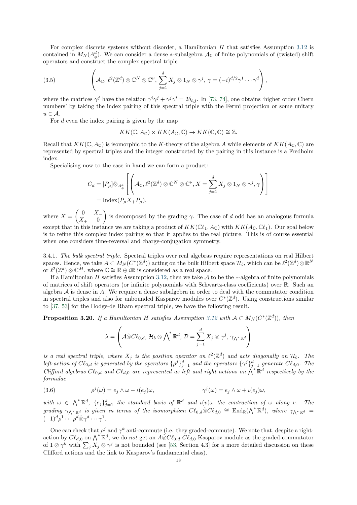For complex discrete systems without disorder, a Hamiltonian  $H$  that satisfies Assumption [3.12](#page-14-1) is contained in  $M_N(A^d_\phi)$ . We can consider a dense ∗-subalgebra  $\mathcal{A}_{\mathbb{C}}$  of finite polynomials of (twisted) shift operators and construct the complex spectral triple

<span id="page-19-1"></span>(3.5) 
$$
\left(\mathcal{A}_{\mathbb{C}}, \ell^2(\mathbb{Z}^d) \otimes \mathbb{C}^N \otimes \mathbb{C}^{\nu}, \sum_{j=1}^d X_j \otimes 1_N \otimes \gamma^j, \gamma = (-i)^{d/2} \gamma^1 \cdots \gamma^d \right),
$$

where the matrices  $\gamma^j$  have the relation  $\gamma^i \gamma^j + \gamma^j \gamma^i = 2\delta_{i,j}$ . In [\[73,](#page-32-5) [74\]](#page-32-6), one obtains 'higher order Chern numbers' by taking the index pairing of this spectral triple with the Fermi projection or some unitary  $u \in \mathcal{A}$ .

For  $d$  even the index pairing is given by the map

 $KK(\mathbb{C}, A_{\mathbb{C}}) \times KK(A_{\mathbb{C}}, \mathbb{C}) \to KK(\mathbb{C}, \mathbb{C}) \cong \mathbb{Z}.$ 

Recall that  $KK(\mathbb{C}, A_{\mathbb{C}})$  is isomorphic to the K-theory of the algebra A while elements of  $KK(A_{\mathbb{C}}, \mathbb{C})$  are represented by spectral triples and the integer constructed by the pairing in this instance is a Fredholm index.

Specialising now to the case in hand we can form a product:

$$
C_d = [P_\mu] \hat{\otimes}_{A^d_\phi} \left[ \left( \mathcal{A}_{\mathbb{C}}, \ell^2(\mathbb{Z}^d) \otimes \mathbb{C}^N \otimes \mathbb{C}^\nu, X = \sum_{j=1}^d X_j \otimes 1_N \otimes \gamma^j, \gamma \right) \right]
$$
  
= Index $(P_\mu X_+ P_\mu)$ ,

where  $X = \begin{pmatrix} 0 & X_{-1} \\ Y & 0 \end{pmatrix}$  $X_{+}$  0 is decomposed by the grading  $\gamma$ . The case of d odd has an analogous formula except that in this instance we are taking a product of  $KK(\mathbb{C}\ell_1, A_{\mathbb{C}})$  with  $KK(A_{\mathbb{C}}, \mathbb{C}\ell_1)$ . Our goal below is to refine this complex index pairing so that it applies to the real picture. This is of course essential when one considers time-reversal and charge-conjugation symmetry.

3.4.1. The bulk spectral triple. Spectral triples over real algebras require representations on real Hilbert spaces. Hence, we take  $A \subset M_N(C^*(\mathbb{Z}^d))$  acting on the bulk Hilbert space  $\mathcal{H}_b$ , which can be  $\ell^2(\mathbb{Z}^d) \otimes \mathbb{R}^N$ or  $\ell^2(\mathbb{Z}^d) \otimes \mathbb{C}^M$ , where  $\mathbb{C} \cong \mathbb{R} \oplus i\mathbb{R}$  is considered as a real space.

If a Hamiltonian H satisfies Assumption [3.12,](#page-14-1) then we take A to be the  $*$ -algebra of finite polynomials of matrices of shift operators (or infinite polynomials with Schwartz-class coefficients) over R. Such an algebra  $A$  is dense in  $A$ . We require a dense subalgebra in order to deal with the commutator condition in spectral triples and also for unbounded Kasparov modules over  $C^*(\mathbb{Z}^d)$ . Using constructions similar to [\[37,](#page-31-35) [53\]](#page-31-36) for the Hodge-de Rham spectral triple, we have the following result.

<span id="page-19-0"></span>**Proposition 3.20.** If a Hamiltonian H satisfies Assumption [3.12](#page-14-1) with  $A \subset M_N(C^*(\mathbb{Z}^d))$ , then

$$
\lambda = \left(\mathcal{A} \hat{\otimes} C\ell_{0,d}, \, \mathcal{H}_b \otimes \bigwedge^* \mathbb{R}^d, \, \mathcal{D} = \sum_{j=1}^d X_j \otimes \gamma^j, \, \gamma_{\bigwedge^* \mathbb{R}^d} \right)
$$

is a real spectral triple, where  $X_j$  is the position operator on  $\ell^2(\mathbb{Z}^d)$  and acts diagonally on  $\mathcal{H}_b$ . The left-action of  $C\ell_{0,d}$  is generated by the operators  $\{\rho^j\}_{j=1}^d$  and the operators  $\{\gamma^j\}_{j=1}^d$  generate  $C\ell_{d,0}$ . The Clifford algebras  $C\ell_{0,d}$  and  $C\ell_{d,0}$  are represented as left and right actions on  $\bigwedge^*\mathbb{R}^d$  respectively by the formulae

<span id="page-19-2"></span>(3.6) 
$$
\rho^{j}(\omega) = e_j \wedge \omega - \iota(e_j)\omega, \qquad \gamma^{j}(\omega) = e_j \wedge \omega + \iota(e_j)\omega,
$$

with  $\omega \in \bigwedge^* \mathbb{R}^d$ ,  $\{e_j\}_{j=1}^d$  the standard basis of  $\mathbb{R}^d$  and  $\iota(v)\omega$  the contraction of  $\omega$  along v. The grading  $\gamma_{\Lambda^*\mathbb{R}^d}$  is given in terms of the isomorphism  $C\ell_{0,d}\hat{\otimes}C\ell_{d,0}\cong \text{End}_{\mathbb{R}}(\Lambda^*\mathbb{R}^d)$ , where  $\gamma_{\Lambda^*\mathbb{R}^d}$  $(-1)^d \rho^1 \cdots \rho^d \hat{\otimes} \gamma^d \cdots \gamma^1.$ 

One can check that  $\rho^j$  and  $\gamma^k$  anti-commute (i.e. they graded-commute). We note that, despite a rightaction by  $C\ell_{d,0}$  on  $\bigwedge^*\mathbb{R}^d$ , we do not get an  $A\hat{\otimes}C\ell_{0,d}\text{-}C\ell_{d,0}$  Kasparov module as the graded-commutator of  $1 \otimes \gamma^k$  with  $\sum_j X_j \otimes \gamma^j$  is not bounded (see [\[53,](#page-31-36) Section 4.3] for a more detailed discussion on these Clifford actions and the link to Kasparov's fundamental class).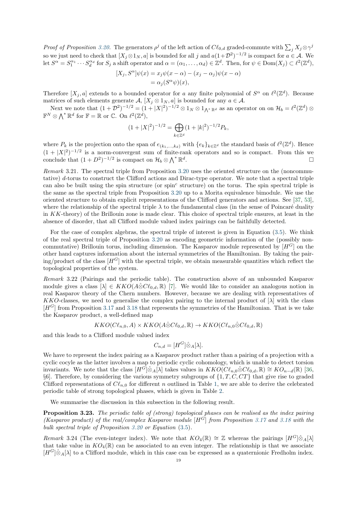Proof of Proposition [3.20.](#page-19-0) The generators  $\rho^j$  of the left action of  $C\ell_{0,d}$  graded-commute with  $\sum_j X_j \otimes \gamma^j$ so we just need to check that  $[X_j \otimes 1_N, a]$  is bounded for all j and  $a(1+\mathcal{D}^2)^{-1/2}$  is compact for  $a \in \mathcal{A}$ . We let  $S^{\alpha} = S_1^{\alpha_1} \cdots S_d^{\alpha_d}$  for  $S_j$  a shift operator and  $\alpha = (\alpha_1, \ldots, \alpha_d) \in \mathbb{Z}^d$ . Then, for  $\psi \in \text{Dom}(X_j) \subset \ell^2(\mathbb{Z}^d)$ ,

$$
[X_j, S^{\alpha}]\psi(x) = x_j \psi(x - \alpha) - (x_j - \alpha_j)\psi(x - \alpha)
$$
  
=  $\alpha_j (S^{\alpha}\psi)(x),$ 

Therefore  $[X_j, a]$  extends to a bounded operator for a any finite polynomial of  $S^{\alpha}$  on  $\ell^2(\mathbb{Z}^d)$ . Because matrices of such elements generate  $\mathcal{A}, [X_j \otimes 1_N, a]$  is bounded for any  $a \in \mathcal{A}$ .

Next we note that  $(1+\mathcal{D}^2)^{-1/2} = (1+|X|^2)^{-1/2} \otimes 1_N \otimes 1_{\bigwedge^* \mathbb{R}^d}$  as an operator on on  $\mathcal{H}_b = \ell^2(\mathbb{Z}^d) \otimes$  $\mathbb{F}^N \otimes \bigwedge^* \mathbb{R}^d$  for  $\mathbb{F} = \mathbb{R}$  or  $\mathbb{C}$ . On  $\ell^2(\mathbb{Z}^d)$ ,

$$
(1+|X|^2)^{-1/2} = \bigoplus_{k \in \mathbb{Z}^d} (1+|k|^2)^{-1/2} P_k,
$$

where  $P_k$  is the projection onto the span of  $e_{(k_1,...,k_d)}$  with  $\{e_k\}_{k\in\mathbb{Z}^d}$  the standard basis of  $\ell^2(\mathbb{Z}^d)$ . Hence  $(1+|X|^2)^{-1/2}$  is a norm-convergent sum of finite-rank operators and so is compact. From this we conclude that  $(1+D^2)^{-1/2}$  is compact on  $\mathcal{H}_b \otimes \bigwedge^* \mathbb{R}^d$ .

Remark 3.21. The spectral triple from Proposition [3.20](#page-19-0) uses the oriented structure on the (noncommutative) d-torus to construct the Clifford actions and Dirac-type operator. We note that a spectral triple can also be built using the spin structure (or spin<sup>c</sup> structure) on the torus. The spin spectral triple is the same as the spectral triple from Proposition [3.20](#page-19-0) up to a Morita equivalence bimodule. We use the oriented structure to obtain explicit representations of the Clifford generators and actions. See [\[37,](#page-31-35) [53\]](#page-31-36), where the relationship of the spectral triple  $\lambda$  to the fundamental class (in the sense of Poincaré duality in KK-theory) of the Brillouin zone is made clear. This choice of spectral triple ensures, at least in the absence of disorder, that all Clifford module valued index pairings can be faithfully detected.

For the case of complex algebras, the spectral triple of interest is given in Equation [\(3.5\)](#page-19-1). We think of the real spectral triple of Proposition [3.20](#page-19-0) as encoding geometric information of the (possibly noncommutative) Brillouin torus, including dimension. The Kasparov module represented by  $[H<sup>G</sup>]$  on the other hand captures information about the internal symmetries of the Hamiltonian. By taking the pairing/product of the class  $[H<sup>G</sup>]$  with the spectral triple, we obtain measurable quantities which reflect the topological properties of the system.

Remark 3.22 (Pairings and the periodic table). The construction above of an unbounded Kasparov module gives a class  $[\lambda] \in KKO(A\hat{\otimes}C\ell_{0,d},\mathbb{R})$  [\[7\]](#page-30-5). We would like to consider an analogous notion in real Kasparov theory of the Chern numbers. However, because we are dealing with representatives of KKO-classes, we need to generalise the complex pairing to the internal product of  $[\lambda]$  with the class  $[H<sup>G</sup>]$  from Proposition [3.17](#page-17-0) and [3.18](#page-17-1) that represents the symmetries of the Hamiltonian. That is we take the Kasparov product, a well-defined map

$$
KKO(C\ell_{n,0}, A) \times KKO(A \hat{\otimes} C\ell_{0,d}, \mathbb{R}) \to KKO(C\ell_{n,0} \hat{\otimes} C\ell_{0,d}, \mathbb{R})
$$

and this leads to a Clifford module valued index

$$
C_{n,d} = [H^G] \hat{\otimes}_A [\lambda].
$$

We have to represent the index pairing as a Kasparov product rather than a pairing of a projection with a cyclic cocyle as the latter involves a map to periodic cyclic cohomology, which is unable to detect torsion invariants. We note that the class  $[H^G]\hat{\otimes}_A[\lambda]$  takes values in  $KKO(C\ell_{n,0}\hat{\otimes}C\ell_{0,d}, \mathbb{R}) \cong KO_{n-d}(\mathbb{R})$  [\[36,](#page-31-8) §6]. Therefore, by considering the various symmetry subgroups of  $\{1, T, C, CT\}$  that give rise to graded Clifford representations of  $C\ell_{n,0}$  for different n outlined in Table [1,](#page-13-0) we are able to derive the celebrated periodic table of strong topological phases, which is given in Table [2.](#page-21-1)

We summarise the discussion in this subsection in the following result.

Proposition 3.23. The periodic table of (strong) topological phases can be realised as the index pairing (Kasparov product) of the real/complex Kasparov module  $[H^G]$  from Proposition [3.17](#page-17-0) and [3.18](#page-17-1) with the bulk spectral triple of Proposition [3.20](#page-19-0) or Equation [\(3.5\)](#page-19-1).

Remark 3.24 (The even-integer index). We note that  $KO_4(\mathbb{R}) \cong \mathbb{Z}$  whereas the pairings  $[H^G]\hat{\otimes}_A[\lambda]$ that take value in  $KO_4(\mathbb{R})$  can be associated to an even integer. The relationship is that we associate  $[H<sup>G</sup>]$ ⊗<sub>A</sub>[ $\lambda$ ] to a Clifford module, which in this case can be expressed as a quaternionic Fredholm index.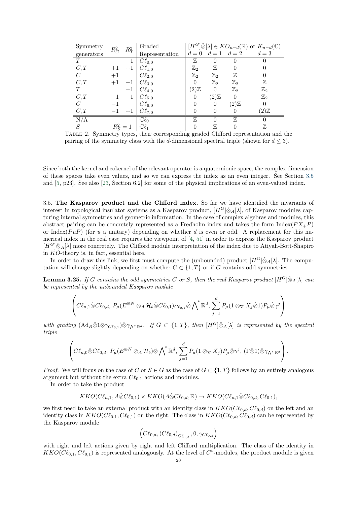| Symmetry              | $R_C^2$   | $R_T^2$ | Graded                 |                 |                 |                         | $[H^G] \hat{\otimes} [\lambda] \in KO_{n-d}(\mathbb{R})$ or $K_{n-d}(\mathbb{C})$ |
|-----------------------|-----------|---------|------------------------|-----------------|-----------------|-------------------------|-----------------------------------------------------------------------------------|
| $\,$ generators       |           |         | Representation         |                 |                 | $d = 0$ $d = 1$ $d = 2$ | $d=3$                                                                             |
| T                     |           | $+1$    | $C\ell_{0,0}$          | $\mathbb{Z}$    | O               |                         |                                                                                   |
| C, T                  | $+1$      | $+1$    | $C\ell_{1,0}$          | $\mathbb{Z}_2$  | $\mathbb Z$     |                         |                                                                                   |
| $\mathcal{C}_{0}^{0}$ | $+1$      |         | $C\ell_{2,0}$          | $\mathbb{Z}_2$  | $\mathbb{Z}_2$  | $\mathbb Z$             |                                                                                   |
| C, T                  | $+1$      | $-1$    | $C\ell_{3,0}$          | $\Omega$        | $\mathbb{Z}_2$  | $\mathbb{Z}_2$          | $\mathbb Z$                                                                       |
| T                     |           | $-1$    | $\mid C\ell_{4,0}\mid$ | $(2)\mathbb{Z}$ | $\theta$        | $\mathbb{Z}_2$          | $\mathbb{Z}_2$                                                                    |
| C, T                  |           | $-1$    | $C\ell_{5,0}$          | $\theta$        | $(2)\mathbb{Z}$ | $\theta$                | $\mathbb{Z}_2$                                                                    |
| $\mathcal{C}_{0}^{0}$ |           |         | $C\ell_{6,0}$          | $\Omega$        | $\overline{0}$  | $(2)\mathbb{Z}$         | 0                                                                                 |
| C, T                  | $-1$      | $+1$    | $C\ell_{7,0}$          | $\theta$        | $\theta$        |                         | $(2)\mathbb{Z}$                                                                   |
| N/A                   |           |         | $\mathbb{C}\ell_0$     | $\mathbb{Z}$    | $\Omega$        | 77,                     |                                                                                   |
| S                     | $R_S^2=1$ |         | $\mathbb{C}\ell_1$     |                 | $\mathbb Z$     |                         | $\mathbb{Z}$                                                                      |

<span id="page-21-1"></span>Table 2. Symmetry types, their corresponding graded Clifford representation and the pairing of the symmetry class with the d-dimensional spectral triple (shown for  $d \leq 3$ ).

Since both the kernel and cokernel of the relevant operator is a quaternionic space, the complex dimension of these spaces take even values, and so we can express the index as an even integer. See Section [3.5](#page-21-0) and [\[5,](#page-30-18) p23]. See also [\[23,](#page-31-4) Section 6.2] for some of the physical implications of an even-valued index.

<span id="page-21-0"></span>3.5. The Kasparov product and the Clifford index. So far we have identified the invariants of interest in topological insulator systems as a Kasparov product,  $[H<sup>G</sup>]$ ⊗<sub>*A[* $\lambda$ *]*, of Kasparov modules cap-</sub> turing internal symmetries and geometric information. In the case of complex algebras and modules, this abstract pairing can be concretely represented as a Fredholm index and takes the form  $Index(PX_+P)$ or Index( $PuP$ ) (for u a unitary) depending on whether d is even or odd. A replacement for this numerical index in the real case requires the viewpoint of [\[4,](#page-30-3) [51\]](#page-31-29) in order to express the Kasparov product  $[H<sup>G</sup>]$ ⊗<sub>A</sub>[ $\lambda$ ] more concretely. The Clifford module interpretation of the index due to Atiyah-Bott-Shapiro in KO-theory is, in fact, essential here.

In order to draw this link, we first must compute the (unbounded) product  $[H^G] \hat{\otimes}_A[\lambda]$ . The computation will change slightly depending on whether  $G \subset \{1, T\}$  or if G contains odd symmetries.

<span id="page-21-2"></span>**Lemma 3.25.** If G contains the odd symmetries C or S, then the real Kasparov product  $[H^G] \hat{\otimes}_A[\lambda]$  can be represented by the unbounded Kasparov module

$$
\left(C\ell_{n,1}\hat{\otimes}C\ell_{0,d},\,\tilde{P}_{\mu}(E^{\oplus N}\otimes_{A}\mathcal{H}_{b}\hat{\otimes}C\ell_{0,1})_{C\ell_{0,1}}\hat{\otimes}\bigwedge^{*}\mathbb{R}^{d},\,\sum_{j=1}^{d}\tilde{P}_{\mu}(1\otimes_{\nabla}X_{j}\hat{\otimes}1)\tilde{P}_{\mu}\hat{\otimes}\gamma^{j}\right)
$$

with grading  $(Ad_R\hat{\otimes}1\hat{\otimes}\gamma_{C\ell_{0,1}})\hat{\otimes}\gamma_{\Lambda^*\mathbb{R}^d}$ . If  $G \subset \{1,T\}$ , then  $[H^G]\hat{\otimes}_A[\lambda]$  is represented by the spectral triple

$$
\left(C\ell_{n,0}\hat{\otimes}C\ell_{0,d},\,P_{\mu}(E^{\oplus N}\otimes_{A}\mathcal{H}_{b})\hat{\otimes}\bigwedge^{*}\mathbb{R}^{d},\,\sum_{j=1}^{d}P_{\mu}(1\otimes_{\nabla}X_{j})P_{\mu}\hat{\otimes}\gamma^{j},\,(\Gamma\hat{\otimes}1)\hat{\otimes}\gamma_{\bigwedge^{*}\mathbb{R}^{d}}\right).
$$

*Proof.* We will focus on the case of C or  $S \in G$  as the case of  $G \subset \{1, T\}$  follows by an entirely analogous argument but without the extra  $C\ell_{0,1}$  actions and modules.

In order to take the product

$$
KKO(C\ell_{n,1}, A \hat{\otimes} C\ell_{0,1}) \times KKO(A \hat{\otimes} C\ell_{0,d}, \mathbb{R}) \to KKO(C\ell_{n,1} \hat{\otimes} C\ell_{0,d}, C\ell_{0,1}),
$$

we first need to take an external product with an identity class in  $KKO(C\ell_{0,d}, C\ell_{0,d})$  on the left and an identity class in  $KKO(C\ell_{0,1}, C\ell_{0,1})$  on the right. The class in  $KKO(C\ell_{0,d}, C\ell_{0,d})$  can be represented by the Kasparov module

$$
\left(C\ell_{0,d}, \left(C\ell_{0,d}\right)_{C\ell_{0,d}}, 0, \gamma_{C\ell_{0,d}}\right)
$$

with right and left actions given by right and left Clifford multiplication. The class of the identity in  $KKO(C\ell_{0,1}, C\ell_{0,1})$  is represented analogously. At the level of  $C^*$ -modules, the product module is given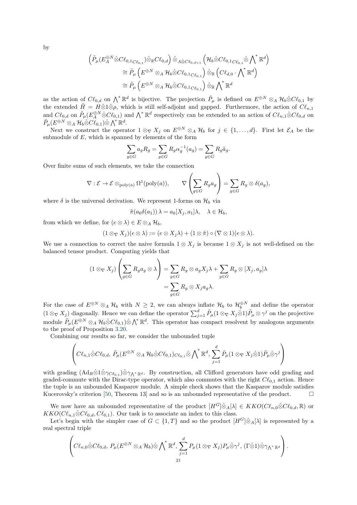by

$$
\begin{aligned}\n\left(\tilde{P}_{\mu}(E_{A}^{\oplus N}\hat{\otimes}C\ell_{0,1_{C\ell_{0,1}}})\hat{\otimes}_{\mathbb{R}}C\ell_{0,d}\right)\hat{\otimes}_{A\hat{\otimes}C\ell_{0,d+1}}\left(\mathcal{H}_{b}\hat{\otimes}C\ell_{0,1_{C\ell_{0,1}}}\hat{\otimes}\bigwedge^{*}\mathbb{R}^{d}\right) \\
&\cong \tilde{P}_{\mu}\left(E^{\oplus N}\otimes_{A}\mathcal{H}_{b}\hat{\otimes}C\ell_{0,1_{C\ell_{0,1}}}\right)\hat{\otimes}_{\mathbb{R}}\left(C\ell_{d,0}\cdot\bigwedge^{*}\mathbb{R}^{d}\right) \\
&\cong \tilde{P}_{\mu}\left(E^{\oplus N}\otimes_{A}\mathcal{H}_{b}\hat{\otimes}C\ell_{0,1_{C\ell_{0,1}}}\right)\hat{\otimes}_{\mathbb{R}}\bigwedge^{*}\mathbb{R}^{d}\n\end{aligned}
$$

as the action of  $C\ell_{0,d}$  on  $\bigwedge^*\mathbb{R}^d$  is bijective. The projection  $\tilde{P}_{\mu}$  is defined on  $E^{\oplus N} \otimes_A \mathcal{H}_b \hat{\otimes} C\ell_{0,1}$  by the extended  $\tilde{H} = H \hat{\otimes} 1 \hat{\otimes} \rho$ , which is still self-adjoint and gapped. Furthermore, the action of  $Cl_{n,1}$ and  $C\ell_{0,d}$  on  $\tilde{P}_{\mu}(E_A^{\oplus N}\hat{\otimes}C\ell_{0,1})$  and  $\bigwedge^* \mathbb{R}^d$  respectively can be extended to an action of  $C\ell_{n,1}\hat{\otimes}C\ell_{0,d}$  on  $\tilde{P}_\mu(E^{\oplus N}\otimes_A \mathcal{H}_b\hat{\otimes} C\hat{\ell}_{0,1})\hat{\otimes}\bigwedge^* \mathbb{R}^d.$ 

Next we construct the operator  $1 \otimes_{\nabla} X_j$  on  $E^{\oplus N} \otimes_A \mathcal{H}_b$  for  $j \in \{1, ..., d\}$ . First let  $\mathcal{E}_A$  be the submodule of  $E$ , which is spanned by elements of the form

$$
\sum_{g \in G} a_g R_g = \sum_{g \in G} R_g \alpha_g^{-1}(a_g) = \sum_{g \in G} R_g \tilde{a}_g.
$$

Over finite sums of such elements, we take the connection

$$
\nabla : \mathcal{E} \to \mathcal{E} \otimes_{\text{poly}(a)} \Omega^1(\text{poly}(a)), \qquad \nabla \left( \sum_{g \in G} R_g a_g \right) = \sum_{g \in G} R_g \otimes \delta(a_g),
$$

where  $\delta$  is the universal derivation. We represent 1-forms on  $\mathcal{H}_b$  via

$$
\tilde{\pi}(a_0\delta(a_1))\,\lambda = a_0[X_j, a_1]\lambda, \quad \lambda \in \mathcal{H}_b,
$$

from which we define, for  $(e \otimes \lambda) \in E \otimes_A \mathcal{H}_b$ ,

$$
(1\otimes_{\nabla} X_j)(e\otimes \lambda):=(e\otimes X_j\lambda)+(1\otimes \tilde{\pi})\circ (\nabla\otimes 1)(e\otimes \lambda).
$$

We use a connection to correct the naive formula  $1 \otimes X_j$  is because  $1 \otimes X_j$  is not well-defined on the balanced tensor product. Computing yields that

$$
(1 \otimes_{\nabla} X_j) \left( \sum_{g \in G} R_g a_g \otimes \lambda \right) = \sum_{g \in G} R_g \otimes a_g X_j \lambda + \sum_{g \in G} R_g \otimes [X_j, a_g] \lambda = \sum_{g \in G} R_g \otimes X_j a_g \lambda.
$$

For the case of  $E^{\oplus N} \otimes_A \mathcal{H}_b$  with  $N \geq 2$ , we can always inflate  $\mathcal{H}_b$  to  $\mathcal{H}_b^{\oplus N}$  and define the operator  $(1 \otimes_{\nabla} X_j)$  diagonally. Hence we can define the operator  $\sum_{j=1}^d \tilde{P}_\mu(1 \otimes_{\nabla} X_j \hat{\otimes} 1) \tilde{P}_\mu \otimes \gamma^j$  on the projective module  $\tilde{P}_{\mu}(E^{\oplus N} \otimes_A \mathcal{H}_b \hat{\otimes} C\ell_{0,1}) \hat{\otimes} \bigwedge^* \mathbb{R}^d$ . This operator has compact resolvent by analogous arguments to the proof of Proposition [3.20.](#page-19-0)

Combining our results so far, we consider the unbounded tuple

$$
\left(C\ell_{n,1}\hat{\otimes}C\ell_{0,d},\,\tilde{P}_{\mu}(E^{\oplus N}\otimes_{A}\mathcal{H}_{b}\hat{\otimes}C\ell_{0,1})_{C\ell_{0,1}}\hat{\otimes}\bigwedge^{*}\mathbb{R}^{d},\,\sum_{j=1}^{d}\tilde{P}_{\mu}(1\otimes_{\nabla}X_{j}\hat{\otimes}1)\tilde{P}_{\mu}\hat{\otimes}\gamma^{j}\right)
$$

with grading  $(Ad_R \hat{\otimes} 1 \hat{\otimes} \gamma_{C\ell_{0,1}}) \hat{\otimes} \gamma_{\Lambda^* \mathbb{R}^d}$ . By construction, all Clifford generators have odd grading and graded-commute with the Dirac-type operator, which also commutes with the right  $C\ell_{0,1}$  action. Hence the tuple is an unbounded Kasparov module. A simple check shows that the Kasparov module satisfies Kucerovsky's criterion [\[50,](#page-31-11) Theorem 13] and so is an unbounded representative of the product.  $\square$ 

We now have an unbounded representative of the product  $[H^G]\hat{\otimes}_A[\lambda] \in KKO(Cl_{n,0}\hat{\otimes}Cl_{0,d},\mathbb{R})$  or  $KKO(C\ell_{n,1}\hat{\otimes}C\ell_{0,d}, C\ell_{0,1})$ . Our task is to associate an index to this class.

Let's begin with the simpler case of  $G \subset \{1,T\}$  and so the product  $[H^G] \hat{\otimes}_A[\lambda]$  is represented by a real spectral triple

$$
\left(C\ell_{n,0}\hat{\otimes}C\ell_{0,d},\,P_{\mu}(E^{\oplus N}\otimes_{A}\mathcal{H}_{b})\hat{\otimes}\bigwedge^{*}\mathbb{R}^{d},\,\sum_{j=1}^{d}P_{\mu}(1\otimes_{\nabla}X_{j})P_{\mu}\hat{\otimes}\gamma^{j},\,(\Gamma\hat{\otimes}1)\hat{\otimes}\gamma_{\bigwedge^{*}\mathbb{R}^{d}}\right).
$$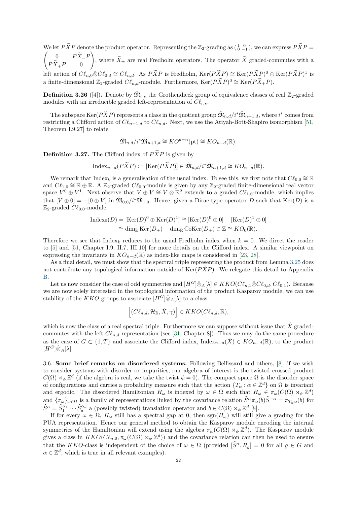We let  $P\widetilde{X}P$  denote the product operator. Representing the  $\mathbb{Z}_2$ -grading as  $\begin{pmatrix} 1 & 0 \\ 0 & -1 \end{pmatrix}$ We let PXP denote the product operator. Representing the  $\mathbb{Z}_2$ -grading as  $\begin{pmatrix} 1 & 0 \\ 0 & -1 \end{pmatrix}$ , we can express  $PXP =$ <br>  $\begin{pmatrix} 0 & P\tilde{X} & P \end{pmatrix}$  $\begin{array}{cc} 0 & PX\_F \end{array}$  $PX_+P$  0  $\setminus$ , where  $X_{\pm}$  are real Fredholm operators. The operator X graded-commutes with a left action of  $C\ell_{n,0}\hat{\otimes}C\ell_{0,d}\cong C\ell_{n,d}$ . As  $P\widetilde{X}P$  is Fredholm,  $\text{Ker}(P\widetilde{X}P)\cong \text{Ker}(P\widetilde{X}P)^0\oplus \text{Ker}(P\widetilde{X}P)^1$  is a finite-dimensional  $\mathbb{Z}_2$ -graded  $C\ell_{n,d}$ -module. Furthermore, Ker $(P\widetilde{X}P)^0 \cong \text{Ker}(P\widetilde{X}_+P)$ .

**Definition 3.26** ([\[4\]](#page-30-3)). Denote by  $\hat{M}_{r,s}$  the Grothendieck group of equivalence classes of real  $\mathbb{Z}_2$ -graded modules with an irreducible graded left-representation of  $Cl_{rs}$ .

The subspace Ker $(P\widetilde{X}P)$  represents a class in the quotient group  $\hat{M}_{n,d}/i^*\hat{M}_{n+1,d}$ , where  $i^*$  comes from restricting a Clifford action of  $Cl_{n+1,d}$  to  $Cl_{n,d}$ . Next, we use the Atiyah-Bott-Shapiro isomorphism [\[51,](#page-31-29) Theorem I.9.27] to relate

$$
\hat{\mathfrak{M}}_{n,d}/i^*\hat{\mathfrak{M}}_{n+1,d} \cong KO^{d-n}(\text{pt}) \cong KO_{n-d}(\mathbb{R}).
$$

**Definition 3.27.** The Clifford index of  $P\widetilde{X}P$  is given by

$$
\text{Index}_{n-d}(P\widetilde{X}P) := [\text{Ker}(P\widetilde{X}P)] \in \hat{\mathfrak{M}}_{n,d}/i^*\hat{\mathfrak{M}}_{n+1,d} \cong KO_{n-d}(\mathbb{R}).
$$

We remark that  $\text{Index}_k$  is a generalisation of the usual index. To see this, we first note that  $C\ell_{0,0} \cong \mathbb{R}$ and  $C\ell_{1,0} \cong \mathbb{R} \oplus \mathbb{R}$ . A  $\mathbb{Z}_2$ -graded  $C\ell_{0,0}$ -module is given by any  $\mathbb{Z}_2$ -graded finite-dimensional real vector space  $V^0 \oplus V^1$ . Next observe that  $V \oplus V \cong V \otimes \mathbb{R}^2$  extends to a graded  $Cl_{1,0}$ -module, which implies that  $[V \oplus 0] = -[0 \oplus V]$  in  $\hat{\mathfrak{M}}_{0,0}/i^* \hat{\mathfrak{M}}_{1,0}$ . Hence, given a Dirac-type operator D such that Ker $(D)$  is a  $\mathbb{Z}_2$ -graded  $C\ell_{0,0}$ -module,

$$
\begin{aligned} \text{Index}_{0}(D) &= [\text{Ker}(D)^{0} \oplus \text{Ker}(D)^{1}] \cong [\text{Ker}(D)^{0} \oplus 0] - [\text{Ker}(D)^{1} \oplus 0] \\ &\cong \dim_{\mathbb{R}} \text{Ker}(D_{+}) - \dim_{\mathbb{R}} \text{Coker}(D_{+}) \in \mathbb{Z} \cong KO_{0}(\mathbb{R}). \end{aligned}
$$

Therefore we see that Index<sub>k</sub> reduces to the usual Fredholm index when  $k = 0$ . We direct the reader to [\[5\]](#page-30-18) and [\[51,](#page-31-29) Chapter I.9, II.7, III.10] for more details on the Clifford index. A similar viewpoint on expressing the invariants in  $KO_{n-d}(\mathbb{R})$  as index-like maps is considered in [\[23,](#page-31-4) [28\]](#page-31-6).

As a final detail, we must show that the spectral triple representing the product from Lemma [3.25](#page-21-2) does not contribute any topological information outside of  $\text{Ker}(P\tilde{X}P)$ . We relegate this detail to Appendix [B.](#page-30-0)

Let us now consider the case of odd symmetries and  $[H^G]\hat{\otimes}_A[\lambda] \in KKO(C\ell_{n,1}\hat{\otimes}C\ell_{0,d}, C\ell_{0,1})$ . Because we are now solely interested in the topological information of the product Kasparov module, we can use stability of the KKO groups to associate  $[H^G] \hat{\otimes}_A[\lambda]$  to a class

$$
\left[ (C\ell_{n,d}, \mathcal{H}_{\mathbb{R}}, \hat{X}, \gamma) \right] \in KKO(C\ell_{n,d}, \mathbb{R}),
$$

which is now the class of a real spectral triple. Furthermore we can suppose without issue that  $\hat{X}$  gradedcommutes with the left  $C\ell_{n,d}$  representation (see [\[31,](#page-31-37) Chapter 8]). Thus we may do the same procedure as the case of  $G \subset \{1, T\}$  and associate the Clifford index, Index<sub>n−d</sub>( $\hat{X}$ )  $\in KO_{n-d}(\mathbb{R})$ , to the product  $[H^G]\hat{\otimes}_A[\lambda].$ 

<span id="page-23-0"></span>3.6. Some brief remarks on disordered systems. Following Bellissard and others, [\[8\]](#page-30-8), if we wish to consider systems with disorder or impurities, our algebra of interest is the twisted crossed product  $C(\Omega) \rtimes_{\phi} \mathbb{Z}^d$  (if the algebra is real, we take the twist  $\phi = 0$ ). The compact space  $\Omega$  is the disorder space of configurations and carries a probability measure such that the action  $\{T_{\alpha} : \alpha \in \mathbb{Z}^d\}$  on  $\Omega$  is invariant and ergodic. The disordered Hamiltonian  $H_{\omega}$  is indexed by  $\omega \in \Omega$  such that  $H_{\omega} \in \pi_{\omega}(C(\Omega) \rtimes_{\phi} \mathbb{Z}^d)$ and  ${\lbrace \pi_{\omega} \rbrace_{\omega \in \Omega}}$  is a family of representations linked by the covariance relation  $\hat{S}^{\alpha} \pi_{\omega}(b) \hat{S}^{-\alpha} = \pi_{T_{\alpha} \omega}(b)$  for  $\widehat{S}^{\alpha} = \widehat{S}^{\alpha_1}_1 \cdots \widehat{S}^{\alpha_d}_d$  a (possibly twisted) translation operator and  $b \in C(\Omega) \rtimes_{\phi} \mathbb{Z}^d$  [\[8\]](#page-30-8).

If for every  $\omega \in \Omega$ ,  $H_{\omega}$  still has a spectral gap at 0, then sgn( $H_{\omega}$ ) will still give a grading for the PUA representation. Hence our general method to obtain the Kasparov module encoding the internal symmetries of the Hamiltonian will extend using the algebra  $\pi_{\omega}(C(\Omega) \rtimes_{\phi} \mathbb{Z}^d)$ . The Kasparov module gives a class in  $KKO(C\ell_{n,0}, \pi_\omega(C(\Omega) \rtimes_{\phi} \mathbb{Z}^d))$  and the covariance relation can then be used to ensure that the KKO-class is independent of the choice of  $\omega \in \Omega$  (provided  $[\widehat{S}^{\alpha}, R_{q}] = 0$  for all  $g \in G$  and  $\alpha \in \mathbb{Z}^d$ , which is true in all relevant examples).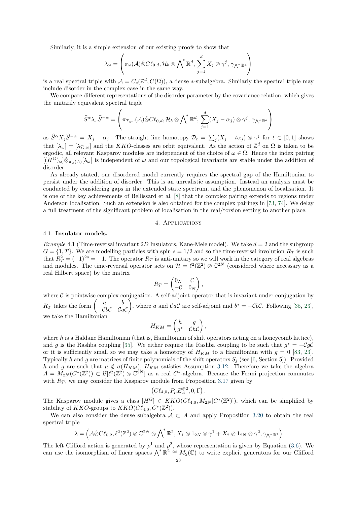Similarly, it is a simple extension of our existing proofs to show that

$$
\lambda_{\omega} = \left(\pi_{\omega}(\mathcal{A})\hat{\otimes}C\ell_{0,d}, \mathcal{H}_b\otimes\bigwedge^*\mathbb{R}^d, \sum_{j=1}^d X_j\otimes\gamma^j, \gamma_{\bigwedge^*\mathbb{R}^d}\right)
$$

is a real spectral triple with  $\mathcal{A} = C_c(\mathbb{Z}^d, C(\Omega))$ , a dense \*-subalgebra. Similarly the spectral triple may include disorder in the complex case in the same way.

We compare different representations of the disorder parameter by the covariance relation, which gives the unitarily equivalent spectral triple

$$
\widehat{S}^{\alpha}\lambda_{\omega}\widehat{S}^{-\alpha}=\left(\pi_{T_{\alpha}\omega}(\mathcal{A})\hat{\otimes}C\ell_{0,d},\mathcal{H}_{b}\otimes \bigwedge\nolimits^{*}\mathbb{R}^{d},\, \sum_{j=1}^{d}(X_{j}-\alpha_{j})\otimes\gamma^{j},\, \gamma_{\bigwedge^{*}\mathbb{R}^{d}}\right)
$$

as  $\widehat{S}^{\alpha}X_j\widehat{S}^{-\alpha} = X_j - \alpha_j$ . The straight line homotopy  $\mathcal{D}_t = \sum_j (X_j - t\alpha_j) \otimes \gamma^j$  for  $t \in [0,1]$  shows that  $[\lambda_{\omega}] = [\lambda_{T_{\alpha}\omega}]$  and the KKO-classes are orbit equivalent. As the action of  $\mathbb{Z}^d$  on  $\Omega$  is taken to be ergodic, all relevant Kasparov modules are independent of the choice of  $\omega \in \Omega$ . Hence the index pairing  $[(H^G)_{\omega}] \hat{\otimes}_{\pi_{\omega}(A)}[\lambda_{\omega}]$  is independent of  $\omega$  and our topological invariants are stable under the addition of disorder.

As already stated, our disordered model currently requires the spectral gap of the Hamiltonian to persist under the addition of disorder. This is an unrealistic assumption. Instead an analysis must be conducted by considering gaps in the extended state spectrum, and the phenomenon of localisation. It is one of the key achievements of Bellissard et al. [\[8\]](#page-30-8) that the complex pairing extends to regions under Anderson localisation. Such an extension is also obtained for the complex pairings in [\[73,](#page-32-5) [74\]](#page-32-6). We delay a full treatment of the significant problem of localisation in the real/torsion setting to another place.

#### 4. Applications

#### <span id="page-24-1"></span><span id="page-24-0"></span>4.1. Insulator models.

Example 4.1 (Time-reversal invariant 2D Insulators, Kane-Mele model). We take  $d = 2$  and the subgroup  $G = \{1, T\}$ . We are modelling particles with spin  $s = 1/2$  and so the time-reversal involution  $R_T$  is such that  $R_T^2 = (-1)^{2s} = -1$ . The operator  $R_T$  is anti-unitary so we will work in the category of real algebras and modules. The time-reversal operator acts on  $\mathcal{H} = \ell^2(\mathbb{Z}^2) \otimes \mathbb{C}^{2N}$  (considered where necessary as a real Hilbert space) by the matrix

$$
R_T = \begin{pmatrix} 0_N & \mathcal{C} \\ -\mathcal{C} & 0_N \end{pmatrix},
$$

where  $\mathcal C$  is pointwise complex conjugation. A self-adjoint operator that is invariant under conjugation by  $R_T$  takes the form  $\begin{pmatrix} a & b \\ c & c \end{pmatrix}$  $-CbC$   $CaC$ ), where a and  $CaC$  are self-adjoint and  $b^* = -CbC$ . Following [\[35,](#page-31-14) [23\]](#page-31-4), we take the Hamiltonian

$$
H_{KM} = \begin{pmatrix} h & g \\ g^* & \mathcal{C}h\mathcal{C} \end{pmatrix},
$$

where  $h$  is a Haldane Hamiltonian (that is, Hamiltonian of shift operators acting on a honeycomb lattice), and g is the Rashba coupling [\[35\]](#page-31-14). We either require the Rashba coupling to be such that  $g^* = -CgC$ or it is sufficiently small so we may take a homotopy of  $H_{KM}$  to a Hamiltonian with  $g = 0$  [\[83,](#page-32-17) [23\]](#page-31-4). Typically h and g are matrices of finite polynomials of the shift operators  $S_j$  (see [\[6,](#page-30-17) Section 5]). Provided h and g are such that  $\mu \notin \sigma(H_{KM})$ ,  $H_{KM}$  satisfies Assumption [3.12.](#page-14-1) Therefore we take the algebra  $A = M_{2N}(C^*(\mathbb{Z}^2)) \subset \mathcal{B}[\ell^2(\mathbb{Z}^2) \otimes \mathbb{C}^{2N}]$  as a real  $C^*$ -algebra. Because the Fermi projection commutes with  $R_T$ , we may consider the Kasparov module from Proposition [3.17](#page-17-0) given by

$$
(C\ell_{4,0}, P_{\mu}E_A^{\oplus 2}, 0, \Gamma).
$$

The Kasparov module gives a class  $[H^G] \in KKO(C\ell_{4,0}, M_{2N}[C^*(\mathbb{Z}^2)])$ , which can be simplified by stability of KKO-groups to  $KKO(C\ell_{4,0}, C^*(\mathbb{Z}^2)).$ 

We can also consider the dense subalgebra  $A \subset A$  and apply Proposition [3.20](#page-19-0) to obtain the real spectral triple

$$
\lambda = \left(\mathcal{A}\hat{\otimes}C\ell_{0,2}, \ell^2(\mathbb{Z}^2)\otimes\mathbb{C}^{2N}\otimes{\bigwedge}^*\mathbb{R}^2, X_1\otimes 1_{2N}\otimes\gamma^1 + X_2\otimes 1_{2N}\otimes\gamma^2, \gamma_{{\bigwedge}^*\mathbb{R}^2}\right)
$$

The left Clifford action is generated by  $\rho^1$  and  $\rho^2$ , whose representation is given by Equation [\(3.6\)](#page-19-2). We can use the isomorphism of linear spaces  $\bigwedge^* \mathbb{R}^2 \cong M_2(\mathbb{C})$  to write explicit generators for our Clifford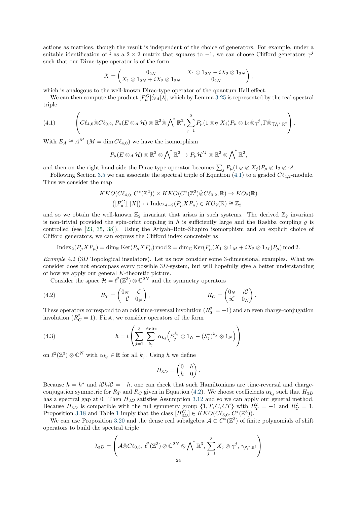actions as matrices, though the result is independent of the choice of generators. For example, under a suitable identification of i as a 2 × 2 matrix that squares to  $-1$ , we can choose Clifford generators  $\gamma^j$ such that our Dirac-type operator is of the form

$$
X = \begin{pmatrix} 0_{2N} & X_1 \otimes 1_{2N} - iX_2 \otimes 1_{2N} \\ X_1 \otimes 1_{2N} + iX_2 \otimes 1_{2N} & 0_{2N} \end{pmatrix},
$$

which is analogous to the well-known Dirac-type operator of the quantum Hall effect.

We can then compute the product  $[P_\mu^G] \hat{\otimes}_A[\lambda]$ , which by Lemma [3.25](#page-21-2) is represented by the real spectral triple

<span id="page-25-0"></span>
$$
(4.1) \qquad \left(C\ell_{4,0}\hat{\otimes}C\ell_{0,2},P_{\mu}(E\otimes_A \mathcal{H})\otimes\mathbb{R}^2\hat{\otimes}\bigwedge^*\mathbb{R}^2,\sum_{j=1}^2P_{\mu}(1\otimes_{\nabla}X_j)P_{\mu}\otimes1_2\hat{\otimes}\gamma^j,\Gamma\hat{\otimes}\gamma_{\Lambda^*\mathbb{R}^2}\right).
$$

With  $E_A \cong A^M$  ( $M = \dim C\ell_{4,0}$ ) we have the isomorphism

$$
P_{\mu}(E\otimes_A \mathcal{H})\otimes \mathbb{R}^2\otimes {\bigwedge}^*\mathbb{R}^2 \to P_{\mu}\mathcal{H}^M\otimes \mathbb{R}^2\otimes {\bigwedge}^*\mathbb{R}^2,
$$

and then on the right hand side the Dirac-type operator becomes  $\sum_j P_\mu(1_M \otimes X_j) P_\mu \otimes 1_2 \otimes \gamma^j$ .

Following Section [3.5](#page-21-0) we can associate the spectral triple of Equation [\(4.1\)](#page-25-0) to a graded  $Cl_{4,2}$ -module. Thus we consider the map

$$
KKO(C\ell_{4,0}, C^*(\mathbb{Z}^2)) \times KKO(C^*(\mathbb{Z}^2)\hat{\otimes}C\ell_{0,2}, \mathbb{R}) \to KO_2(\mathbb{R})
$$
  

$$
([P^G_\mu], [X]) \mapsto \text{Index}_{4-2}(P_\mu X P_\mu) \in KO_2(\mathbb{R}) \cong \mathbb{Z}_2
$$

and so we obtain the well-known  $\mathbb{Z}_2$  invariant that arises in such systems. The derived  $\mathbb{Z}_2$  invariant is non-trivial provided the spin-orbit coupling in h is sufficiently large and the Rashba coupling  $q$  is controlled (see [\[23,](#page-31-4) [35,](#page-31-14) [38\]](#page-31-28)). Using the Atiyah–Bott–Shapiro isomorphism and an explicit choice of Clifford generators, we can express the Clifford index concretely as

$$
\operatorname{Index}_2(P_\mu X P_\mu) = \dim_{\mathbb{H}} \operatorname{Ker}(P_\mu X P_\mu) \operatorname{mod} 2 = \dim_{\mathbb{C}} \operatorname{Ker}(P_\mu (X_1 \otimes 1_M + iX_2 \otimes 1_M) P_\mu) \operatorname{mod} 2.
$$

Example 4.2 (3D Topological insulators). Let us now consider some 3-dimensional examples. What we consider does not encompass every possible 3D-system, but will hopefully give a better understanding of how we apply our general K-theoretic picture.

Consider the space  $\mathcal{H} = \ell^2(\mathbb{Z}^3) \otimes \mathbb{C}^{2N}$  and the symmetry operators

<span id="page-25-1"></span>(4.2) 
$$
R_T = \begin{pmatrix} 0_N & \mathcal{C} \\ -\mathcal{C} & 0_N \end{pmatrix}, \qquad R_C = \begin{pmatrix} 0_N & i\mathcal{C} \\ i\mathcal{C} & 0_N \end{pmatrix}.
$$

These operators correspond to an odd time-reversal involution  $(R_T^2 = -1)$  and an even charge-conjugation involution  $(R_C^2 = 1)$ . First, we consider operators of the form

(4.3) 
$$
h = i \left( \sum_{j=1}^{3} \sum_{k_j}^{finite} \alpha_{k_j} \left( S_j^{k_j} \otimes 1_N - (S_j^*)^{k_j} \otimes 1_N \right) \right)
$$

on  $\ell^2(\mathbb{Z}^3) \otimes \mathbb{C}^N$  with  $\alpha_{k_j} \in \mathbb{R}$  for all  $k_j$ . Using h we define

<span id="page-25-2"></span>
$$
H_{3D} = \begin{pmatrix} 0 & h \\ h & 0 \end{pmatrix}.
$$

Because  $h = h^*$  and  $iChiC = -h$ , one can check that such Hamiltonians are time-reversal and chargeconjugation symmetric for  $R_T$  and  $R_C$  given in Equation [\(4.2\)](#page-25-1). We choose coefficients  $\alpha_{k_j}$  such that  $H_{3D}$ has a spectral gap at 0. Then  $H_{3D}$  satisfies Assumption [3.12](#page-14-1) and so we can apply our general method. Because  $H_{3D}$  is compatible with the full symmetry group  $\{1, T, C, CT\}$  with  $R_T^2 = -1$  and  $R_C^2 = 1$ , Proposition [3.18](#page-17-1) and Table [1](#page-13-0) imply that the class  $[H_{3D}^G] \in KKO(C\ell_{3,0}, C^*(\mathbb{Z}^3)).$ 

We can use Proposition [3.20](#page-19-0) and the dense real subalgebra  $\mathcal{A} \subset C^*(\mathbb{Z}^3)$  of finite polynomials of shift operators to build the spectral triple

$$
\lambda_{3D} = \left( \mathcal{A} \hat{\otimes} C\ell_{0,3}, \, \ell^2(\mathbb{Z}^3) \otimes \mathbb{C}^{2N} \otimes \bigwedge^* \mathbb{R}^3, \, \sum_{j=1}^3 X_j \otimes \gamma^j, \, \gamma_{\bigwedge^* \mathbb{R}^3} \right)
$$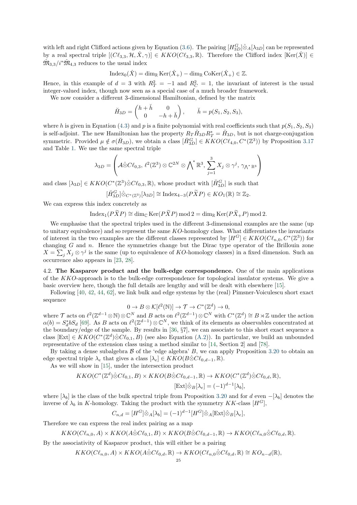with left and right Clifford actions given by Equation [\(3.6\)](#page-19-2). The pairing  $[H_{3D}^G]\hat{\otimes}_A[\lambda_{3D}]$  can be represented by a real spectral triple  $[(C\ell_{3,3}, \mathcal{H}, \hat{X}, \gamma)] \in KKO(C\ell_{3,3}, \mathbb{R})$ . Therefore the Clifford index  $[\text{Ker}(\hat{X})] \in$  $\hat{\mathfrak{M}}_{3,3}/i^*\hat{\mathfrak{M}}_{4,3}$  reduces to the usual index

$$
\operatorname{Index}_0(\hat{X}) = \dim_{\mathbb{R}} \operatorname{Ker}(\hat{X}_+) - \dim_{\mathbb{R}} \operatorname{CoKer}(\hat{X}_+) \in \mathbb{Z}.
$$

Hence, in this example of  $d = 3$  with  $R_T^2 = -1$  and  $R_C^2 = 1$ , the invariant of interest is the usual integer-valued index, though now seen as a special case of a much broader framework.

We now consider a different 3-dimensional Hamiltonian, defined by the matrix

$$
\breve{H}_{3D} = \begin{pmatrix} h + \breve{h} & 0 \\ 0 & -h + \breve{h} \end{pmatrix}, \quad \breve{h} = p(S_1, S_2, S_3),
$$

where h is given in Equation [\(4.3\)](#page-25-2) and p is a finite polynomial with real coefficients such that  $p(S_1, S_2, S_3)$ is self-adjoint. The new Hamiltonian has the property  $R_T \check{H}_{3D} R_T^* = \check{H}_{3D}$ , but is not charge-conjugation symmetric. Provided  $\mu \notin \sigma(\check{H}_{3D})$ , we obtain a class  $[\check{H}_{3D}^G] \in KKO(C\ell_{4,0}, C^*(\mathbb{Z}^3))$  by Proposition [3.17](#page-17-0) and Table [1.](#page-13-0) We use the same spectral triple

$$
\lambda_{3D} = \left(\mathcal{A}\hat{\otimes}C\ell_{0,3}, \,\ell^2(\mathbb{Z}^3)\otimes\mathbb{C}^{2N}\otimes\bigwedge^*\mathbb{R}^3, \,\sum_{j=1}^3 X_j\otimes\gamma^j,\,\gamma_{\bigwedge^*\mathbb{R}^3}\right)
$$

and class  $[\lambda_{3D}] \in KKO(C^*(\mathbb{Z}^3) \hat{\otimes} C\ell_{0,3}, \mathbb{R})$ , whose product with  $[\check{H}_{3D}^G]$  is such that

$$
[\check{H}_{3D}^G]\hat{\otimes}_{C^*(\mathbb{Z}^3)}[\lambda_{3D}] \cong \text{Index}_{4-3}(P\widetilde{X}P) \in KO_1(\mathbb{R}) \cong \mathbb{Z}_2.
$$

We can express this index concretely as

$$
\operatorname{Index}_1(P\widetilde{X}P) \cong \dim_{\mathbb{C}} \operatorname{Ker}(P\widetilde{X}P) \operatorname{mod} 2 = \dim_{\mathbb{R}} \operatorname{Ker}(P\widetilde{X}_+P) \operatorname{mod} 2.
$$

We emphasise that the spectral triples used in the different 3-dimensional examples are the same (up to unitary equivalence) and so represent the same KO-homology class. What differentiates the invariants of interest in the two examples are the different classes represented by  $[H^G] \in KKO(C\ell_{n,0}, C^*(\mathbb{Z}^3))$  for changing  $G$  and  $n$ . Hence the symmetries change but the Dirac type operator of the Brillouin zone  $X = \sum_j X_j \otimes \gamma^j$  is the same (up to equivalence of KO-homology classes) in a fixed dimension. Such an occurrence also appears in [\[23,](#page-31-4) [28\]](#page-31-6).

<span id="page-26-0"></span>4.2. The Kasparov product and the bulk-edge correspondence. One of the main applications of the KKO-approach is to the bulk-edge correspondence for topological insulator systems. We give a basic overview here, though the full details are lengthy and will be dealt with elsewhere [\[15\]](#page-30-7).

Following [\[40,](#page-31-1) [42,](#page-31-0) [44,](#page-31-2) [62\]](#page-32-20), we link bulk and edge systems by the (real) Pimsner-Voiculescu short exact sequence

$$
0 \to B \otimes \mathcal{K}[\ell^2(\mathbb{N})] \to \mathcal{T} \to C^*(\mathbb{Z}^d) \to 0,
$$

where T acts on  $\ell^2(\mathbb{Z}^{d-1}\otimes\mathbb{N})\otimes\mathbb{C}^N$  and B acts on  $\ell^2(\mathbb{Z}^{d-1})\otimes\mathbb{C}^N$  with  $C^*(\mathbb{Z}^d)\cong B\rtimes\mathbb{Z}$  under the action  $\alpha(b) = S_d^* b S_d$  [\[69\]](#page-32-9). As B acts on  $\ell^2(\mathbb{Z}^{d-1}) \otimes \mathbb{C}^N$ , we think of its elements as observables concentrated at the boundary/edge of the sample. By results in [\[36,](#page-31-8) §7], we can associate to this short exact sequence a class [Ext]  $\in KKO(C^*(\mathbb{Z}^d)\hat{\otimes} C\ell_{0,1}, B)$  (see also Equation [\(A.2\)](#page-29-1)). In particular, we build an unbounded representative of the extension class using a method similar to [\[14,](#page-30-2) Section 2] and [\[78\]](#page-32-25).

By taking a dense subalgebra  $\beta$  of the 'edge algebra' B, we can apply Proposition [3.20](#page-19-0) to obtain an edge spectral triple  $\lambda_e$  that gives a class  $[\lambda_e] \in KKO(B\hat{\otimes}C\ell_{0,d-1}, \mathbb{R}).$ 

As we will show in [\[15\]](#page-30-7), under the intersection product

$$
KKO(C^*(\mathbb{Z}^d)\hat{\otimes}C\ell_{0,1},B) \times KKO(B\hat{\otimes}C\ell_{0,d-1},\mathbb{R}) \to KKO(C^*(\mathbb{Z}^d)\hat{\otimes}C\ell_{0,d},\mathbb{R}),
$$
  

$$
[\text{Ext}]\hat{\otimes}_B[\lambda_e] = (-1)^{d-1}[\lambda_b],
$$

where  $[\lambda_b]$  is the class of the bulk spectral triple from Proposition [3.20](#page-19-0) and for d even  $-[\lambda_b]$  denotes the inverse of  $\lambda_b$  in K-homology. Taking the product with the symmetry KK-class  $[H^G]$ ,

$$
C_{n,d} = [H^G] \hat{\otimes}_A [\lambda_b] = (-1)^{d-1} [H^G] \hat{\otimes}_A [\text{Ext}] \hat{\otimes}_B [\lambda_e],
$$

Therefore we can express the real index pairing as a map

$$
KKO(C\ell_{n,0}, A) \times KKO(A \hat{\otimes} C\ell_{0,1}, B) \times KKO(B \hat{\otimes} C\ell_{0,d-1}, \mathbb{R}) \to KKO(C\ell_{n,0} \hat{\otimes} C\ell_{0,d}, \mathbb{R}).
$$

By the associativity of Kasparov product, this will either be a pairing

$$
KKO(C\ell_{n,0}, A) \times KKO(A \hat{\otimes} C\ell_{0,d}, \mathbb{R}) \to KKO(C\ell_{n,0} \hat{\otimes} C\ell_{0,d}, \mathbb{R}) \cong KO_{n-d}(\mathbb{R}),
$$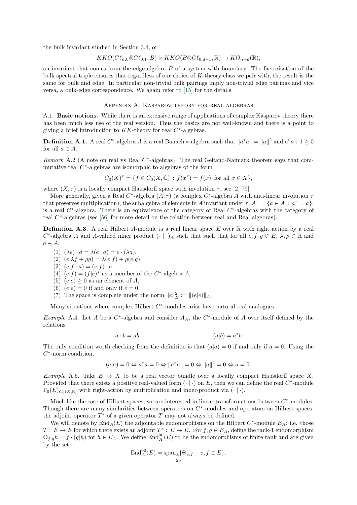the bulk invariant studied in Section [3.4,](#page-18-0) or

$$
KKO(C\ell_{n,0}\hat{\otimes} C\ell_{0,1},B)\times KKO(B\hat{\otimes} C\ell_{0,d-1},\mathbb{R})\to KO_{n-d}(\mathbb{R}),
$$

an invariant that comes from the edge algebra B of a system with boundary. The factorisation of the bulk spectral triple ensures that regardless of our choice of K-theory class we pair with, the result is the same for bulk and edge. In particular non-trivial bulk pairings imply non-trivial edge pairings and vice versa, a bulk-edge correspondence. We again refer to [\[15\]](#page-30-7) for the details.

Appendix A. Kasparov theory for real algebras

<span id="page-27-1"></span><span id="page-27-0"></span>A.1. Basic notions. While there is an extensive range of applications of complex Kasparov theory there has been much less use of the real version. Thus the basics are not well-known and there is a point to giving a brief introduction to  $KK$ -theory for real  $C^*$ -algebras.

**Definition A.1.** A real C<sup>\*</sup>-algebra A is a real Banach \*-algebra such that  $||a^*a|| = ||a||^2$  and  $a^*a + 1 \ge 0$ for all  $a \in A$ .

Remark A.2 (A note on real vs Real  $C^*$ -algebras). The real Gelfand-Naimark theorem says that commutative real  $C^*$ -algebras are isomorphic to algebras of the form

$$
C_0(X)^{\tau} = \{ f \in C_0(X, \mathbb{C}) : f(x^{\tau}) = \overline{f(x)} \text{ for all } x \in X \},
$$

where  $(X, \tau)$  is a locally compact Hausdorff space with involution  $\tau$ , see [\[2,](#page-30-19) [79\]](#page-32-26).

More generally, given a Real C<sup>\*</sup>-algebra  $(A, \tau)$  (a complex C<sup>\*</sup>-algebra A with anti-linear involution  $\tau$ that preserves multiplication), the subalgebra of elements in A invariant under  $\tau$ ,  $A^{\tau} = \{a \in A : a^{\tau} = a\}$ , is a real  $C^*$ -algebra. There is an equivalence of the category of Real  $C^*$ -algebras with the category of real  $C^*$ -algebras (see [\[56\]](#page-31-22) for more detail on the relation between real and Real algebras).

**Definition A.3.** A real Hilbert A-module is a real linear space E over  $\mathbb{R}$  with right action by a real  $C^*$ -algebra A and A-valued inner product  $(\cdot | \cdot)_A$  such that such that for all  $e, f, g \in E$ ,  $\lambda, \rho \in \mathbb{R}$  and  $a \in A$ ,

- (1)  $(\lambda e) \cdot a = \lambda (e \cdot a) = e \cdot (\lambda a),$
- (2)  $(e|\lambda f + \rho g) = \lambda(e|f) + \rho(e|g)$ ,
- (3)  $(e|f \cdot a) = (e|f) \cdot a$ ,
- (4)  $(e|f) = (f|e)^*$  as a member of the C<sup>\*</sup>-algebra A,
- (5)  $(e|e) \geq 0$  as an element of A,
- (6)  $(e|e) = 0$  if and only if  $e = 0$ ,
- (7) The space is complete under the norm  $||e||_E^2 := ||(e|e)||_A$ .

Many situations where complex Hilbert  $C^*$ -modules arise have natural real analogues.

Example A.4. Let A be a  $C^*$ -algebra and consider  $A_A$ , the  $C^*$ -module of A over itself defined by the relations

$$
a \cdot b = ab,\tag{a|b} = a^*b
$$

The only condition worth checking from the definition is that  $(a|a) = 0$  if and only if  $a = 0$ . Using the  $C^*$ -norm condition,

$$
(a|a) = 0 \Leftrightarrow a^*a = 0 \Leftrightarrow \|a^*a\| = 0 \Leftrightarrow \|a\|^2 = 0 \Leftrightarrow a = 0.
$$

Example A.5. Take  $E \to X$  to be a real vector bundle over a locally compact Hausdorff space X. Provided that there exists a positive real-valued form  $(·)$  on E, then we can define the real  $C^*$ -module  $\Gamma_0(E)_{C_0(X,\mathbb{R})}$  with right-action by multiplication and inner-product via  $(\cdot | \cdot)$ .

Much like the case of Hilbert spaces, we are interested in linear transformations between  $C^*$ -modules. Though there are many similarities between operators on  $C^*$ -modules and operators on Hilbert spaces, the adjoint operator  $T^*$  of a given operator  $T$  may not always be defined.

We will denote by  $\text{End}_A(E)$  the adjointable endomorphisms on the Hilbert  $C^*$ -module  $E_A$ : i.e. those  $T: E \to E$  for which there exists an adjoint  $T^*: E \to E$ . For  $f, g \in E_A$ , define the rank-1 endomorphism  $\Theta_{f,g}h = f \cdot (g|h)$  for  $h \in E_A$ . We define  $\text{End}_{A}^{00}(E)$  to be the endomorphisms of finite rank and are given by the set

$$
\operatorname{End}_A^{00}(E) = \operatorname{span}_{\mathbb{R}}\{\Theta_{e,f} : e, f \in E\}.
$$
  
<sub>26</sub>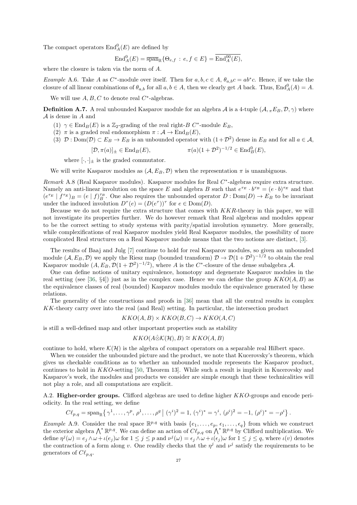The compact operators  $\text{End}_{A}^{0}(E)$  are defined by

$$
\operatorname{End}^0_A(E) = \overline{\operatorname{span}}_{\mathbb{R}} \{ \Theta_{e,f} : e, f \in E \} = \operatorname{End}^{00}_A(E),
$$

where the closure is taken via the norm of A.

*Example* A.6. Take A as C<sup>\*</sup>-module over itself. Then for  $a, b, c \in A$ ,  $\theta_{a,b}c = ab^*c$ . Hence, if we take the closure of all linear combinations of  $\theta_{a,b}$  for all  $a, b \in A$ , then we clearly get A back. Thus,  $\text{End}_{A}^{0}(A) = A$ .

We will use  $A, B, C$  to denote real  $C^*$ -algebras.

**Definition A.7.** A real unbounded Kasparov module for an algebra A is a 4-tuple  $(A, \pi E_B, D, \gamma)$  where  $A$  is dense in  $A$  and

- (1)  $\gamma \in \text{End}_B(E)$  is a Z<sub>2</sub>-grading of the real right-B C<sup>\*</sup>-module  $E_B$ ,
- (2)  $\pi$  is a graded real endomorphism  $\pi : A \to \text{End}_B(E)$ ,
- (3)  $\mathcal{D}: \text{Dom}(\mathcal{D}) \subset E_B \to E_B$  is an unbounded operator with  $(1+\mathcal{D}^2)$  dense in  $E_B$  and for all  $a \in \mathcal{A}$ ,

$$
[\mathcal{D}, \pi(a)]_{\pm} \in \operatorname{End}_B(E), \qquad \pi(a)(1+\mathcal{D}^2)^{-1/2} \in \operatorname{End}_B^0(E),
$$

where  $[\cdot, \cdot]_{\pm}$  is the graded commutator.

We will write Kasparov modules as  $(A, E_B, \mathcal{D})$  when the representation  $\pi$  is unambiguous.

Remark A.8 (Real Kasparov modules). Kasparov modules for Real  $C^*$ -algebras require extra structure. Namely an anti-linear involution on the space E and algebra B such that  $e^{\tau_E} \cdot b^{\tau_B} = (e \cdot b)^{\tau_E}$  and that  $(e^{\tau_E} | f^{\tau_E})_B = (e | f)_B^{\tau_B}$ . One also requires the unbounded operator  $D: \text{Dom}(D) \to E_B$  to be invariant under the induced involution  $D^{\tau}(e) = (D(e^{\tau}))^{\tau}$  for  $e \in \text{Dom}(D)$ .

Because we do not require the extra structure that comes with KKR-theory in this paper, we will not investigate its properties further. We do however remark that Real algebras and modules appear to be the correct setting to study systems with parity/spatial involution symmetry. More generally, while complexifications of real Kasparov modules yield Real Kasparov modules, the possibility of more complicated Real structures on a Real Kasparov module means that the two notions are distinct, [\[3\]](#page-30-20).

The results of Baaj and Julg [\[7\]](#page-30-5) continue to hold for real Kasparov modules, so given an unbounded module  $(A, E_B, \mathcal{D})$  we apply the Riesz map (bounded transform)  $\mathcal{D} \to \mathcal{D}(1+\mathcal{D}^2)^{-1/2}$  to obtain the real Kasparov module  $(A, E_B, \mathcal{D}(1+\mathcal{D}^2)^{-1/2})$ , where A is the C<sup>\*</sup>-closure of the dense subalgebra A.

One can define notions of unitary equivalence, homotopy and degenerate Kasparov modules in the real setting (see [\[36,](#page-31-8)  $\S4$ ]) just as in the complex case. Hence we can define the group  $KKO(A, B)$  as the equivalence classes of real (bounded) Kasparov modules modulo the equivalence generated by these relations.

The generality of the constructions and proofs in [\[36\]](#page-31-8) mean that all the central results in complex KK-theory carry over into the real (and Real) setting. In particular, the intersection product

$$
KKO(A, B) \times KKO(B, C) \to KKO(A, C)
$$

is still a well-defined map and other important properties such as stability

$$
KKO(A\hat{\otimes} \mathcal{K}(\mathcal{H}), B) \cong KKO(A, B)
$$

continue to hold, where  $\mathcal{K}(\mathcal{H})$  is the algebra of compact operators on a separable real Hilbert space.

When we consider the unbounded picture and the product, we note that Kucerovsky's theorem, which gives us checkable conditions as to whether an unbounded module represents the Kasparov product, continues to hold in KKO-setting [\[50,](#page-31-11) Theorem 13]. While such a result is implicit in Kucerovsky and Kasparov's work, the modules and products we consider are simple enough that these technicalities will not play a role, and all computations are explicit.

<span id="page-28-0"></span>A.2. Higher-order groups. Clifford algebras are used to define higher KKO-groups and encode periodicity. In the real setting, we define

$$
C\ell_{p,q} = \mathrm{span}_{\mathbb{R}}\left\{\gamma^1,\ldots,\gamma^p,\,\rho^1,\ldots,\rho^q \bigm| (\gamma^i)^2 = 1,\, (\gamma^i)^* = \gamma^i,\, (\rho^i)^2 = -1,\, (\rho^i)^* = -\rho^i\right\}.
$$

Example A.9. Consider the real space  $\mathbb{R}^{p,q}$  with basis  $\{e_1,\ldots,e_p,\,\epsilon_1,\ldots,\epsilon_q\}$  from which we construct the exterior algebra  $\bigwedge^* \mathbb{R}^{p,q}$ . We can define an action of  $C\ell_{p,q}$  on  $\bigwedge^* \mathbb{R}^{p,q}$  by Clifford multiplication. We define  $\eta^j(\omega) = e_j \wedge \omega + \iota(e_j) \omega$  for  $1 \leq j \leq p$  and  $\nu^j(\omega) = \epsilon_j \wedge \omega + \iota(\epsilon_j) \omega$  for  $1 \leq j \leq q$ , where  $\iota(v)$  denotes the contraction of a form along v. One readily checks that the  $\eta^j$  and  $\nu^j$  satisfy the requirements to be generators of  $C\ell_{p,q}$ .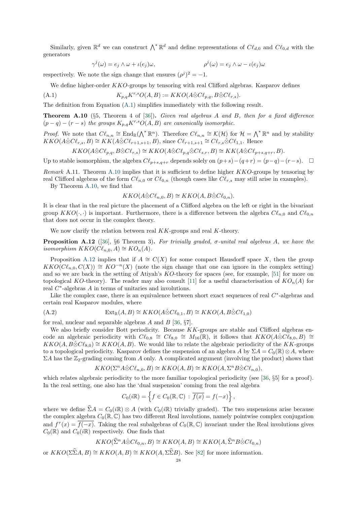Similarly, given  $\mathbb{R}^d$  we can construct  $\bigwedge^*\mathbb{R}^d$  and define representations of  $C\ell_{d,0}$  and  $C\ell_{0,d}$  with the generators

<span id="page-29-2"></span>
$$
\gamma^{j}(\omega) = e_j \wedge \omega + \iota(e_j)\omega, \qquad \qquad \rho^{j}(\omega) = e_j \wedge \omega - \iota(e_j)\omega
$$

respectively. We note the sign change that ensures  $(\rho^j)^2 = -1$ .

We define higher-order  $KKO$ -groups by tensoring with real Clifford algebras. Kasparov defines

(A.1) 
$$
K_{p,q}K^{r,s}O(A,B) := KKO(A\hat{\otimes}C\ell_{p,q},B\hat{\otimes}C\ell_{r,s}).
$$

The definition from Equation [\(A.1\)](#page-29-2) simplifies immediately with the following result.

<span id="page-29-3"></span>**Theorem A.10** (§5, Theorem 4 of [\[36\]](#page-31-8)). Given real algebras A and B, then for a fixed difference  $(p - q) - (r - s)$  the groups  $K_{p,q} K^{r,s} O(A, B)$  are canonically isomorphic.

*Proof.* We note that  $Cl_{n,n} \cong \text{End}_{\mathbb{R}}(\Lambda^* \mathbb{R}^n)$ . Therefore  $Cl_{n,n} \cong \mathcal{K}(\mathcal{H})$  for  $\mathcal{H} = \Lambda^* \mathbb{R}^n$  and by stability  $KKO(A\hat{\otimes}Cl_{r,s}, B) \cong KK(A\hat{\otimes}Cl_{r+1,s+1}, B)$ , since  $Cl_{r+1,s+1} \cong Cl_{r,s}\hat{\otimes}Cl_{1,1}$ . Hence

$$
KKO(A\hat{\otimes} C\ell_{p,q}, B\hat{\otimes} C\ell_{r,s}) \cong KKO(A\hat{\otimes} C\ell_{p,q}\hat{\otimes} C\ell_{s,r}, B) \cong KK(A\hat{\otimes} C\ell_{p+s,q+r}, B).
$$

Up to stable isomorphism, the algebra  $C\ell_{p+s,q+r}$  depends solely on  $(p+s)-(q+r) = (p-q)-(r-s)$ . □

Remark A.11. Theorem [A.10](#page-29-3) implies that it is sufficient to define higher  $KKO$ -groups by tensoring by real Clifford algebras of the form  $Cl_{n,0}$  or  $Cl_{0,n}$  (though cases like  $Cl_{r,s}$  may still arise in examples).

By Theorem [A.10,](#page-29-3) we find that

$$
KKO(A\hat{\otimes} C\ell_{n,0}, B) \cong KKO(A, B\hat{\otimes} C\ell_{0,n}).
$$

It is clear that in the real picture the placement of a Clifford algebra on the left or right in the bivariant group  $KKO(\cdot, \cdot)$  is important. Furthermore, there is a difference between the algebra  $Cl_{n,0}$  and  $Cl_{0,n}$ that does not occur in the complex theory.

We now clarify the relation between real  $KK$ -groups and real  $K$ -theory.

<span id="page-29-0"></span>**Proposition A.12** ([\[36\]](#page-31-8), §6 Theorem 3). For trivially graded,  $\sigma$ -unital real algebras A, we have the isomorphism  $KKO(C\ell_{n,0}, A) \cong KO_n(A)$ .

Proposition [A.12](#page-29-0) implies that if  $A \cong C(X)$  for some compact Hausdorff space X, then the group  $KKO(C\ell_{n,0}, C(X)) \cong KO^{-n}(X)$  (note the sign change that one can ignore in the complex setting) and so we are back in the setting of Atiyah's KO-theory for spaces (see, for example, [\[51\]](#page-31-29) for more on topological KO-theory). The reader may also consult [\[11\]](#page-30-12) for a useful characterisation of  $KO_n(A)$  for real C<sup>∗</sup>-algebras A in terms of unitaries and involutions.

Like the complex case, there is an equivalence between short exact sequences of real  $C^*$ -algebras and certain real Kasparov modules, where

<span id="page-29-1"></span>(A.2) 
$$
\operatorname{Ext}_{\mathbb{R}}(A, B) \cong KKO(A \hat{\otimes} C\ell_{0,1}, B) \cong KKO(A, B \hat{\otimes} C\ell_{1,0})
$$

for real, nuclear and separable algebras A and B [\[36,](#page-31-8)  $\S7$ ].

We also briefly consider Bott periodicity. Because  $KK$ -groups are stable and Clifford algebras encode an algebraic periodicity with  $C\ell_{0,8} \cong C\ell_{8,0} \cong M_{16}(\mathbb{R})$ , it follows that  $KKO(A\hat{\otimes}C\ell_{8,0},B) \cong$  $KKO(A, B\hat{\otimes}C\ell_{8,0}) \cong KKO(A, B)$ . We would like to relate the algebraic periodicity of the KK-groups to a topological periodicity. Kasparov defines the suspension of an algebra A by  $\Sigma A = C_0(\mathbb{R}) \otimes A$ , where  $\Sigma A$  has the  $\mathbb{Z}_2$ -grading coming from A only. A complicated argument (involving the product) shows that

$$
KKO(\Sigma^n A \hat{\otimes} C\ell_{n,0}, B) \cong KKO(A, B) \cong KKO(A, \Sigma^n B \hat{\otimes} C\ell_{n,0}),
$$

which relates algebraic periodicity to the more familiar topological periodicity (see [\[36,](#page-31-8) §5] for a proof). In the real setting, one also has the 'dual suspension' coming from the real algebra

$$
C_0(i\mathbb{R}) = \left\{ f \in C_0(\mathbb{R}, \mathbb{C}) : \overline{f(x)} = f(-x) \right\},\
$$

where we define  $\hat{\Sigma}A = C_0(i\mathbb{R}) \otimes A$  (with  $C_0(i\mathbb{R})$  trivially graded). The two suspensions arise because the complex algebra  $C_0(\mathbb{R}, \mathbb{C})$  has two different Real involutions, namely pointwise complex conjugation and  $f^{\tau}(x) = \overline{f(-x)}$ . Taking the real subalgebras of  $C_0(\mathbb{R}, \mathbb{C})$  invariant under the Real involutions gives  $C_0(\mathbb{R})$  and  $C_0(i\mathbb{R})$  respectively. One finds that

$$
KKO(\widehat{\Sigma}^n A \widehat{\otimes} C\ell_{0,n}, B) \cong KKO(A, B) \cong KKO(A, \widehat{\Sigma}^n B \widehat{\otimes} C\ell_{0,n})
$$

or  $KKO(\Sigma \widehat{\Sigma}A, B) \cong KKO(A, B) \cong KKO(A, \Sigma \widehat{\Sigma}B)$ . See [\[82\]](#page-32-27) for more information.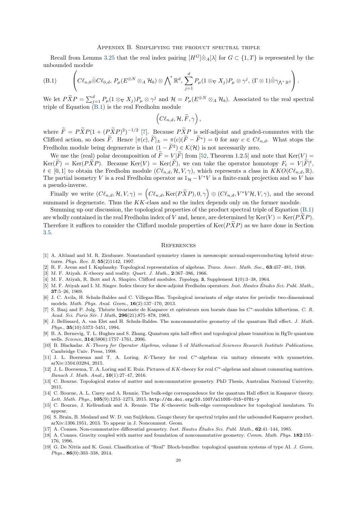#### Appendix B. Simplifying the product spectral triple

<span id="page-30-0"></span>Recall from Lemma [3.25](#page-21-2) that the real index pairing  $[H^G] \hat{\otimes}_A[\lambda]$  for  $G \subset \{1, T\}$  is represented by the unbounded module

<span id="page-30-21"></span>(B.1) 
$$
\left(C\ell_{n,0}\hat{\otimes}C\ell_{0,d},\,P_{\mu}(E^{\oplus N}\otimes_A\mathcal{H}_b)\otimes\bigwedge^*\mathbb{R}^d,\,\sum_{j=1}^dP_{\mu}(1\otimes_{\nabla}X_j)P_{\mu}\otimes\gamma^j,\,(\Gamma\otimes 1)\hat{\otimes}\gamma_{\bigwedge^*\mathbb{R}^d}\right).
$$

We let  $P\widetilde{X}P = \sum_{j=1}^d P_\mu(1 \otimes_\nabla X_j)P_\mu \otimes \gamma^j$  and  $\mathcal{H} = P_\mu(E^{\oplus N} \otimes_A \mathcal{H}_b)$ . Associated to the real spectral triple of Equation  $(B.1)$  is the real Fredholm module

$$
\Big( {\cal C}\ell_{n,d}, {\cal H}, \widetilde{F}, \gamma \Big) \, ,
$$

where  $\widetilde{F} = P\widetilde{X}P(1 + (P\widetilde{X}P)^2)^{-1/2}$  [\[7\]](#page-30-5). Because  $P\widetilde{X}P$  is self-adjoint and graded-commutes with the Clifford action, so does  $\tilde{F}$ . Hence  $[\pi(c), \tilde{F}]_{\pm} = \pi(c)(\tilde{F} - \tilde{F}^*) = 0$  for any  $c \in \mathcal{C}\ell_{n,d}$ . What stops the Fredholm module being degenerate is that  $(1 - \tilde{F}^2) \in \mathcal{K}(\mathcal{H})$  is not necessarily zero.

We use the (real) polar decomposition of  $\widetilde{F}=V|\widetilde{F}|$  from [\[52,](#page-31-38) Theorem 1.2.5] and note that  $\text{Ker}(V)=$  $\text{Ker}(\widetilde{F}) = \text{Ker}(P\widetilde{X}P)$ . Because  $\text{Ker}(V) = \text{Ker}(\widetilde{F})$ , we can take the operator homotopy  $F_t = V|\widetilde{F}|^t$ ,  $t \in [0,1]$  to obtain the Fredholm module  $(C\ell_{n,d}, \mathcal{H}, V, \gamma)$ , which represents a class in  $KKO(C\ell_{n,d}, \mathbb{R})$ . The partial isometry V is a real Fredholm operator as  $1_H - V^*V$  is a finite-rank projection and so V has a pseudo-inverse.

Finally we write  $(C\ell_{n,d}, \mathcal{H}, V, \gamma) = \left(C\ell_{n,d}, \text{Ker}(P\widetilde{X}P), 0, \gamma\right) \oplus (C\ell_{n,d}, V^*V\mathcal{H}, V, \gamma)$ , and the second summand is degenerate. Thus the  $KK$ -class and so the index depends only on the former module.

Summing up our discussion, the topological properties of the product spectral triple of Equation [\(B.1\)](#page-30-21) are wholly contained in the real Fredholm index of V and, hence, are determined by  $\text{Ker}(V) = \text{Ker}(PXP)$ . Therefore it suffices to consider the Clifford module properties of  $\text{Ker}(P\tilde{X}P)$  as we have done in Section [3.5.](#page-21-0)

#### <span id="page-30-1"></span>**REFERENCES**

- <span id="page-30-4"></span>[1] A. Altland and M. R. Zirnbauer. Nonstandard symmetry classes in mesoscopic normal-superconducting hybrid structures. Phys. Rev. B, 55(2)1142, 1997.
- <span id="page-30-19"></span>[2] R. F. Arens and I. Kaplansky. Topological representation of algebras. Trans. Amer. Math. Soc., 63:457–481, 1948.
- <span id="page-30-20"></span>[3] M. F. Atiyah. K-theory and reality. *Quart. J. Math.*, **2**:367-386, 1966.
- <span id="page-30-3"></span>[4] M. F. Atiyah, R. Bott and A. Shapiro. Clifford modules. Topology, 3, Supplement 1(0):3–38, 1964.
- <span id="page-30-18"></span>[5] M. F. Atiyah and I. M. Singer. Index theory for skew-adjoint Fredholm operators. Inst. Hautes Études Sci. Publ. Math., 37:5–26, 1969.
- <span id="page-30-17"></span>[6] J. C. Avila, H. Schulz-Baldes and C. Villegas-Blas. Topological invariants of edge states for periodic two-dimensional models. Math. Phys. Anal. Geom., 16(2):137–170, 2013.
- <span id="page-30-5"></span>[7] S. Baaj and P. Julg. Théorie bivariante de Kasparov et opérateurs non bornés dans les C<sup>∗</sup>-modules hilbertiens. C. R. Acad. Sci. Paris Sér. I Math, 296(21):875-878, 1983.
- <span id="page-30-8"></span>[8] J. Bellissard, A. van Elst and H. Schulz-Baldes. The noncommutative geometry of the quantum Hall effect. J. Math. Phys., 35(10):5373–5451, 1994.
- <span id="page-30-10"></span>[9] B. A. Bernevig, T. L. Hughes and S. Zhang. Quantum spin hall effect and topological phase transition in HgTe quantum wells. Science, 314(5806):1757-1761, 2006.
- <span id="page-30-9"></span>[10] B. Blackadar. K-Theory for Operator Algebras, volume 5 of Mathematical Sciences Research Institute Publications. Cambridge Univ. Press, 1998.
- <span id="page-30-12"></span>[11] J. L. Boersema and T. A. Loring. K-Theory for real C∗-algebras via unitary elements with symmetries. arXiv:1504.03284, 2015.
- <span id="page-30-11"></span>[12] J. L. Boersema, T. A. Loring and E. Ruiz. Pictures of KK-theory for real C∗-algebras and almost commuting matrices. Banach J. Math. Anal., 10(1):27–47, 2016.
- <span id="page-30-15"></span>[13] C. Bourne. Topological states of matter and noncommutative geometry. PhD Thesis, Australian National Univerity, 2015.
- <span id="page-30-2"></span>[14] C. Bourne, A. L. Carey and A. Rennie. The bulk-edge correspondence for the quantum Hall effect in Kasparov theory. Lett. Math. Phys., 105(9):1253–1273, 2015. <http://dx.doi.org/10.1007/s11005-015-0781-y>
- <span id="page-30-7"></span>[15] C. Bourne, J. Kellendonk and A. Rennie. The K-theoretic bulk-edge correspondence for topological insulators. To appear.
- <span id="page-30-6"></span>[16] S. Brain, B. Mesland and W. D. van Suijlekom. Gauge theory for spectral triples and the unbounded Kasparov product. arXiv:1306.1951, 2013. To appear in J. Noncommut. Geom.
- <span id="page-30-14"></span>[17] A. Connes. Non-commutative differential geometry. Inst. Hautes Études Sci. Publ. Math., 62:41-144, 1985.
- <span id="page-30-16"></span>[18] A. Connes. Gravity coupled with matter and foundation of noncommutative geometry. Comm. Math. Phys. 182:155– 176, 1996.
- <span id="page-30-13"></span>[19] G. De Nittis and K. Gomi. Classification of "Real" Bloch-bundles: topological quantum systems of type AI. J. Geom. Phys., 86(0):303–338, 2014.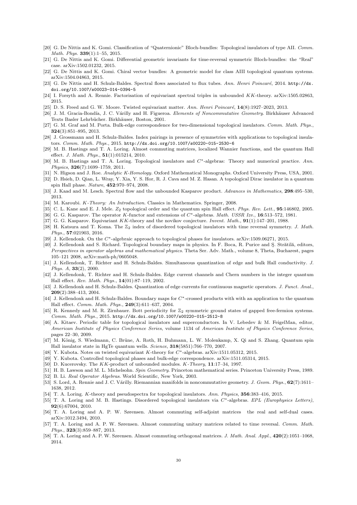- <span id="page-31-25"></span>[20] G. De Nittis and K. Gomi. Classification of "Quaternionic" Bloch-bundles: Topological insulators of type AII. Comm. Math. Phys. 339(1):1–55, 2015.
- <span id="page-31-26"></span>[21] G. De Nittis and K. Gomi. Differential geometric invariants for time-reversal symmetric Bloch-bundles: the "Real" case. arXiv:1502.01232, 2015.
- <span id="page-31-27"></span>[22] G. De Nittis and K. Gomi. Chiral vector bundles: A geometric model for class AIII topological quantum systems. arXiv:1504.04863, 2015.
- <span id="page-31-4"></span>[23] G. De Nittis and H. Schulz-Baldes. Spectral flows associated to flux tubes. Ann. Henri Poincaré, 2014. [http://dx.](http://dx.doi.org/10.1007/s00023-014-0394-5) [doi.org/10.1007/s00023-014-0394-5](http://dx.doi.org/10.1007/s00023-014-0394-5)
- <span id="page-31-9"></span>[24] I. Forsyth and A. Rennie. Factorisation of equivariant spectral triples in unbounded KK-theory. arXiv:1505.02863, 2015.
- <span id="page-31-5"></span>[25] D. S. Freed and G. W. Moore. Twisted equivariant matter. Ann. Henri Poincaré,  $14(8):1927-2023$ , 2013.
- <span id="page-31-31"></span>[26] J. M. Gracia-Bondía, J. C. Várilly and H. Figueroa. Elements of Noncommutative Geometry. Birkhäuser Advanced Texts Basler Lehrbücher. Birkhäuser, Boston, 2001.
- <span id="page-31-32"></span>[27] G. M. Graf and M. Porta. Bulk-edge correspondence for two-dimensional topological insulators. Comm. Math. Phys., 324(3):851–895, 2013.
- <span id="page-31-6"></span>[28] J. Grossmann and H. Schulz-Baldes. Index pairings in presence of symmetries with applications to topological insulators. Comm. Math. Phys., 2015. <http://dx.doi.org/10.1007/s00220-015-2530-6>
- <span id="page-31-18"></span>[29] M. B. Hastings and T. A. Loring. Almost commuting matrices, localized Wannier functions, and the quantum Hall effect. J. Math. Phys., 51(1):015214, 2010.
- <span id="page-31-19"></span>[30] M. B. Hastings and T. A. Loring. Topological insulators and C∗-algebras: Theory and numerical practice. Ann. Physics, 326(7):1699–1759, 2011.
- <span id="page-31-37"></span>[31] N. Higson and J. Roe. Analytic K-Homology. Oxford Mathematical Monographs. Oxford University Press, USA, 2001.
- <span id="page-31-16"></span>[32] D. Hsieh, D. Qian, L. Wray, Y. Xia, Y. S. Hor, R. J. Cava and M. Z. Hasan. A topological Dirac insulator in a quantum spin Hall phase. Nature, 452:970–974, 2008.
- <span id="page-31-10"></span>[33] J. Kaad and M. Lesch. Spectral flow and the unbounded Kasparov product. Advances in Mathematics, 298:495–530, 2013.
- <span id="page-31-30"></span>[34] M. Karoubi. K-Theory: An Introduction. Classics in Mathematics. Springer, 2008.
- <span id="page-31-14"></span>[35] C. L. Kane and E. J. Mele.  $Z_2$  topological order and the quantum spin Hall effect. Phys. Rev. Lett., 95:146802, 2005.
- <span id="page-31-8"></span>[36] G. G. Kasparov. The operator K-functor and extensions of  $C^*$ -algebras. Math. USSR Izv., 16:513–572, 1981.
- <span id="page-31-35"></span>[37] G. G. Kasparov. Equivariant KK-theory and the novikov conjecture. Invent. Math., 91(1):147-201, 1988.
- <span id="page-31-28"></span>[38] H. Katsura and T. Koma. The  $\mathbb{Z}_2$  index of disordered topological insulators with time reversal symmetry. J. Math. Phys., 57:021903, 2016.
- <span id="page-31-7"></span>[39] J. Kellendonk. On the C<sup>∗</sup>-algebraic approach to topological phases for insulators. arXiv:1509.06271, 2015.
- <span id="page-31-1"></span>[40] J. Kellendonk and S. Richard. Topological boundary maps in physics. In F. Boca, R. Purice and Ş. Strătilă, editors, Perspectives in operator algebras and mathematical physics. Theta Ser. Adv. Math., volume 8, Theta, Bucharest, pages 105–121 2008, arXiv:math-ph/0605048.
- <span id="page-31-12"></span>[41] J. Kellendonk, T. Richter and H. Schulz-Baldes. Simultaneous quantization of edge and bulk Hall conductivity. J. Phys. A, 33(2), 2000.
- <span id="page-31-0"></span>[42] J. Kellendonk, T. Richter and H. Schulz-Baldes. Edge current channels and Chern numbers in the integer quantum Hall effect. Rev. Math. Phys., 14(01):87–119, 2002.
- <span id="page-31-13"></span>[43] J. Kellendonk and H. Schulz-Baldes. Quantization of edge currents for continuous magnetic operators. J. Funct. Anal., 209(2):388–413, 2004.
- <span id="page-31-2"></span>[44] J. Kellendonk and H. Schulz-Baldes. Boundary maps for C∗-crossed products with with an application to the quantum Hall effect. Comm. Math. Phys., 249(3):611–637, 2004.
- <span id="page-31-17"></span>[45] R. Kennedy and M. R. Zirnbauer. Bott periodicity for Z<sup>2</sup> symmetric ground states of gapped free-fermion systems. Comm. Math. Phys., 2015. <http://dx.doi.org/10.1007/s00220-015-2512-8>
- <span id="page-31-3"></span>[46] A. Kitaev. Periodic table for topological insulators and superconductors. In V. Lebedev & M. FeigelMan, editor, American Institute of Physics Conference Series, volume 1134 of American Institute of Physics Conference Series, pages 22–30, 2009.
- <span id="page-31-15"></span>[47] M. König, S. Wiedmann, C. Brüne, A. Roth, H. Buhmann, L. W. Molenkamp, X. Qi and S. Zhang. Quantum spin Hall insulator state in HgTe quantum wells. Science, 318(5851):766–770, 2007.
- <span id="page-31-34"></span>[48] Y. Kubota. Notes on twisted equivariant K-theory for C<sup>∗</sup>-algebras. arXiv:1511.05312, 2015.
- <span id="page-31-33"></span>[49] Y. Kubota. Controlled topological phases and bulk-edge correspondence. arXiv:1511.05314, 2015.
- <span id="page-31-11"></span>[50] D. Kucerovsky. The KK-product of unbounded modules. K-Theory, 11:17–34, 1997.
- <span id="page-31-29"></span>[51] H. B. Lawson and M. L. Michelsohn. Spin Geometry. Princeton mathematical series. Princeton University Press, 1989.
- <span id="page-31-38"></span>[52] B. Li. Real Operator Algebras. World Scientific, New York, 2003.
- <span id="page-31-36"></span>[53] S. Lord, A. Rennie and J. C. Várilly. Riemannian manifolds in noncommutative geometry. J. Geom. Phys., 62(7):1611– 1638, 2012.
- <span id="page-31-20"></span>[54] T. A. Loring. K-theory and pseudospectra for topological insulators. Ann. Physics, 356:383–416, 2015.
- <span id="page-31-21"></span>[55] T. A. Loring and M. B. Hastings. Disordered topological insulators via C<sup>∗</sup>-algebras. EPL (Europhysics Letters), 92(6):67004, 2010.
- <span id="page-31-22"></span>[56] T. A. Loring and A. P. W. Sørensen. Almost commuting self-adjoint matrices the real and self-dual cases. arXiv:1012.3494, 2010.
- <span id="page-31-23"></span>[57] T. A. Loring and A. P. W. Sørensen. Almost commuting unitary matrices related to time reversal. Comm. Math. Phys., 323(3):859–887, 2013.
- <span id="page-31-24"></span>[58] T. A. Loring and A. P. W. Sørensen. Almost commuting orthogonal matrices. J. Math. Anal. Appl., 420(2):1051–1068, 2014.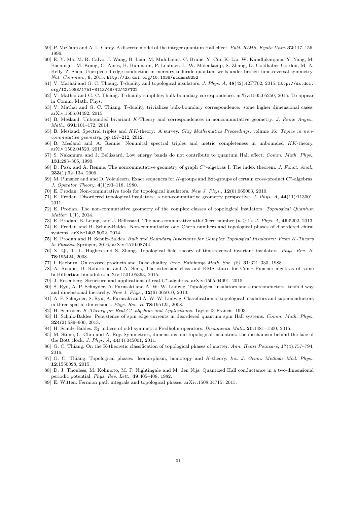- <span id="page-32-8"></span>[59] P. McCann and A. L. Carey. A discrete model of the integer quantum Hall effect. Publ. RIMS, Kyoto Univ. 32:117–156, 1996.
- <span id="page-32-10"></span>[60] E. Y. Ma, M. R. Calvo, J. Wang, B. Lian, M. Muhlbauer, C. Brune, Y. Cui, K. Lai, W. Kundhikanjana, Y. Yang, M. Baenniger, M. König, C. Ames, H. Buhmann, P. Leubner, L. W. Molenkamp, S. Zhang, D. Goldhaber-Gordon, M. A. Kelly, Z. Shen. Unexpected edge conduction in mercury telluride quantum wells under broken time-reversal symmetry. Nat. Commun., 6, 2015. <http://dx.doi.org/10.1038/ncomms8252>
- <span id="page-32-23"></span>[61] V. Mathai and G. C. Thiang. T-duality and topological insulators. J. Phys. A, 48(42):42FT02, 2015. [http://dx.doi.](http://dx.doi.org/10.1088/1751-8113/48/42/42FT02) [org/10.1088/1751-8113/48/42/42FT02](http://dx.doi.org/10.1088/1751-8113/48/42/42FT02)
- <span id="page-32-20"></span>[62] V. Mathai and G. C. Thiang. T-duality simplifies bulk-boundary correspondence. arXiv:1505.05250, 2015. To appear in Comm. Math. Phys.
- <span id="page-32-21"></span>[63] V. Mathai and G. C. Thiang. T-duality trivializes bulk-boundary correspondence: some higher dimensional cases. arXiv:1506.04492, 2015.
- <span id="page-32-3"></span>[64] B. Mesland. Unbounded bivariant K-Theory and correspondences in noncommutative geometry. J. Reine Angew. Math., 691:101–172, 2014.
- [65] B. Mesland. Spectral triples and KK-theory: A survey. Clay Mathematics Proceedings, volume 16: Topics in noncommutative geometry, pp 197–212, 2012.
- <span id="page-32-4"></span>[66] B. Mesland and A. Rennie. Nonunital spectral triples and metric completeness in unbounded KK-theory. arXiv:1502.04520, 2015.
- <span id="page-32-7"></span>[67] S. Nakamura and J. Bellissard. Low energy bands do not contribute to quantum Hall effect. Comm. Math. Phys., 131:283–305, 1990.
- [68] D. Pask and A. Rennie. The noncommutative geometry of graph  $C^*$ -algebras I: The index theorem. J. Funct. Anal., 233(1):92–134, 2006.
- <span id="page-32-9"></span>[69] M. Pimsner and and D. Voiculescu. Exact sequences for K-groups and Ext-groups of certain cross-product C∗-algebras. J. Operator Theory, 4(1):93–118, 1980.
- <span id="page-32-14"></span>[70] E. Prodan. Non-commutative tools for topological insulators. New J. Phys., 12(6):065003, 2010.
- <span id="page-32-15"></span>[71] E. Prodan. Disordered topological insulators: a non-commutative geometry perspective. J. Phys. A, 44(11):113001, 2011.
- <span id="page-32-16"></span>[72] E. Prodan. The non-commutative geometry of the complex classes of topological insulators. Topological Quantum Matter, 1(1), 2014.
- <span id="page-32-5"></span>[73] E. Prodan, B. Leung, and J. Bellissard. The non-commutative nth-Chern number  $(n \geq 1)$ . J. Phys. A, 46:5202, 2013.
- <span id="page-32-6"></span>[74] E. Prodan and H. Schulz-Baldes. Non-commutative odd Chern numbers and topological phases of disordered chiral systems. arXiv:1402.5002, 2014.
- <span id="page-32-22"></span>[75] E. Prodan and H. Schulz-Baldes. Bulk and Boundary Invariants for Complex Topological Insulators: From K-Theory to Physics. Springer, 2016, arXiv:1510.08744.
- <span id="page-32-11"></span>[76] X. Qi, T. L. Hughes and S. Zhang. Topological field theory of time-reversal invariant insulators. Phys. Rev. B, 78:195424, 2008.
- [77] I. Raeburn. On crossed products and Takai duality. Proc. Edinburgh Math. Soc. (2), 31:321–330, 1988.
- <span id="page-32-25"></span>[78] A. Rennie, D. Robertson and A. Sims, The extension class and KMS states for Cuntz-Pimsner algebras of some bi-Hilbertian bimodules. arXiv:1501.05363, 2015.
- <span id="page-32-26"></span>[79] J. Rosenberg. Structure and applications of real C∗-algebras. arXiv:1505.04091, 2015.
- <span id="page-32-0"></span>[80] S. Ryu, A. P. Schnyder, A. Furusaki and A. W. W. Ludwig. Topological insulators and superconductors: tenfold way and dimensional hierarchy. New J. Phys., 12(6):065010, 2010.
- <span id="page-32-1"></span>[81] A. P. Schnyder, S. Ryu, A. Furusaki and A. W. W. Ludwig. Classification of topological insulators and superconductors in three spatial dimensions. Phys. Rev. B, 78:195125, 2008.
- <span id="page-32-27"></span>[82] H. Schröder. K-Theory for Real C<sup>∗</sup>-algebras and Applications. Taylor & Francis, 1993.
- <span id="page-32-17"></span>[83] H. Schulz-Baldes. Persistence of spin edge currents in disordered quantum spin Hall systems. Comm. Math. Phys., 324(2):589–600, 2013.
- <span id="page-32-18"></span>[84] H. Schulz-Baldes.  $\mathbb{Z}_2$  indices of odd symmetric Fredholm operators. *Documenta Math.* 20:1481–1500, 2015.
- <span id="page-32-12"></span>[85] M. Stone, C. Chiu and A. Roy. Symmetries, dimensions and topological insulators: the mechanism behind the face of the Bott clock. J. Phys. A, 44(4):045001, 2011.
- <span id="page-32-2"></span>[86] G. C. Thiang. On the K-theoretic classification of topological phases of matter. Ann. Henri Poincaré, 17(4):757–794, 2016.
- <span id="page-32-24"></span>[87] G. C. Thiang. Topological phases: Isomorphism, homotopy and K-theory. Int. J. Geom. Methods Mod. Phys., 12:1550098, 2015.
- <span id="page-32-13"></span>[88] D. J. Thouless, M. Kohmoto, M. P. Nightingale and M. den Nijs. Quantized Hall conductance in a two-dimensional periodic potential. Phys. Rev. Lett., 49:405–408, 1982.
- <span id="page-32-19"></span>[89] E. Witten. Fermion path integrals and topological phases. arXiv:1508.04715, 2015.